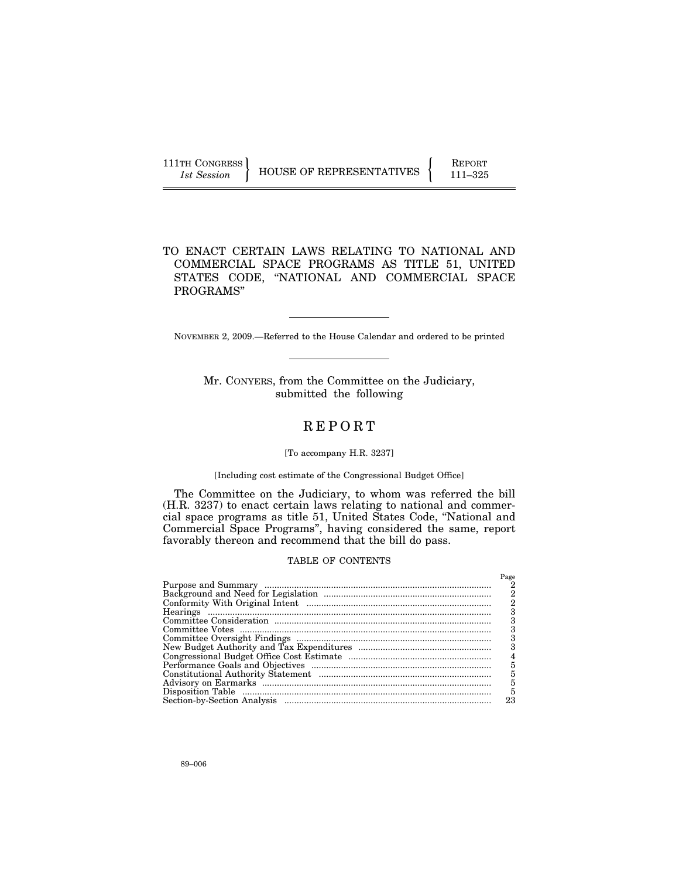## TO ENACT CERTAIN LAWS RELATING TO NATIONAL AND COMMERCIAL SPACE PROGRAMS AS TITLE 51, UNITED STATES CODE, ''NATIONAL AND COMMERCIAL SPACE PROGRAMS''

NOVEMBER 2, 2009.—Referred to the House Calendar and ordered to be printed

Mr. CONYERS, from the Committee on the Judiciary, submitted the following

## R E P O R T

#### [To accompany H.R. 3237]

### [Including cost estimate of the Congressional Budget Office]

The Committee on the Judiciary, to whom was referred the bill (H.R. 3237) to enact certain laws relating to national and commercial space programs as title 51, United States Code, ''National and Commercial Space Programs'', having considered the same, report favorably thereon and recommend that the bill do pass.

#### TABLE OF CONTENTS

| Page |
|------|
|      |
| 2    |
|      |
|      |
|      |
|      |
|      |
|      |
| 4    |
| 5    |
| 5    |
| 5    |
| 5    |
| 23   |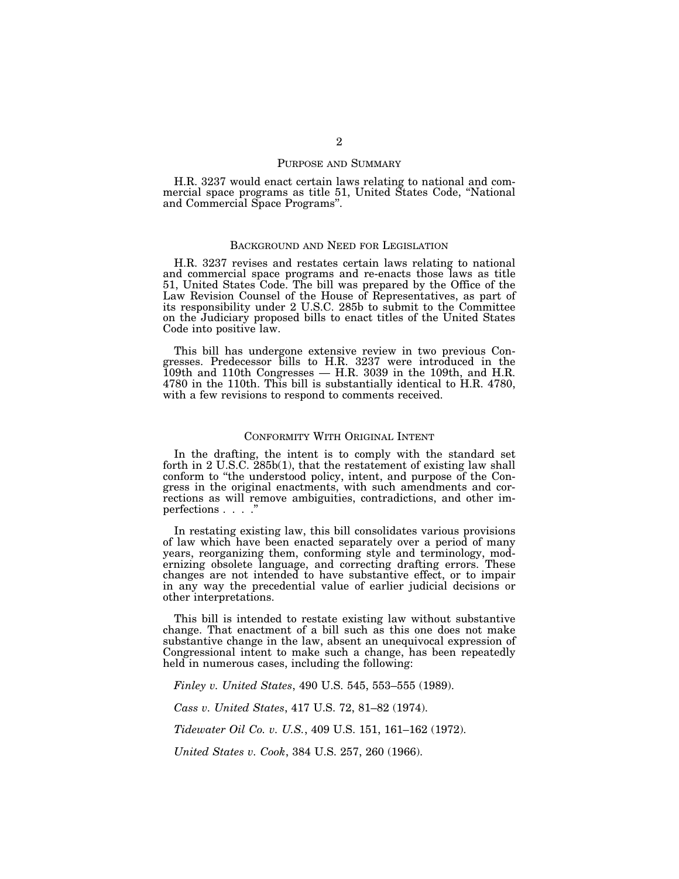#### PURPOSE AND SUMMARY

H.R. 3237 would enact certain laws relating to national and commercial space programs as title 51, United States Code, ''National and Commercial Space Programs''.

#### BACKGROUND AND NEED FOR LEGISLATION

H.R. 3237 revises and restates certain laws relating to national and commercial space programs and re-enacts those laws as title 51, United States Code. The bill was prepared by the Office of the Law Revision Counsel of the House of Representatives, as part of its responsibility under 2 U.S.C. 285b to submit to the Committee on the Judiciary proposed bills to enact titles of the United States Code into positive law.

This bill has undergone extensive review in two previous Congresses. Predecessor bills to H.R. 3237 were introduced in the 109th and 110th Congresses — H.R. 3039 in the 109th, and H.R. 4780 in the 110th. This bill is substantially identical to H.R. 4780, with a few revisions to respond to comments received.

#### CONFORMITY WITH ORIGINAL INTENT

In the drafting, the intent is to comply with the standard set forth in 2 U.S.C. 285b(1), that the restatement of existing law shall conform to ''the understood policy, intent, and purpose of the Congress in the original enactments, with such amendments and corrections as will remove ambiguities, contradictions, and other imperfections . . . .''

In restating existing law, this bill consolidates various provisions of law which have been enacted separately over a period of many years, reorganizing them, conforming style and terminology, modernizing obsolete language, and correcting drafting errors. These changes are not intended to have substantive effect, or to impair in any way the precedential value of earlier judicial decisions or other interpretations.

This bill is intended to restate existing law without substantive change. That enactment of a bill such as this one does not make substantive change in the law, absent an unequivocal expression of Congressional intent to make such a change, has been repeatedly held in numerous cases, including the following:

*Finley v. United States*, 490 U.S. 545, 553–555 (1989).

*Cass v. United States*, 417 U.S. 72, 81–82 (1974).

*Tidewater Oil Co. v. U.S.*, 409 U.S. 151, 161–162 (1972).

*United States v. Cook*, 384 U.S. 257, 260 (1966).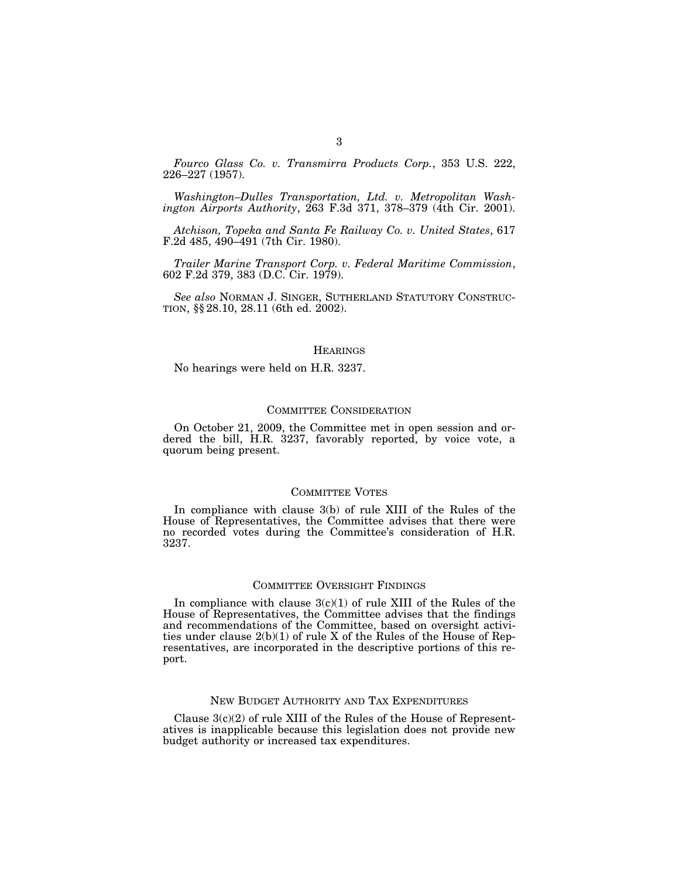*Fourco Glass Co. v. Transmirra Products Corp.*, 353 U.S. 222, 226–227 (1957).

*Washington–Dulles Transportation, Ltd. v. Metropolitan Washington Airports Authority*, 263 F.3d 371, 378–379 (4th Cir. 2001).

*Atchison, Topeka and Santa Fe Railway Co. v. United States*, 617 F.2d 485, 490–491 (7th Cir. 1980).

*Trailer Marine Transport Corp. v. Federal Maritime Commission*, 602 F.2d 379, 383 (D.C. Cir. 1979).

*See also* NORMAN J. SINGER, SUTHERLAND STATUTORY CONSTRUC- TION, §§ 28.10, 28.11 (6th ed. 2002).

#### **HEARINGS**

No hearings were held on H.R. 3237.

#### COMMITTEE CONSIDERATION

On October 21, 2009, the Committee met in open session and ordered the bill, H.R. 3237, favorably reported, by voice vote, a quorum being present.

#### COMMITTEE VOTES

In compliance with clause 3(b) of rule XIII of the Rules of the House of Representatives, the Committee advises that there were no recorded votes during the Committee's consideration of H.R. 3237.

#### COMMITTEE OVERSIGHT FINDINGS

In compliance with clause  $3(c)(1)$  of rule XIII of the Rules of the House of Representatives, the Committee advises that the findings and recommendations of the Committee, based on oversight activities under clause 2(b)(1) of rule X of the Rules of the House of Representatives, are incorporated in the descriptive portions of this report.

### NEW BUDGET AUTHORITY AND TAX EXPENDITURES

Clause  $3(c)(2)$  of rule XIII of the Rules of the House of Representatives is inapplicable because this legislation does not provide new budget authority or increased tax expenditures.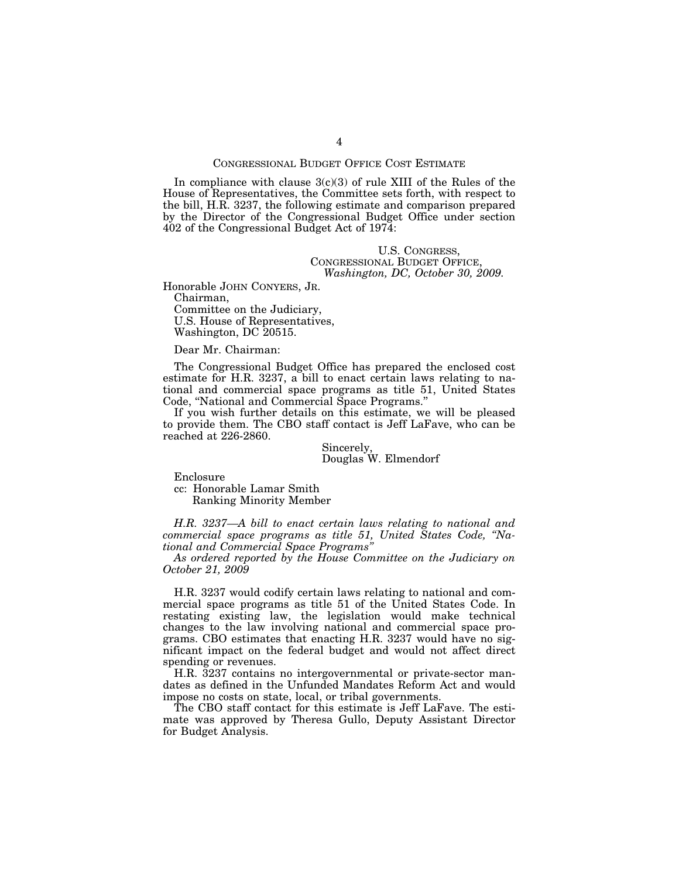#### CONGRESSIONAL BUDGET OFFICE COST ESTIMATE

In compliance with clause  $3(c)(3)$  of rule XIII of the Rules of the House of Representatives, the Committee sets forth, with respect to the bill, H.R. 3237, the following estimate and comparison prepared by the Director of the Congressional Budget Office under section 402 of the Congressional Budget Act of 1974:

#### U.S. CONGRESS, CONGRESSIONAL BUDGET OFFICE, *Washington, DC, October 30, 2009.*

Honorable JOHN CONYERS, JR.

Chairman, Committee on the Judiciary, U.S. House of Representatives, Washington, DC 20515.

#### Dear Mr. Chairman:

The Congressional Budget Office has prepared the enclosed cost estimate for H.R. 3237, a bill to enact certain laws relating to national and commercial space programs as title 51, United States Code, ''National and Commercial Space Programs.''

If you wish further details on this estimate, we will be pleased to provide them. The CBO staff contact is Jeff LaFave, who can be reached at 226-2860.

> Sincerely, Douglas W. Elmendorf

Enclosure

cc: Honorable Lamar Smith Ranking Minority Member

*H.R. 3237—A bill to enact certain laws relating to national and commercial space programs as title 51, United States Code, ''National and Commercial Space Programs''* 

*As ordered reported by the House Committee on the Judiciary on October 21, 2009* 

H.R. 3237 would codify certain laws relating to national and commercial space programs as title 51 of the United States Code. In restating existing law, the legislation would make technical changes to the law involving national and commercial space programs. CBO estimates that enacting H.R. 3237 would have no significant impact on the federal budget and would not affect direct spending or revenues.

H.R. 3237 contains no intergovernmental or private-sector mandates as defined in the Unfunded Mandates Reform Act and would impose no costs on state, local, or tribal governments.

The CBO staff contact for this estimate is Jeff LaFave. The estimate was approved by Theresa Gullo, Deputy Assistant Director for Budget Analysis.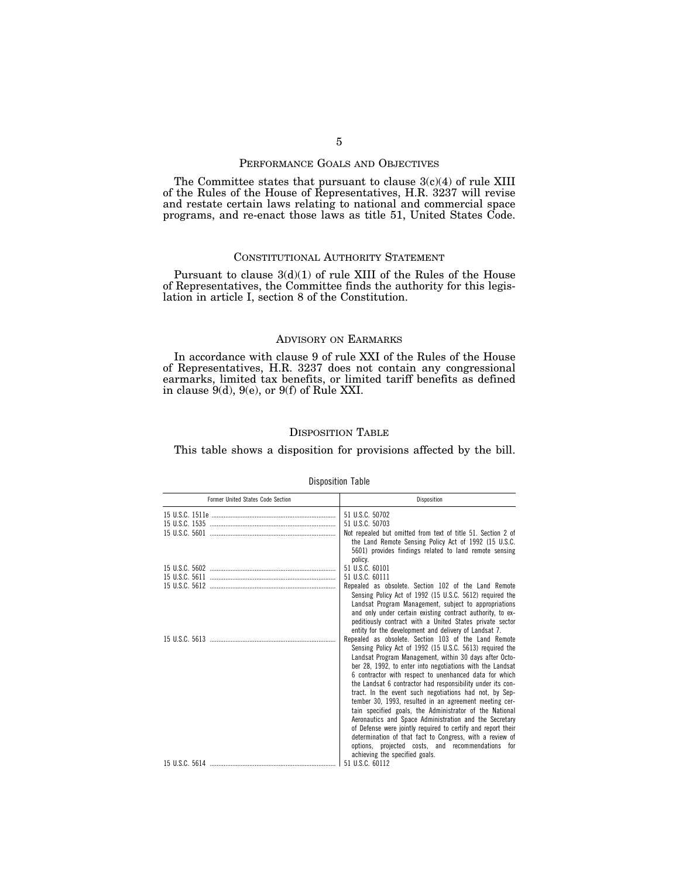## PERFORMANCE GOALS AND OBJECTIVES

The Committee states that pursuant to clause 3(c)(4) of rule XIII of the Rules of the House of Representatives, H.R. 3237 will revise and restate certain laws relating to national and commercial space programs, and re-enact those laws as title 51, United States Code.

#### CONSTITUTIONAL AUTHORITY STATEMENT

Pursuant to clause 3(d)(1) of rule XIII of the Rules of the House of Representatives, the Committee finds the authority for this legislation in article I, section 8 of the Constitution.

#### ADVISORY ON EARMARKS

In accordance with clause 9 of rule XXI of the Rules of the House of Representatives, H.R. 3237 does not contain any congressional earmarks, limited tax benefits, or limited tariff benefits as defined in clause 9(d), 9(e), or 9(f) of Rule XXI.

## DISPOSITION TABLE

This table shows a disposition for provisions affected by the bill.

| Former United States Code Section | Disposition                                                                                                                                                                                                                                                                                                                                                                                                                                                                                                                                                                                                                                                                                                                                                                               |
|-----------------------------------|-------------------------------------------------------------------------------------------------------------------------------------------------------------------------------------------------------------------------------------------------------------------------------------------------------------------------------------------------------------------------------------------------------------------------------------------------------------------------------------------------------------------------------------------------------------------------------------------------------------------------------------------------------------------------------------------------------------------------------------------------------------------------------------------|
|                                   | 51 U.S.C. 50702                                                                                                                                                                                                                                                                                                                                                                                                                                                                                                                                                                                                                                                                                                                                                                           |
|                                   | 51 U.S.C. 50703                                                                                                                                                                                                                                                                                                                                                                                                                                                                                                                                                                                                                                                                                                                                                                           |
|                                   | Not repealed but omitted from text of title 51. Section 2 of<br>the Land Remote Sensing Policy Act of 1992 (15 U.S.C.<br>5601) provides findings related to land remote sensing<br>policy.                                                                                                                                                                                                                                                                                                                                                                                                                                                                                                                                                                                                |
|                                   | 51 U.S.C. 60101                                                                                                                                                                                                                                                                                                                                                                                                                                                                                                                                                                                                                                                                                                                                                                           |
|                                   | 51 U.S.C. 60111                                                                                                                                                                                                                                                                                                                                                                                                                                                                                                                                                                                                                                                                                                                                                                           |
|                                   | Repealed as obsolete. Section 102 of the Land Remote<br>Sensing Policy Act of 1992 (15 U.S.C. 5612) required the<br>Landsat Program Management, subject to appropriations<br>and only under certain existing contract authority, to ex-<br>peditiously contract with a United States private sector<br>entity for the development and delivery of Landsat 7.                                                                                                                                                                                                                                                                                                                                                                                                                              |
|                                   | Repealed as obsolete. Section 103 of the Land Remote<br>Sensing Policy Act of 1992 (15 U.S.C. 5613) required the<br>Landsat Program Management, within 30 days after Octo-<br>ber 28, 1992, to enter into negotiations with the Landsat<br>6 contractor with respect to unenhanced data for which<br>the Landsat 6 contractor had responsibility under its con-<br>tract. In the event such negotiations had not, by Sep-<br>tember 30, 1993, resulted in an agreement meeting cer-<br>tain specified goals, the Administrator of the National<br>Aeronautics and Space Administration and the Secretary<br>of Defense were jointly required to certify and report their<br>determination of that fact to Congress, with a review of<br>options, projected costs, and recommendations for |
|                                   | achieving the specified goals.<br>51 U.S.C. 60112                                                                                                                                                                                                                                                                                                                                                                                                                                                                                                                                                                                                                                                                                                                                         |

### Disposition Table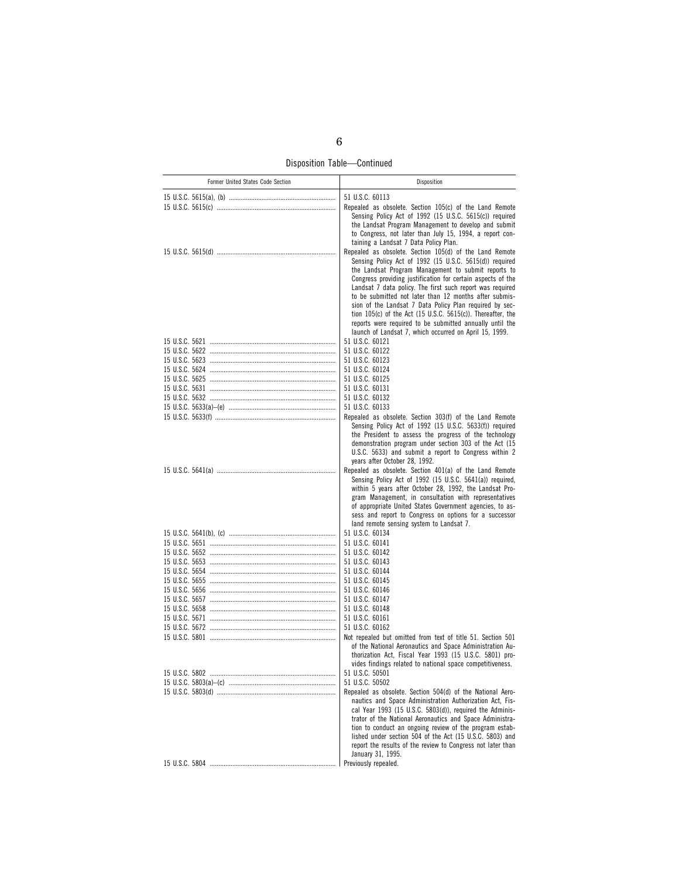Disposition Table—Continued

| Former United States Code Section | Disposition                                                                                                                                                                                                                                                                                                                                                                                                                                                                                                                                                                                                     |
|-----------------------------------|-----------------------------------------------------------------------------------------------------------------------------------------------------------------------------------------------------------------------------------------------------------------------------------------------------------------------------------------------------------------------------------------------------------------------------------------------------------------------------------------------------------------------------------------------------------------------------------------------------------------|
|                                   | 51 U.S.C. 60113                                                                                                                                                                                                                                                                                                                                                                                                                                                                                                                                                                                                 |
|                                   | Repealed as obsolete. Section 105(c) of the Land Remote<br>Sensing Policy Act of 1992 (15 U.S.C. 5615(c)) required<br>the Landsat Program Management to develop and submit<br>to Congress, not later than July 15, 1994, a report con-<br>taining a Landsat 7 Data Policy Plan.                                                                                                                                                                                                                                                                                                                                 |
|                                   | Repealed as obsolete. Section 105(d) of the Land Remote<br>Sensing Policy Act of 1992 (15 U.S.C. 5615(d)) required<br>the Landsat Program Management to submit reports to<br>Congress providing justification for certain aspects of the<br>Landsat 7 data policy. The first such report was required<br>to be submitted not later than 12 months after submis-<br>sion of the Landsat 7 Data Policy Plan required by sec-<br>tion 105(c) of the Act (15 U.S.C. 5615(c)). Thereafter, the<br>reports were required to be submitted annually until the<br>launch of Landsat 7, which occurred on April 15, 1999. |
|                                   | 51 U.S.C. 60121                                                                                                                                                                                                                                                                                                                                                                                                                                                                                                                                                                                                 |
|                                   | 51 U.S.C. 60122                                                                                                                                                                                                                                                                                                                                                                                                                                                                                                                                                                                                 |
|                                   | 51 U.S.C. 60123<br>51 U.S.C. 60124                                                                                                                                                                                                                                                                                                                                                                                                                                                                                                                                                                              |
|                                   | 51 U.S.C. 60125                                                                                                                                                                                                                                                                                                                                                                                                                                                                                                                                                                                                 |
|                                   | 51 U.S.C. 60131                                                                                                                                                                                                                                                                                                                                                                                                                                                                                                                                                                                                 |
|                                   | 51 U.S.C. 60132                                                                                                                                                                                                                                                                                                                                                                                                                                                                                                                                                                                                 |
|                                   | 51 U.S.C. 60133                                                                                                                                                                                                                                                                                                                                                                                                                                                                                                                                                                                                 |
|                                   | Repealed as obsolete. Section 303(f) of the Land Remote<br>Sensing Policy Act of 1992 (15 U.S.C. 5633(f)) required                                                                                                                                                                                                                                                                                                                                                                                                                                                                                              |
|                                   | the President to assess the progress of the technology<br>demonstration program under section 303 of the Act (15<br>U.S.C. 5633) and submit a report to Congress within 2                                                                                                                                                                                                                                                                                                                                                                                                                                       |
|                                   | years after October 28, 1992.                                                                                                                                                                                                                                                                                                                                                                                                                                                                                                                                                                                   |
|                                   | Repealed as obsolete. Section 401(a) of the Land Remote<br>Sensing Policy Act of 1992 (15 U.S.C. 5641(a)) required,<br>within 5 years after October 28, 1992, the Landsat Pro-<br>gram Management, in consultation with representatives<br>of appropriate United States Government agencies, to as-<br>sess and report to Congress on options for a successor<br>land remote sensing system to Landsat 7.                                                                                                                                                                                                       |
|                                   | 51 U.S.C. 60134                                                                                                                                                                                                                                                                                                                                                                                                                                                                                                                                                                                                 |
|                                   | 51 U.S.C. 60141                                                                                                                                                                                                                                                                                                                                                                                                                                                                                                                                                                                                 |
|                                   | 51 U.S.C. 60142<br>51 U.S.C. 60143                                                                                                                                                                                                                                                                                                                                                                                                                                                                                                                                                                              |
|                                   | 51 U.S.C. 60144                                                                                                                                                                                                                                                                                                                                                                                                                                                                                                                                                                                                 |
|                                   | 51 U.S.C. 60145                                                                                                                                                                                                                                                                                                                                                                                                                                                                                                                                                                                                 |
|                                   | 51 U.S.C. 60146                                                                                                                                                                                                                                                                                                                                                                                                                                                                                                                                                                                                 |
|                                   | 51 U.S.C. 60147                                                                                                                                                                                                                                                                                                                                                                                                                                                                                                                                                                                                 |
|                                   | 51 U.S.C. 60148<br>51 U.S.C. 60161                                                                                                                                                                                                                                                                                                                                                                                                                                                                                                                                                                              |
|                                   | 51 U.S.C. 60162                                                                                                                                                                                                                                                                                                                                                                                                                                                                                                                                                                                                 |
|                                   | Not repealed but omitted from text of title 51. Section 501<br>of the National Aeronautics and Space Administration Au-                                                                                                                                                                                                                                                                                                                                                                                                                                                                                         |
|                                   | thorization Act, Fiscal Year 1993 (15 U.S.C. 5801) pro-<br>vides findings related to national space competitiveness.                                                                                                                                                                                                                                                                                                                                                                                                                                                                                            |
| 15 U.S.C. 5802                    | 51 U.S.C. 50501<br>51 U.S.C. 50502                                                                                                                                                                                                                                                                                                                                                                                                                                                                                                                                                                              |
|                                   | Repealed as obsolete. Section 504(d) of the National Aero-                                                                                                                                                                                                                                                                                                                                                                                                                                                                                                                                                      |
|                                   | nautics and Space Administration Authorization Act, Fis-<br>cal Year 1993 (15 U.S.C. 5803(d)), required the Adminis-<br>trator of the National Aeronautics and Space Administra-<br>tion to conduct an ongoing review of the program estab-<br>lished under section 504 of the Act (15 U.S.C. 5803) and<br>report the results of the review to Congress not later than                                                                                                                                                                                                                                          |
|                                   | January 31, 1995.                                                                                                                                                                                                                                                                                                                                                                                                                                                                                                                                                                                               |
|                                   | Previously repealed.                                                                                                                                                                                                                                                                                                                                                                                                                                                                                                                                                                                            |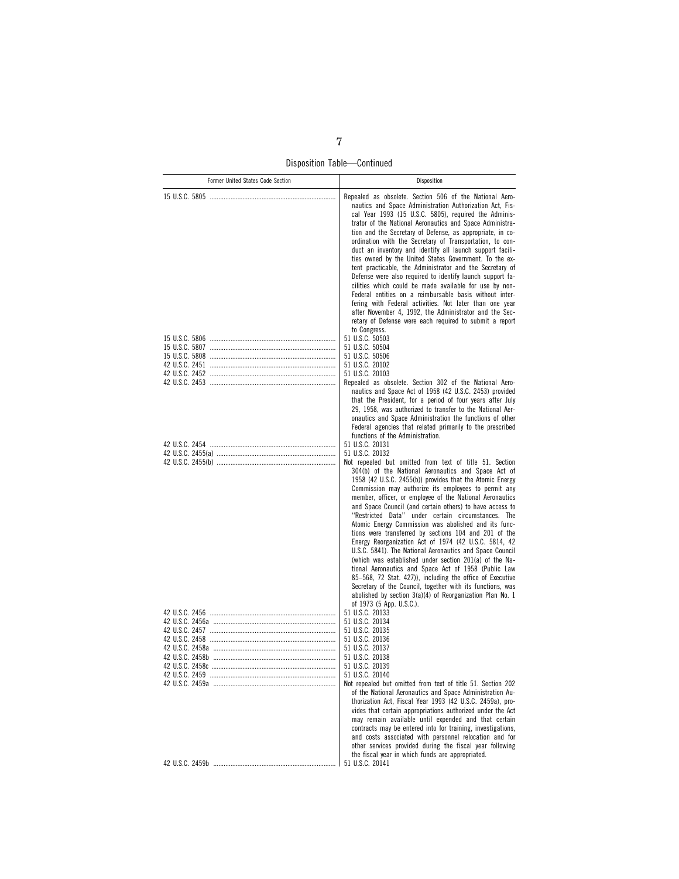Disposition Table—Continued

| Former United States Code Section | Disposition                                                                                                                                                                                                                                                                                                                                                                                                                                                                                                                                                                                                                                                                                                                                                                                                                                                                                                                            |
|-----------------------------------|----------------------------------------------------------------------------------------------------------------------------------------------------------------------------------------------------------------------------------------------------------------------------------------------------------------------------------------------------------------------------------------------------------------------------------------------------------------------------------------------------------------------------------------------------------------------------------------------------------------------------------------------------------------------------------------------------------------------------------------------------------------------------------------------------------------------------------------------------------------------------------------------------------------------------------------|
|                                   | Repealed as obsolete. Section 506 of the National Aero-<br>nautics and Space Administration Authorization Act, Fis-<br>cal Year 1993 (15 U.S.C. 5805), required the Adminis-<br>trator of the National Aeronautics and Space Administra-<br>tion and the Secretary of Defense, as appropriate, in co-<br>ordination with the Secretary of Transportation, to con-<br>duct an inventory and identify all launch support facili-<br>ties owned by the United States Government. To the ex-<br>tent practicable, the Administrator and the Secretary of<br>Defense were also required to identify launch support fa-<br>cilities which could be made available for use by non-<br>Federal entities on a reimbursable basis without inter-<br>fering with Federal activities. Not later than one year<br>after November 4, 1992, the Administrator and the Sec-<br>retary of Defense were each required to submit a report<br>to Congress. |
|                                   | 51 U.S.C. 50503                                                                                                                                                                                                                                                                                                                                                                                                                                                                                                                                                                                                                                                                                                                                                                                                                                                                                                                        |
|                                   | 51 U.S.C. 50504<br>51 U.S.C. 50506                                                                                                                                                                                                                                                                                                                                                                                                                                                                                                                                                                                                                                                                                                                                                                                                                                                                                                     |
|                                   | 51 U.S.C. 20102                                                                                                                                                                                                                                                                                                                                                                                                                                                                                                                                                                                                                                                                                                                                                                                                                                                                                                                        |
|                                   | 51 U.S.C. 20103<br>Repealed as obsolete. Section 302 of the National Aero-                                                                                                                                                                                                                                                                                                                                                                                                                                                                                                                                                                                                                                                                                                                                                                                                                                                             |
|                                   | nautics and Space Act of 1958 (42 U.S.C. 2453) provided<br>that the President, for a period of four years after July<br>29, 1958, was authorized to transfer to the National Aer-<br>onautics and Space Administration the functions of other<br>Federal agencies that related primarily to the prescribed<br>functions of the Administration.                                                                                                                                                                                                                                                                                                                                                                                                                                                                                                                                                                                         |
|                                   | 51 U.S.C. 20131                                                                                                                                                                                                                                                                                                                                                                                                                                                                                                                                                                                                                                                                                                                                                                                                                                                                                                                        |
|                                   | 51 U.S.C. 20132<br>Not repealed but omitted from text of title 51. Section                                                                                                                                                                                                                                                                                                                                                                                                                                                                                                                                                                                                                                                                                                                                                                                                                                                             |
|                                   | 304(b) of the National Aeronautics and Space Act of<br>1958 (42 U.S.C. 2455(b)) provides that the Atomic Energy<br>Commission may authorize its employees to permit any<br>member, officer, or employee of the National Aeronautics<br>and Space Council (and certain others) to have access to<br>"Restricted Data" under certain circumstances. The<br>Atomic Energy Commission was abolished and its func-<br>tions were transferred by sections 104 and 201 of the<br>Energy Reorganization Act of 1974 (42 U.S.C. 5814, 42<br>U.S.C. 5841). The National Aeronautics and Space Council<br>(which was established under section 201(a) of the Na-<br>tional Aeronautics and Space Act of 1958 (Public Law<br>85–568, 72 Stat. 427)), including the office of Executive<br>Secretary of the Council, together with its functions, was<br>abolished by section 3(a)(4) of Reorganization Plan No. 1<br>of 1973 (5 App. U.S.C.).      |
|                                   | 51 U.S.C. 20133<br>51 U.S.C. 20134                                                                                                                                                                                                                                                                                                                                                                                                                                                                                                                                                                                                                                                                                                                                                                                                                                                                                                     |
|                                   | 51 U.S.C. 20135                                                                                                                                                                                                                                                                                                                                                                                                                                                                                                                                                                                                                                                                                                                                                                                                                                                                                                                        |
|                                   | 51 U.S.C. 20136                                                                                                                                                                                                                                                                                                                                                                                                                                                                                                                                                                                                                                                                                                                                                                                                                                                                                                                        |
|                                   | 51 U.S.C. 20137<br>51 U.S.C. 20138                                                                                                                                                                                                                                                                                                                                                                                                                                                                                                                                                                                                                                                                                                                                                                                                                                                                                                     |
|                                   | 51 U.S.C. 20139                                                                                                                                                                                                                                                                                                                                                                                                                                                                                                                                                                                                                                                                                                                                                                                                                                                                                                                        |
|                                   | 51 U.S.C. 20140                                                                                                                                                                                                                                                                                                                                                                                                                                                                                                                                                                                                                                                                                                                                                                                                                                                                                                                        |
|                                   | Not repealed but omitted from text of title 51. Section 202<br>of the National Aeronautics and Space Administration Au-<br>thorization Act, Fiscal Year 1993 (42 U.S.C. 2459a), pro-<br>vides that certain appropriations authorized under the Act<br>may remain available until expended and that certain<br>contracts may be entered into for training, investigations,<br>and costs associated with personnel relocation and for<br>other services provided during the fiscal year following<br>the fiscal year in which funds are appropriated.                                                                                                                                                                                                                                                                                                                                                                                    |
|                                   |                                                                                                                                                                                                                                                                                                                                                                                                                                                                                                                                                                                                                                                                                                                                                                                                                                                                                                                                        |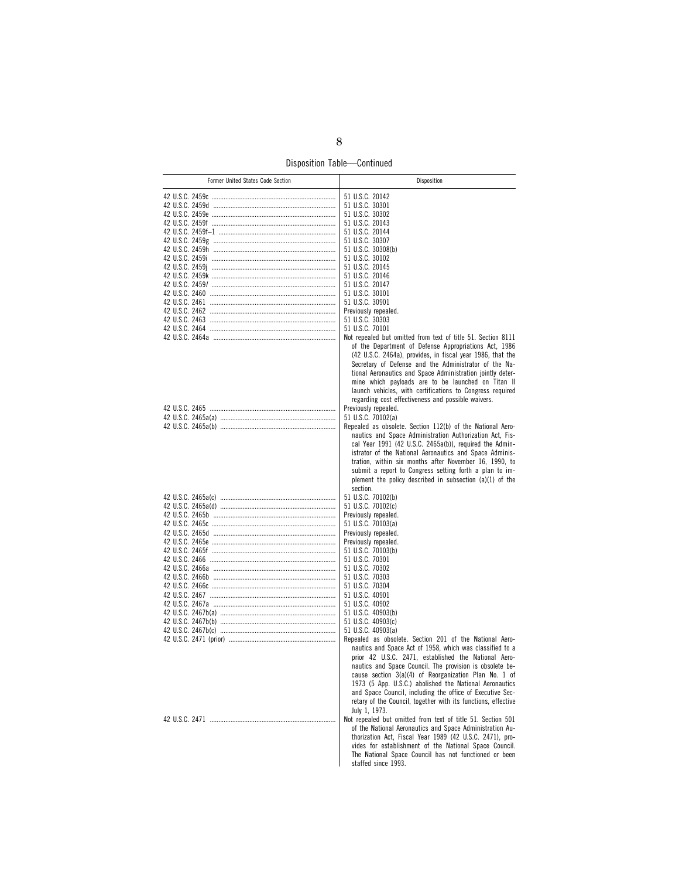Disposition Table—Continued

| Former United States Code Section | Disposition                                                                                                                                                                                                                                                                                                                                                                                                                                                                                                                                                                                                                                                                                                                                                                                                                                                                                          |
|-----------------------------------|------------------------------------------------------------------------------------------------------------------------------------------------------------------------------------------------------------------------------------------------------------------------------------------------------------------------------------------------------------------------------------------------------------------------------------------------------------------------------------------------------------------------------------------------------------------------------------------------------------------------------------------------------------------------------------------------------------------------------------------------------------------------------------------------------------------------------------------------------------------------------------------------------|
|                                   | 51 U.S.C. 20142<br>51 U.S.C. 30301<br>51 U.S.C. 30302<br>51 U.S.C. 20143<br>51 U.S.C. 20144<br>51 U.S.C. 30307<br>51 U.S.C. 30308(b)<br>51 U.S.C. 30102<br>51 U.S.C. 20145<br>51 U.S.C. 20146<br>51 U.S.C. 20147<br>51 U.S.C. 30101<br>51 U.S.C. 30901<br>Previously repealed.<br>51 U.S.C. 30303<br>51 U.S.C. 70101<br>Not repealed but omitted from text of title 51. Section 8111                                                                                                                                                                                                                                                                                                                                                                                                                                                                                                                 |
|                                   | of the Department of Defense Appropriations Act, 1986<br>(42 U.S.C. 2464a), provides, in fiscal year 1986, that the<br>Secretary of Defense and the Administrator of the Na-<br>tional Aeronautics and Space Administration jointly deter-<br>mine which payloads are to be launched on Titan II<br>launch vehicles, with certifications to Congress required<br>regarding cost effectiveness and possible waivers.<br>Previously repealed.<br>51 U.S.C. 70102(a)<br>Repealed as obsolete. Section 112(b) of the National Aero-<br>nautics and Space Administration Authorization Act, Fis-<br>cal Year 1991 (42 U.S.C. 2465a(b)), required the Admin-<br>istrator of the National Aeronautics and Space Adminis-<br>tration, within six months after November 16, 1990, to<br>submit a report to Congress setting forth a plan to im-<br>plement the policy described in subsection $(a)(1)$ of the |
|                                   | section.<br>51 U.S.C. 70102(b)<br>51 U.S.C. 70102(c)<br>Previously repealed.<br>51 U.S.C. 70103(a)<br>Previously repealed.<br>Previously repealed.<br>51 U.S.C. 70103(b)<br>51 U.S.C. 70301<br>51 U.S.C. 70302<br>51 U.S.C. 70303<br>51 U.S.C. 70304<br>51 U.S.C. 40901<br>51 U.S.C. 40902<br>51 U.S.C. 40903(b)<br>51 U.S.C. 40903(c)                                                                                                                                                                                                                                                                                                                                                                                                                                                                                                                                                               |
|                                   | 51 U.S.C. 40903(a)<br>Repealed as obsolete. Section 201 of the National Aero-<br>nautics and Space Act of 1958, which was classified to a<br>prior 42 U.S.C. 2471, established the National Aero-<br>nautics and Space Council. The provision is obsolete be-<br>cause section 3(a)(4) of Reorganization Plan No. 1 of<br>1973 (5 App. U.S.C.) abolished the National Aeronautics<br>and Space Council, including the office of Executive Sec-<br>retary of the Council, together with its functions, effective<br>July 1, 1973.<br>Not repealed but omitted from text of title 51. Section 501<br>of the National Aeronautics and Space Administration Au-<br>thorization Act, Fiscal Year 1989 (42 U.S.C. 2471), pro-<br>vides for establishment of the National Space Council.<br>The National Space Council has not functioned or been<br>staffed since 1993.                                    |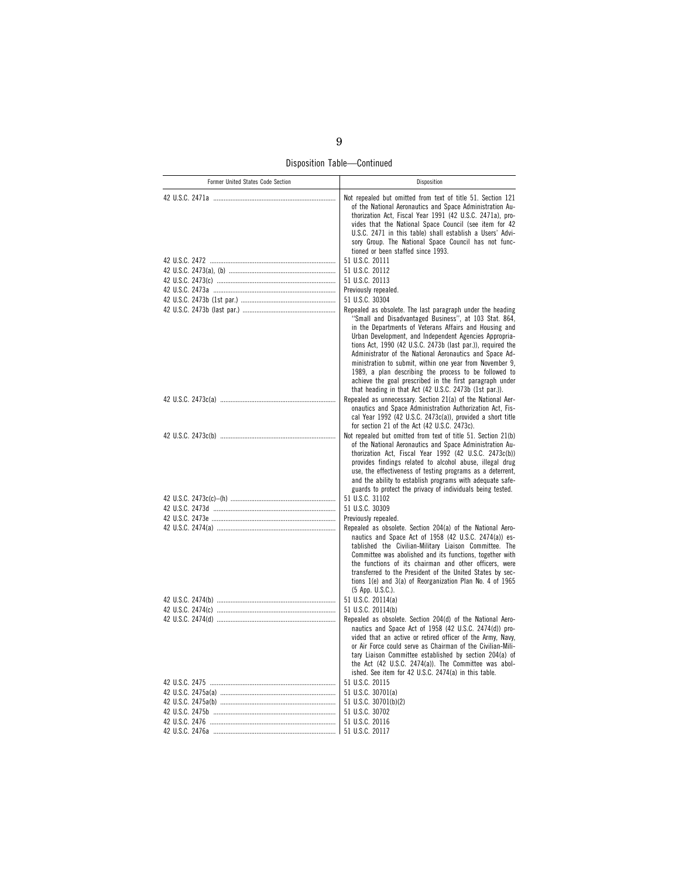Disposition Table—Continued

| Former United States Code Section | Disposition                                                                                                                                                                                                                                                                                                                                                                                                                                                                          |
|-----------------------------------|--------------------------------------------------------------------------------------------------------------------------------------------------------------------------------------------------------------------------------------------------------------------------------------------------------------------------------------------------------------------------------------------------------------------------------------------------------------------------------------|
|                                   | Not repealed but omitted from text of title 51. Section 121<br>of the National Aeronautics and Space Administration Au-<br>thorization Act, Fiscal Year 1991 (42 U.S.C. 2471a), pro-<br>vides that the National Space Council (see item for 42<br>U.S.C. 2471 in this table) shall establish a Users' Advi-<br>sory Group. The National Space Council has not func-<br>tioned or been staffed since 1993.                                                                            |
|                                   | 51 U.S.C. 20111                                                                                                                                                                                                                                                                                                                                                                                                                                                                      |
|                                   | 51 U.S.C. 20112                                                                                                                                                                                                                                                                                                                                                                                                                                                                      |
|                                   | 51 U.S.C. 20113                                                                                                                                                                                                                                                                                                                                                                                                                                                                      |
|                                   | Previously repealed.                                                                                                                                                                                                                                                                                                                                                                                                                                                                 |
|                                   | 51 U.S.C. 30304                                                                                                                                                                                                                                                                                                                                                                                                                                                                      |
|                                   | Repealed as obsolete. The last paragraph under the heading                                                                                                                                                                                                                                                                                                                                                                                                                           |
|                                   | "Small and Disadvantaged Business", at 103 Stat. 864,<br>in the Departments of Veterans Affairs and Housing and<br>Urban Development, and Independent Agencies Appropria-<br>tions Act, 1990 (42 U.S.C. 2473b (last par.)), required the<br>Administrator of the National Aeronautics and Space Ad-<br>ministration to submit, within one year from November 9,<br>1989, a plan describing the process to be followed to<br>achieve the goal prescribed in the first paragraph under |
|                                   | that heading in that Act (42 U.S.C. 2473b (1st par.)).                                                                                                                                                                                                                                                                                                                                                                                                                               |
|                                   | Repealed as unnecessary. Section 21(a) of the National Aer-<br>onautics and Space Administration Authorization Act, Fis-<br>cal Year 1992 (42 U.S.C. 2473c(a)), provided a short title<br>for section 21 of the Act (42 U.S.C. 2473c).                                                                                                                                                                                                                                               |
|                                   | Not repealed but omitted from text of title 51. Section 21(b)<br>of the National Aeronautics and Space Administration Au-                                                                                                                                                                                                                                                                                                                                                            |
|                                   | thorization Act, Fiscal Year 1992 (42 U.S.C. 2473c(b))<br>provides findings related to alcohol abuse, illegal drug<br>use, the effectiveness of testing programs as a deterrent,<br>and the ability to establish programs with adequate safe-<br>guards to protect the privacy of individuals being tested.                                                                                                                                                                          |
|                                   | 51 U.S.C. 31102                                                                                                                                                                                                                                                                                                                                                                                                                                                                      |
|                                   | 51 U.S.C. 30309                                                                                                                                                                                                                                                                                                                                                                                                                                                                      |
|                                   | Previously repealed.                                                                                                                                                                                                                                                                                                                                                                                                                                                                 |
|                                   | Repealed as obsolete. Section 204(a) of the National Aero-                                                                                                                                                                                                                                                                                                                                                                                                                           |
|                                   | nautics and Space Act of 1958 (42 U.S.C. 2474(a)) es-<br>tablished the Civilian-Military Liaison Committee. The<br>Committee was abolished and its functions, together with<br>the functions of its chairman and other officers, were<br>transferred to the President of the United States by sec-                                                                                                                                                                                   |
|                                   | tions 1(e) and 3(a) of Reorganization Plan No. 4 of 1965                                                                                                                                                                                                                                                                                                                                                                                                                             |
|                                   | (5 App. U.S.C.).                                                                                                                                                                                                                                                                                                                                                                                                                                                                     |
|                                   | 51 U.S.C. 20114(a)                                                                                                                                                                                                                                                                                                                                                                                                                                                                   |
|                                   | 51 U.S.C. 20114(b)                                                                                                                                                                                                                                                                                                                                                                                                                                                                   |
|                                   | Repealed as obsolete. Section 204(d) of the National Aero-                                                                                                                                                                                                                                                                                                                                                                                                                           |
|                                   | nautics and Space Act of 1958 (42 U.S.C. 2474(d)) pro-<br>vided that an active or retired officer of the Army, Navy,<br>or Air Force could serve as Chairman of the Civilian-Mili-<br>tary Liaison Committee established by section 204(a) of<br>the Act (42 U.S.C. 2474(a)). The Committee was abol-<br>ished. See item for 42 U.S.C. 2474(a) in this table.                                                                                                                        |
|                                   | 51 U.S.C. 20115                                                                                                                                                                                                                                                                                                                                                                                                                                                                      |
|                                   | 51 U.S.C. 30701(a)                                                                                                                                                                                                                                                                                                                                                                                                                                                                   |
|                                   | 51 U.S.C. 30701(b)(2)                                                                                                                                                                                                                                                                                                                                                                                                                                                                |
|                                   | 51 U.S.C. 30702                                                                                                                                                                                                                                                                                                                                                                                                                                                                      |
|                                   | 51 U.S.C. 20116                                                                                                                                                                                                                                                                                                                                                                                                                                                                      |
|                                   | 51 U.S.C. 20117                                                                                                                                                                                                                                                                                                                                                                                                                                                                      |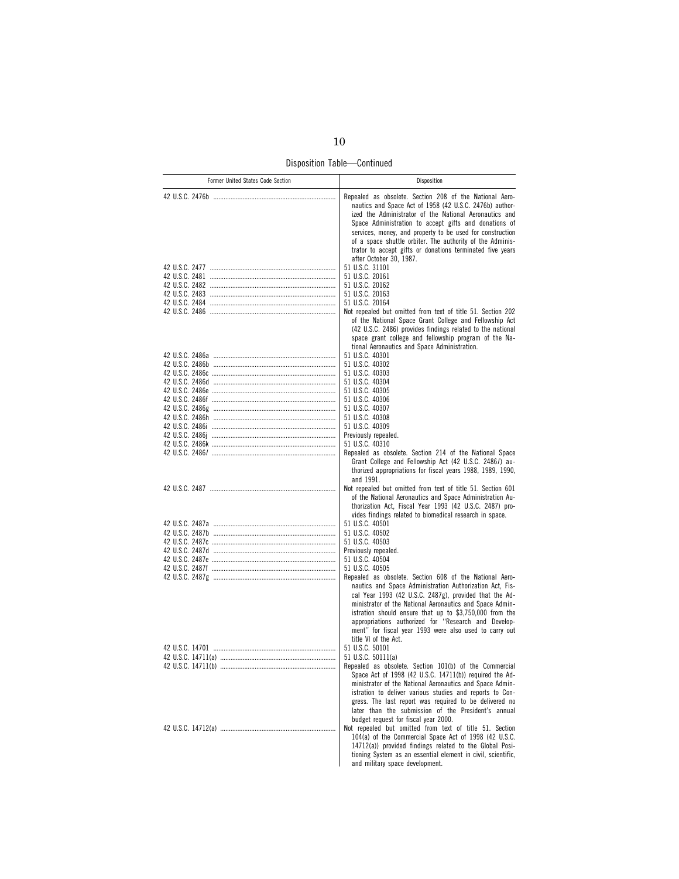Disposition Table—Continued

| Former United States Code Section | Disposition                                                                                                                                                                                                                                                                                                                                                                                                                                                                                                  |
|-----------------------------------|--------------------------------------------------------------------------------------------------------------------------------------------------------------------------------------------------------------------------------------------------------------------------------------------------------------------------------------------------------------------------------------------------------------------------------------------------------------------------------------------------------------|
|                                   | Repealed as obsolete. Section 208 of the National Aero-<br>nautics and Space Act of 1958 (42 U.S.C. 2476b) author-<br>ized the Administrator of the National Aeronautics and<br>Space Administration to accept gifts and donations of<br>services, money, and property to be used for construction<br>of a space shuttle orbiter. The authority of the Adminis-<br>trator to accept gifts or donations terminated five years<br>after October 30, 1987.                                                      |
|                                   | 51 U.S.C. 31101<br>51 U.S.C. 20161<br>51 U.S.C. 20162<br>51 U.S.C. 20163<br>51 U.S.C. 20164<br>Not repealed but omitted from text of title 51. Section 202<br>of the National Space Grant College and Fellowship Act<br>(42 U.S.C. 2486) provides findings related to the national<br>space grant college and fellowship program of the Na-<br>tional Aeronautics and Space Administration.                                                                                                                  |
|                                   | 51 U.S.C. 40301<br>51 U.S.C. 40302<br>51 U.S.C. 40303<br>51 U.S.C. 40304<br>51 U.S.C. 40305<br>51 U.S.C. 40306<br>51 U.S.C. 40307<br>51 U.S.C. 40308<br>51 U.S.C. 40309<br>Previously repealed.<br>51 U.S.C. 40310<br>Repealed as obsolete. Section 214 of the National Space<br>Grant College and Fellowship Act (42 U.S.C. 2486/) au-<br>thorized appropriations for fiscal years 1988, 1989, 1990,                                                                                                        |
|                                   | and 1991.<br>Not repealed but omitted from text of title 51. Section 601<br>of the National Aeronautics and Space Administration Au-<br>thorization Act, Fiscal Year 1993 (42 U.S.C. 2487) pro-<br>vides findings related to biomedical research in space.<br>51 U.S.C. 40501<br>51 U.S.C. 40502<br>51 U.S.C. 40503                                                                                                                                                                                          |
|                                   | Previously repealed.<br>51 U.S.C. 40504<br>51 U.S.C. 40505<br>Repealed as obsolete. Section 608 of the National Aero-<br>nautics and Space Administration Authorization Act, Fis-<br>cal Year 1993 (42 U.S.C. 2487g), provided that the Ad-<br>ministrator of the National Aeronautics and Space Admin-<br>istration should ensure that up to \$3,750,000 from the<br>appropriations authorized for "Research and Develop-<br>ment" for fiscal year 1993 were also used to carry out<br>title VI of the Act. |
|                                   | 51 U.S.C. 50101<br>51 U.S.C. 50111(a)<br>Repealed as obsolete. Section 101(b) of the Commercial<br>Space Act of 1998 (42 U.S.C. 14711(b)) required the Ad-<br>ministrator of the National Aeronautics and Space Admin-<br>istration to deliver various studies and reports to Con-<br>gress. The last report was required to be delivered no<br>later than the submission of the President's annual<br>budget request for fiscal year 2000.                                                                  |
|                                   | Not repealed but omitted from text of title 51. Section<br>104(a) of the Commercial Space Act of 1998 (42 U.S.C.<br>14712(a)) provided findings related to the Global Posi-<br>tioning System as an essential element in civil, scientific,<br>and military space development.                                                                                                                                                                                                                               |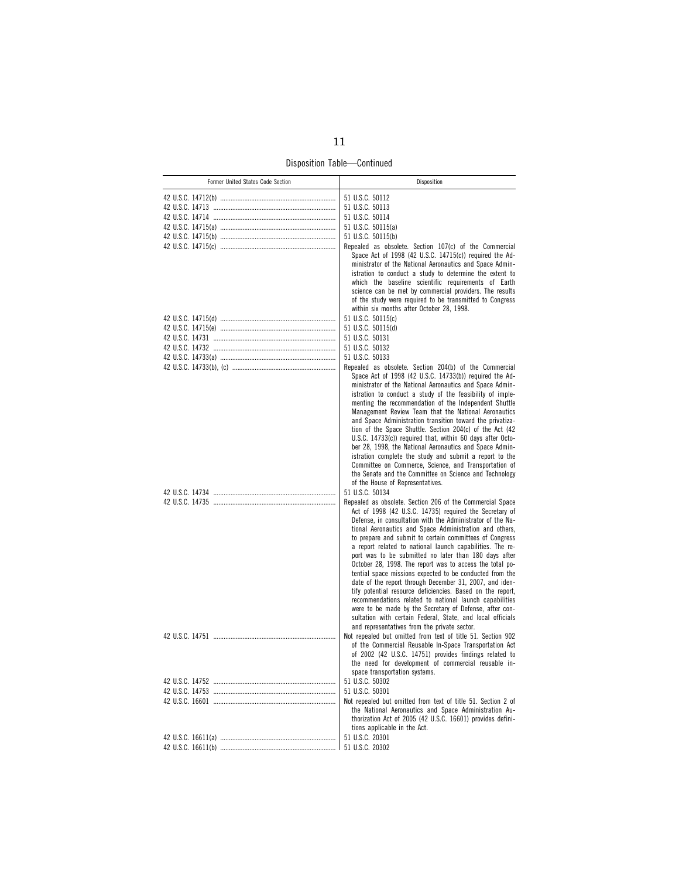Disposition Table—Continued

| Former United States Code Section | Disposition                                                                                                                                                                                                                                                                                                                                                                                                                                                                                                                                                                                                                                                                                                                                                                                                                                                                                                         |
|-----------------------------------|---------------------------------------------------------------------------------------------------------------------------------------------------------------------------------------------------------------------------------------------------------------------------------------------------------------------------------------------------------------------------------------------------------------------------------------------------------------------------------------------------------------------------------------------------------------------------------------------------------------------------------------------------------------------------------------------------------------------------------------------------------------------------------------------------------------------------------------------------------------------------------------------------------------------|
|                                   | 51 U.S.C. 50112                                                                                                                                                                                                                                                                                                                                                                                                                                                                                                                                                                                                                                                                                                                                                                                                                                                                                                     |
|                                   | 51 U.S.C. 50113                                                                                                                                                                                                                                                                                                                                                                                                                                                                                                                                                                                                                                                                                                                                                                                                                                                                                                     |
|                                   | 51 U.S.C. 50114                                                                                                                                                                                                                                                                                                                                                                                                                                                                                                                                                                                                                                                                                                                                                                                                                                                                                                     |
|                                   | 51 U.S.C. 50115(a)                                                                                                                                                                                                                                                                                                                                                                                                                                                                                                                                                                                                                                                                                                                                                                                                                                                                                                  |
|                                   | 51 U.S.C. 50115(b)                                                                                                                                                                                                                                                                                                                                                                                                                                                                                                                                                                                                                                                                                                                                                                                                                                                                                                  |
|                                   | Repealed as obsolete. Section 107(c) of the Commercial<br>Space Act of 1998 (42 U.S.C. 14715(c)) required the Ad-<br>ministrator of the National Aeronautics and Space Admin-<br>istration to conduct a study to determine the extent to<br>which the baseline scientific requirements of Earth<br>science can be met by commercial providers. The results<br>of the study were required to be transmitted to Congress<br>within six months after October 28, 1998.                                                                                                                                                                                                                                                                                                                                                                                                                                                 |
|                                   | 51 U.S.C. 50115(c)                                                                                                                                                                                                                                                                                                                                                                                                                                                                                                                                                                                                                                                                                                                                                                                                                                                                                                  |
|                                   | 51 U.S.C. 50115(d)                                                                                                                                                                                                                                                                                                                                                                                                                                                                                                                                                                                                                                                                                                                                                                                                                                                                                                  |
|                                   | 51 U.S.C. 50131                                                                                                                                                                                                                                                                                                                                                                                                                                                                                                                                                                                                                                                                                                                                                                                                                                                                                                     |
|                                   | 51 U.S.C. 50132                                                                                                                                                                                                                                                                                                                                                                                                                                                                                                                                                                                                                                                                                                                                                                                                                                                                                                     |
|                                   | 51 U.S.C. 50133                                                                                                                                                                                                                                                                                                                                                                                                                                                                                                                                                                                                                                                                                                                                                                                                                                                                                                     |
|                                   | Repealed as obsolete. Section 204(b) of the Commercial<br>Space Act of 1998 (42 U.S.C. 14733(b)) required the Ad-<br>ministrator of the National Aeronautics and Space Admin-<br>istration to conduct a study of the feasibility of imple-<br>menting the recommendation of the Independent Shuttle<br>Management Review Team that the National Aeronautics<br>and Space Administration transition toward the privatiza-<br>tion of the Space Shuttle. Section 204(c) of the Act (42<br>U.S.C. 14733(c)) required that, within 60 days after Octo-<br>ber 28, 1998, the National Aeronautics and Space Admin-<br>istration complete the study and submit a report to the<br>Committee on Commerce, Science, and Transportation of<br>the Senate and the Committee on Science and Technology<br>of the House of Representatives.                                                                                     |
|                                   | 51 U.S.C. 50134                                                                                                                                                                                                                                                                                                                                                                                                                                                                                                                                                                                                                                                                                                                                                                                                                                                                                                     |
|                                   | Repealed as obsolete. Section 206 of the Commercial Space<br>Act of 1998 (42 U.S.C. 14735) required the Secretary of<br>Defense, in consultation with the Administrator of the Na-<br>tional Aeronautics and Space Administration and others,<br>to prepare and submit to certain committees of Congress<br>a report related to national launch capabilities. The re-<br>port was to be submitted no later than 180 days after<br>October 28, 1998. The report was to access the total po-<br>tential space missions expected to be conducted from the<br>date of the report through December 31, 2007, and iden-<br>tify potential resource deficiencies. Based on the report,<br>recommendations related to national launch capabilities<br>were to be made by the Secretary of Defense, after con-<br>sultation with certain Federal, State, and local officials<br>and representatives from the private sector. |
|                                   | Not repealed but omitted from text of title 51. Section 902<br>of the Commercial Reusable In-Space Transportation Act<br>of 2002 (42 U.S.C. 14751) provides findings related to<br>the need for development of commercial reusable in-<br>space transportation systems.                                                                                                                                                                                                                                                                                                                                                                                                                                                                                                                                                                                                                                             |
|                                   | 51 U.S.C. 50302                                                                                                                                                                                                                                                                                                                                                                                                                                                                                                                                                                                                                                                                                                                                                                                                                                                                                                     |
|                                   | 51 U.S.C. 50301                                                                                                                                                                                                                                                                                                                                                                                                                                                                                                                                                                                                                                                                                                                                                                                                                                                                                                     |
|                                   | Not repealed but omitted from text of title 51. Section 2 of<br>the National Aeronautics and Space Administration Au-<br>thorization Act of 2005 (42 U.S.C. 16601) provides defini-<br>tions applicable in the Act.                                                                                                                                                                                                                                                                                                                                                                                                                                                                                                                                                                                                                                                                                                 |
|                                   | 51 U.S.C. 20301                                                                                                                                                                                                                                                                                                                                                                                                                                                                                                                                                                                                                                                                                                                                                                                                                                                                                                     |
|                                   | 51 U.S.C. 20302                                                                                                                                                                                                                                                                                                                                                                                                                                                                                                                                                                                                                                                                                                                                                                                                                                                                                                     |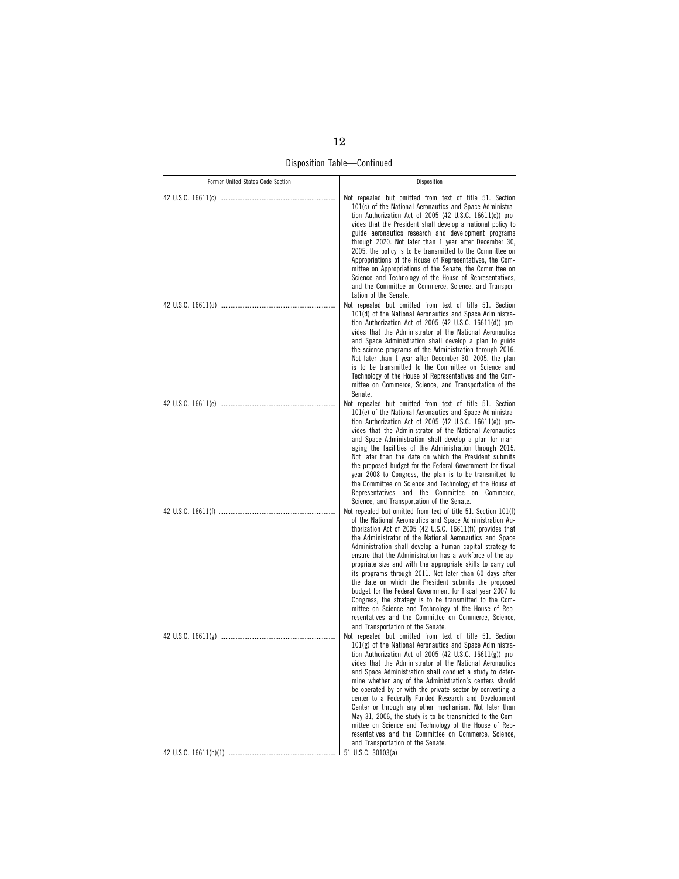Disposition Table—Continued

| Former United States Code Section | Disposition                                                                                                                                                                                                                                                                                                                                                                                                                                                                                                                                                                                                                                                                                                                                                                                                                    |
|-----------------------------------|--------------------------------------------------------------------------------------------------------------------------------------------------------------------------------------------------------------------------------------------------------------------------------------------------------------------------------------------------------------------------------------------------------------------------------------------------------------------------------------------------------------------------------------------------------------------------------------------------------------------------------------------------------------------------------------------------------------------------------------------------------------------------------------------------------------------------------|
|                                   | Not repealed but omitted from text of title 51. Section<br>101(c) of the National Aeronautics and Space Administra-<br>tion Authorization Act of 2005 (42 U.S.C. 16611(c)) pro-<br>vides that the President shall develop a national policy to<br>guide aeronautics research and development programs<br>through 2020. Not later than 1 year after December 30,<br>2005, the policy is to be transmitted to the Committee on<br>Appropriations of the House of Representatives, the Com-<br>mittee on Appropriations of the Senate, the Committee on<br>Science and Technology of the House of Representatives,<br>and the Committee on Commerce, Science, and Transpor-<br>tation of the Senate.                                                                                                                              |
|                                   | Not repealed but omitted from text of title 51. Section<br>101(d) of the National Aeronautics and Space Administra-<br>tion Authorization Act of 2005 (42 U.S.C. 16611(d)) pro-<br>vides that the Administrator of the National Aeronautics<br>and Space Administration shall develop a plan to guide<br>the science programs of the Administration through 2016.<br>Not later than 1 year after December 30, 2005, the plan<br>is to be transmitted to the Committee on Science and<br>Technology of the House of Representatives and the Com-<br>mittee on Commerce, Science, and Transportation of the<br>Senate.                                                                                                                                                                                                           |
|                                   | Not repealed but omitted from text of title 51. Section<br>101(e) of the National Aeronautics and Space Administra-<br>tion Authorization Act of 2005 (42 U.S.C. 16611(e)) pro-<br>vides that the Administrator of the National Aeronautics<br>and Space Administration shall develop a plan for man-<br>aging the facilities of the Administration through 2015.<br>Not later than the date on which the President submits<br>the proposed budget for the Federal Government for fiscal<br>year 2008 to Congress, the plan is to be transmitted to<br>the Committee on Science and Technology of the House of<br>Representatives and the Committee on Commerce,<br>Science, and Transportation of the Senate.                                                                                                                 |
|                                   | Not repealed but omitted from text of title 51. Section 101(f)<br>of the National Aeronautics and Space Administration Au-<br>thorization Act of 2005 (42 U.S.C. 16611(f)) provides that<br>the Administrator of the National Aeronautics and Space<br>Administration shall develop a human capital strategy to<br>ensure that the Administration has a workforce of the ap-<br>propriate size and with the appropriate skills to carry out<br>its programs through 2011. Not later than 60 days after<br>the date on which the President submits the proposed<br>budget for the Federal Government for fiscal year 2007 to<br>Congress, the strategy is to be transmitted to the Com-<br>mittee on Science and Technology of the House of Rep-<br>resentatives and the Committee on Commerce, Science,                        |
|                                   | and Transportation of the Senate.<br>Not repealed but omitted from text of title 51. Section<br>101(g) of the National Aeronautics and Space Administra-<br>tion Authorization Act of 2005 (42 U.S.C. 16611(g)) pro-<br>vides that the Administrator of the National Aeronautics<br>and Space Administration shall conduct a study to deter-<br>mine whether any of the Administration's centers should<br>be operated by or with the private sector by converting a<br>center to a Federally Funded Research and Development<br>Center or through any other mechanism. Not later than<br>May 31, 2006, the study is to be transmitted to the Com-<br>mittee on Science and Technology of the House of Rep-<br>resentatives and the Committee on Commerce, Science,<br>and Transportation of the Senate.<br>51 U.S.C. 30103(a) |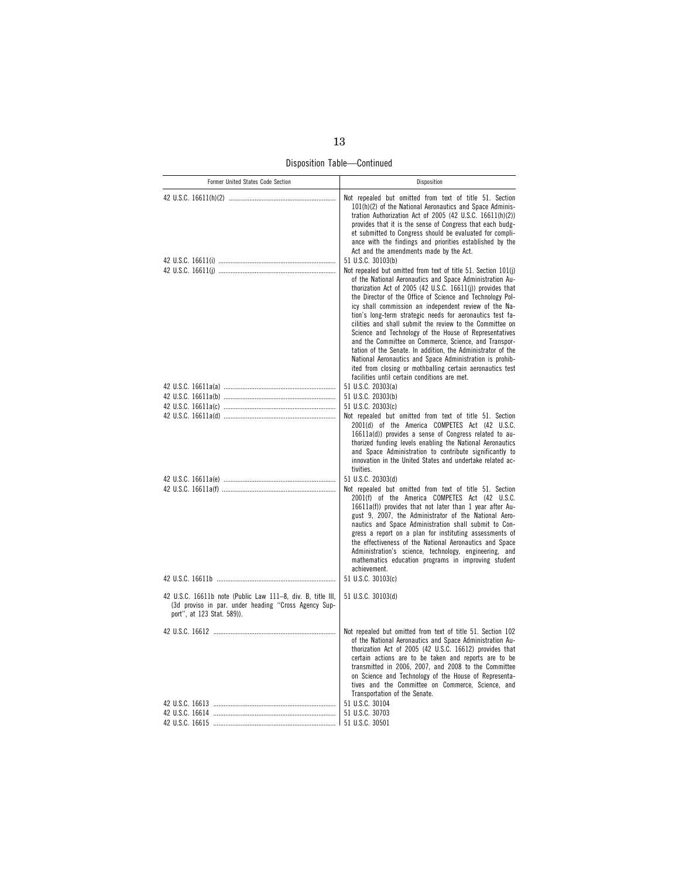Disposition Table—Continued

| Former United States Code Section                                                                                                                 | Disposition                                                                                                                                                                                                                                                                                                                                                                                                                                                                                                                                                                                                                                                                                                                                                                                                              |
|---------------------------------------------------------------------------------------------------------------------------------------------------|--------------------------------------------------------------------------------------------------------------------------------------------------------------------------------------------------------------------------------------------------------------------------------------------------------------------------------------------------------------------------------------------------------------------------------------------------------------------------------------------------------------------------------------------------------------------------------------------------------------------------------------------------------------------------------------------------------------------------------------------------------------------------------------------------------------------------|
|                                                                                                                                                   | Not repealed but omitted from text of title 51. Section<br>101(h)(2) of the National Aeronautics and Space Adminis-<br>tration Authorization Act of 2005 (42 U.S.C. 16611(h)(2))<br>provides that it is the sense of Congress that each budg-<br>et submitted to Congress should be evaluated for compli-<br>ance with the findings and priorities established by the<br>Act and the amendments made by the Act.                                                                                                                                                                                                                                                                                                                                                                                                         |
|                                                                                                                                                   | 51 U.S.C. 30103(b)<br>Not repealed but omitted from text of title 51. Section 101(j)<br>of the National Aeronautics and Space Administration Au-<br>thorization Act of 2005 (42 U.S.C. 16611(j)) provides that<br>the Director of the Office of Science and Technology Pol-<br>icy shall commission an independent review of the Na-<br>tion's long-term strategic needs for aeronautics test fa-<br>cilities and shall submit the review to the Committee on<br>Science and Technology of the House of Representatives<br>and the Committee on Commerce, Science, and Transpor-<br>tation of the Senate. In addition, the Administrator of the<br>National Aeronautics and Space Administration is prohib-<br>ited from closing or mothballing certain aeronautics test<br>facilities until certain conditions are met. |
|                                                                                                                                                   | 51 U.S.C. 20303(a)                                                                                                                                                                                                                                                                                                                                                                                                                                                                                                                                                                                                                                                                                                                                                                                                       |
|                                                                                                                                                   | 51 U.S.C. 20303(b)                                                                                                                                                                                                                                                                                                                                                                                                                                                                                                                                                                                                                                                                                                                                                                                                       |
|                                                                                                                                                   | 51 U.S.C. 20303(c)<br>Not repealed but omitted from text of title 51. Section                                                                                                                                                                                                                                                                                                                                                                                                                                                                                                                                                                                                                                                                                                                                            |
|                                                                                                                                                   | 2001(d) of the America COMPETES Act (42 U.S.C.<br>16611a(d)) provides a sense of Congress related to au-<br>thorized funding levels enabling the National Aeronautics<br>and Space Administration to contribute significantly to<br>innovation in the United States and undertake related ac-<br>tivities.                                                                                                                                                                                                                                                                                                                                                                                                                                                                                                               |
|                                                                                                                                                   | 51 U.S.C. 20303(d)<br>Not repealed but omitted from text of title 51. Section<br>2001(f) of the America COMPETES Act (42 U.S.C.<br>16611a(f)) provides that not later than 1 year after Au-<br>gust 9, 2007, the Administrator of the National Aero-<br>nautics and Space Administration shall submit to Con-<br>gress a report on a plan for instituting assessments of<br>the effectiveness of the National Aeronautics and Space<br>Administration's science, technology, engineering, and<br>mathematics education programs in improving student<br>achievement.                                                                                                                                                                                                                                                     |
|                                                                                                                                                   | 51 U.S.C. 30103(c)                                                                                                                                                                                                                                                                                                                                                                                                                                                                                                                                                                                                                                                                                                                                                                                                       |
| 42 U.S.C. 16611b note (Public Law 111-8, div. B, title III,<br>(3d proviso in par. under heading "Cross Agency Sup-<br>port", at 123 Stat. 589)). | 51 U.S.C. 30103(d)                                                                                                                                                                                                                                                                                                                                                                                                                                                                                                                                                                                                                                                                                                                                                                                                       |
|                                                                                                                                                   | Not repealed but omitted from text of title 51. Section 102<br>of the National Aeronautics and Space Administration Au-<br>thorization Act of 2005 (42 U.S.C. 16612) provides that<br>certain actions are to be taken and reports are to be<br>transmitted in 2006, 2007, and 2008 to the Committee<br>on Science and Technology of the House of Representa-<br>tives and the Committee on Commerce, Science, and<br>Transportation of the Senate.                                                                                                                                                                                                                                                                                                                                                                       |
|                                                                                                                                                   | 51 U.S.C. 30104                                                                                                                                                                                                                                                                                                                                                                                                                                                                                                                                                                                                                                                                                                                                                                                                          |
|                                                                                                                                                   | 51 U.S.C. 30703                                                                                                                                                                                                                                                                                                                                                                                                                                                                                                                                                                                                                                                                                                                                                                                                          |
|                                                                                                                                                   | 51 U.S.C. 30501                                                                                                                                                                                                                                                                                                                                                                                                                                                                                                                                                                                                                                                                                                                                                                                                          |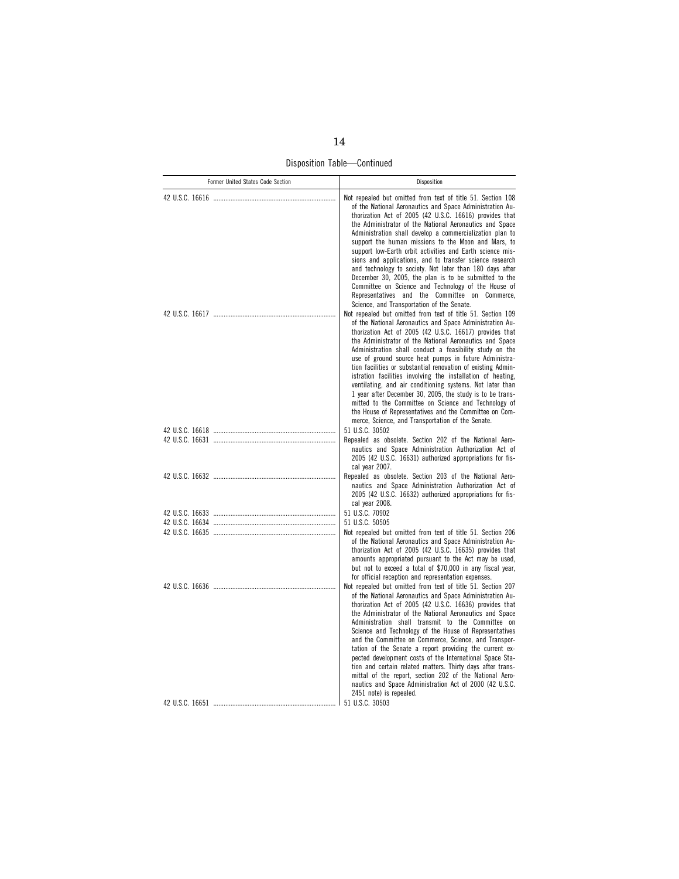Disposition Table—Continued

| Former United States Code Section | Disposition                                                                                                                                                                                                                                                                                                                                                                                                                                                                                                                                                                                                                                                                                                                                                                                       |
|-----------------------------------|---------------------------------------------------------------------------------------------------------------------------------------------------------------------------------------------------------------------------------------------------------------------------------------------------------------------------------------------------------------------------------------------------------------------------------------------------------------------------------------------------------------------------------------------------------------------------------------------------------------------------------------------------------------------------------------------------------------------------------------------------------------------------------------------------|
|                                   | Not repealed but omitted from text of title 51. Section 108<br>of the National Aeronautics and Space Administration Au-<br>thorization Act of 2005 (42 U.S.C. 16616) provides that<br>the Administrator of the National Aeronautics and Space<br>Administration shall develop a commercialization plan to<br>support the human missions to the Moon and Mars, to<br>support low-Earth orbit activities and Earth science mis-<br>sions and applications, and to transfer science research<br>and technology to society. Not later than 180 days after<br>December 30, 2005, the plan is to be submitted to the<br>Committee on Science and Technology of the House of<br>Representatives and the Committee on Commerce,<br>Science, and Transportation of the Senate.                             |
|                                   | Not repealed but omitted from text of title 51. Section 109<br>of the National Aeronautics and Space Administration Au-<br>thorization Act of 2005 (42 U.S.C. 16617) provides that<br>the Administrator of the National Aeronautics and Space<br>Administration shall conduct a feasibility study on the<br>use of ground source heat pumps in future Administra-<br>tion facilities or substantial renovation of existing Admin-<br>istration facilities involving the installation of heating,<br>ventilating, and air conditioning systems. Not later than<br>1 year after December 30, 2005, the study is to be trans-<br>mitted to the Committee on Science and Technology of<br>the House of Representatives and the Committee on Com-<br>merce, Science, and Transportation of the Senate. |
|                                   | 51 U.S.C. 30502<br>Repealed as obsolete. Section 202 of the National Aero-<br>nautics and Space Administration Authorization Act of<br>2005 (42 U.S.C. 16631) authorized appropriations for fis-<br>cal year 2007.                                                                                                                                                                                                                                                                                                                                                                                                                                                                                                                                                                                |
|                                   | Repealed as obsolete. Section 203 of the National Aero-<br>nautics and Space Administration Authorization Act of<br>2005 (42 U.S.C. 16632) authorized appropriations for fis-<br>cal year 2008.                                                                                                                                                                                                                                                                                                                                                                                                                                                                                                                                                                                                   |
|                                   | 51 U.S.C. 70902                                                                                                                                                                                                                                                                                                                                                                                                                                                                                                                                                                                                                                                                                                                                                                                   |
|                                   | 51 U.S.C. 50505                                                                                                                                                                                                                                                                                                                                                                                                                                                                                                                                                                                                                                                                                                                                                                                   |
|                                   | Not repealed but omitted from text of title 51. Section 206<br>of the National Aeronautics and Space Administration Au-<br>thorization Act of 2005 (42 U.S.C. 16635) provides that<br>amounts appropriated pursuant to the Act may be used,<br>but not to exceed a total of \$70,000 in any fiscal year,<br>for official reception and representation expenses.                                                                                                                                                                                                                                                                                                                                                                                                                                   |
|                                   | Not repealed but omitted from text of title 51. Section 207<br>of the National Aeronautics and Space Administration Au-<br>thorization Act of 2005 (42 U.S.C. 16636) provides that<br>the Administrator of the National Aeronautics and Space<br>Administration shall transmit to the Committee on<br>Science and Technology of the House of Representatives<br>and the Committee on Commerce, Science, and Transpor-<br>tation of the Senate a report providing the current ex-<br>pected development costs of the International Space Sta-<br>tion and certain related matters. Thirty days after trans-<br>mittal of the report, section 202 of the National Aero-<br>nautics and Space Administration Act of 2000 (42 U.S.C.<br>2451 note) is repealed.                                       |
|                                   | 51 U.S.C. 30503                                                                                                                                                                                                                                                                                                                                                                                                                                                                                                                                                                                                                                                                                                                                                                                   |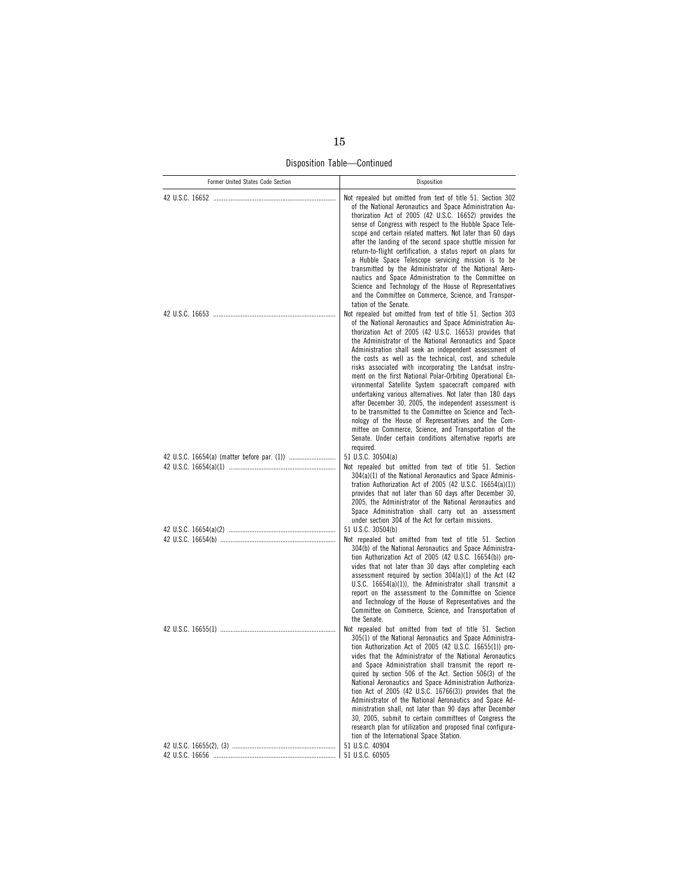Disposition Table—Continued

| Former United States Code Section | Disposition                                                                                                                                                                                                                                                                                                                                                                                                                                                                                                                                                                                                                                                                                                                                                                                                                                                                                                                    |
|-----------------------------------|--------------------------------------------------------------------------------------------------------------------------------------------------------------------------------------------------------------------------------------------------------------------------------------------------------------------------------------------------------------------------------------------------------------------------------------------------------------------------------------------------------------------------------------------------------------------------------------------------------------------------------------------------------------------------------------------------------------------------------------------------------------------------------------------------------------------------------------------------------------------------------------------------------------------------------|
|                                   | Not repealed but omitted from text of title 51. Section 302<br>of the National Aeronautics and Space Administration Au-<br>thorization Act of 2005 (42 U.S.C. 16652) provides the<br>sense of Congress with respect to the Hubble Space Tele-<br>scope and certain related matters. Not later than 60 days<br>after the landing of the second space shuttle mission for<br>return-to-flight certification, a status report on plans for<br>a Hubble Space Telescope servicing mission is to be<br>transmitted by the Administrator of the National Aero-<br>nautics and Space Administration to the Committee on<br>Science and Technology of the House of Representatives<br>and the Committee on Commerce, Science, and Transpor-<br>tation of the Senate.                                                                                                                                                                   |
|                                   | Not repealed but omitted from text of title 51. Section 303<br>of the National Aeronautics and Space Administration Au-<br>thorization Act of 2005 (42 U.S.C. 16653) provides that<br>the Administrator of the National Aeronautics and Space<br>Administration shall seek an independent assessment of<br>the costs as well as the technical, cost, and schedule<br>risks associated with incorporating the Landsat instru-<br>ment on the first National Polar-Orbiting Operational En-<br>vironmental Satellite System spacecraft compared with<br>undertaking various alternatives. Not later than 180 days<br>after December 30, 2005, the independent assessment is<br>to be transmitted to the Committee on Science and Tech-<br>nology of the House of Representatives and the Com-<br>mittee on Commerce, Science, and Transportation of the<br>Senate. Under certain conditions alternative reports are<br>required. |
|                                   | 51 U.S.C. 30504(a)<br>Not repealed but omitted from text of title 51. Section<br>304(a)(1) of the National Aeronautics and Space Adminis-<br>tration Authorization Act of 2005 (42 U.S.C. 16654(a)(1))<br>provides that not later than 60 days after December 30,<br>2005, the Administrator of the National Aeronautics and<br>Space Administration shall carry out an assessment                                                                                                                                                                                                                                                                                                                                                                                                                                                                                                                                             |
|                                   | under section 304 of the Act for certain missions.<br>51 U.S.C. 30504(b)                                                                                                                                                                                                                                                                                                                                                                                                                                                                                                                                                                                                                                                                                                                                                                                                                                                       |
|                                   | Not repealed but omitted from text of title 51. Section<br>304(b) of the National Aeronautics and Space Administra-<br>tion Authorization Act of 2005 (42 U.S.C. 16654(b)) pro-<br>vides that not later than 30 days after completing each<br>assessment required by section $304(a)(1)$ of the Act (42)<br>U.S.C. $16654(a)(1)$ , the Administrator shall transmit a<br>report on the assessment to the Committee on Science<br>and Technology of the House of Representatives and the<br>Committee on Commerce, Science, and Transportation of<br>the Senate.                                                                                                                                                                                                                                                                                                                                                                |
|                                   | Not repealed but omitted from text of title 51. Section<br>305(1) of the National Aeronautics and Space Administra-<br>tion Authorization Act of 2005 (42 U.S.C. 16655(1)) pro-<br>vides that the Administrator of the National Aeronautics<br>and Space Administration shall transmit the report re-<br>quired by section 506 of the Act. Section 506(3) of the<br>National Aeronautics and Space Administration Authoriza-<br>tion Act of 2005 (42 U.S.C. $16766(3)$ ) provides that the<br>Administrator of the National Aeronautics and Space Ad-<br>ministration shall, not later than 90 days after December<br>30, 2005, submit to certain committees of Congress the<br>research plan for utilization and proposed final configura-<br>tion of the International Space Station.                                                                                                                                        |
|                                   | 51 U.S.C. 40904                                                                                                                                                                                                                                                                                                                                                                                                                                                                                                                                                                                                                                                                                                                                                                                                                                                                                                                |
|                                   | 51 U.S.C. 60505                                                                                                                                                                                                                                                                                                                                                                                                                                                                                                                                                                                                                                                                                                                                                                                                                                                                                                                |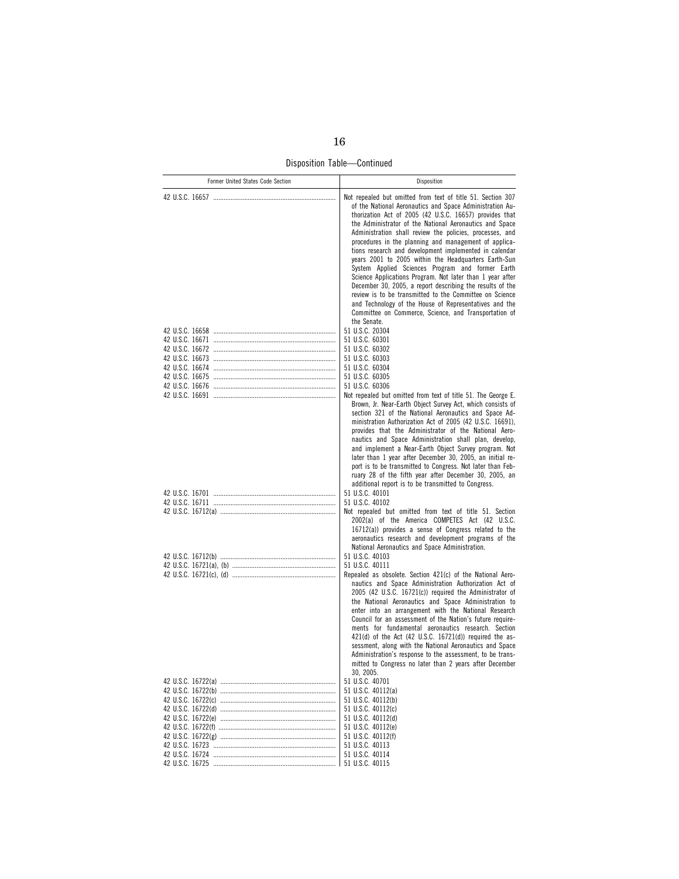Disposition Table—Continued

| Former United States Code Section | Disposition                                                                                                                                                                                                                                                                                                                                                                                                                                                                                                                                                                                                                                                                                                                                                                                                                                                                        |
|-----------------------------------|------------------------------------------------------------------------------------------------------------------------------------------------------------------------------------------------------------------------------------------------------------------------------------------------------------------------------------------------------------------------------------------------------------------------------------------------------------------------------------------------------------------------------------------------------------------------------------------------------------------------------------------------------------------------------------------------------------------------------------------------------------------------------------------------------------------------------------------------------------------------------------|
|                                   | Not repealed but omitted from text of title 51. Section 307<br>of the National Aeronautics and Space Administration Au-<br>thorization Act of 2005 (42 U.S.C. 16657) provides that<br>the Administrator of the National Aeronautics and Space<br>Administration shall review the policies, processes, and<br>procedures in the planning and management of applica-<br>tions research and development implemented in calendar<br>years 2001 to 2005 within the Headquarters Earth-Sun<br>System Applied Sciences Program and former Earth<br>Science Applications Program. Not later than 1 year after<br>December 30, 2005, a report describing the results of the<br>review is to be transmitted to the Committee on Science<br>and Technology of the House of Representatives and the<br>Committee on Commerce, Science, and Transportation of<br>the Senate.<br>51 U.S.C. 20304 |
|                                   | 51 U.S.C. 60301                                                                                                                                                                                                                                                                                                                                                                                                                                                                                                                                                                                                                                                                                                                                                                                                                                                                    |
|                                   | 51 U.S.C. 60302                                                                                                                                                                                                                                                                                                                                                                                                                                                                                                                                                                                                                                                                                                                                                                                                                                                                    |
|                                   | 51 U.S.C. 60303<br>51 U.S.C. 60304                                                                                                                                                                                                                                                                                                                                                                                                                                                                                                                                                                                                                                                                                                                                                                                                                                                 |
|                                   | 51 U.S.C. 60305                                                                                                                                                                                                                                                                                                                                                                                                                                                                                                                                                                                                                                                                                                                                                                                                                                                                    |
|                                   | 51 U.S.C. 60306                                                                                                                                                                                                                                                                                                                                                                                                                                                                                                                                                                                                                                                                                                                                                                                                                                                                    |
|                                   | Not repealed but omitted from text of title 51. The George E.<br>Brown, Jr. Near-Earth Object Survey Act, which consists of<br>section 321 of the National Aeronautics and Space Ad-<br>ministration Authorization Act of 2005 (42 U.S.C. 16691),<br>provides that the Administrator of the National Aero-<br>nautics and Space Administration shall plan, develop,<br>and implement a Near-Earth Object Survey program. Not<br>later than 1 year after December 30, 2005, an initial re-<br>port is to be transmitted to Congress. Not later than Feb-<br>ruary 28 of the fifth year after December 30, 2005, an<br>additional report is to be transmitted to Congress.                                                                                                                                                                                                           |
|                                   | 51 U.S.C. 40101                                                                                                                                                                                                                                                                                                                                                                                                                                                                                                                                                                                                                                                                                                                                                                                                                                                                    |
|                                   | 51 U.S.C. 40102                                                                                                                                                                                                                                                                                                                                                                                                                                                                                                                                                                                                                                                                                                                                                                                                                                                                    |
|                                   | Not repealed but omitted from text of title 51. Section<br>2002(a) of the America COMPETES Act (42 U.S.C.<br>16712(a)) provides a sense of Congress related to the<br>aeronautics research and development programs of the<br>National Aeronautics and Space Administration.                                                                                                                                                                                                                                                                                                                                                                                                                                                                                                                                                                                                       |
|                                   | 51 U.S.C. 40103                                                                                                                                                                                                                                                                                                                                                                                                                                                                                                                                                                                                                                                                                                                                                                                                                                                                    |
|                                   | 51 U.S.C. 40111<br>Repealed as obsolete. Section 421(c) of the National Aero-<br>nautics and Space Administration Authorization Act of<br>2005 (42 U.S.C. 16721(c)) required the Administrator of<br>the National Aeronautics and Space Administration to<br>enter into an arrangement with the National Research<br>Council for an assessment of the Nation's future require-<br>ments for fundamental aeronautics research. Section<br>$421(d)$ of the Act $(42 \text{ U.S.C. } 16721(d))$ required the as-<br>sessment, along with the National Aeronautics and Space<br>Administration's response to the assessment, to be trans-<br>mitted to Congress no later than 2 years after December<br>30, 2005.                                                                                                                                                                      |
|                                   | 51 U.S.C. 40701                                                                                                                                                                                                                                                                                                                                                                                                                                                                                                                                                                                                                                                                                                                                                                                                                                                                    |
|                                   | 51 U.S.C. 40112(a)<br>51 U.S.C. 40112(b)                                                                                                                                                                                                                                                                                                                                                                                                                                                                                                                                                                                                                                                                                                                                                                                                                                           |
|                                   | 51 U.S.C. 40112(c)                                                                                                                                                                                                                                                                                                                                                                                                                                                                                                                                                                                                                                                                                                                                                                                                                                                                 |
|                                   | 51 U.S.C. 40112(d)                                                                                                                                                                                                                                                                                                                                                                                                                                                                                                                                                                                                                                                                                                                                                                                                                                                                 |
|                                   | 51 U.S.C. 40112(e)<br>51 U.S.C. 40112(f)                                                                                                                                                                                                                                                                                                                                                                                                                                                                                                                                                                                                                                                                                                                                                                                                                                           |
|                                   | 51 U.S.C. 40113                                                                                                                                                                                                                                                                                                                                                                                                                                                                                                                                                                                                                                                                                                                                                                                                                                                                    |
|                                   | 51 U.S.C. 40114                                                                                                                                                                                                                                                                                                                                                                                                                                                                                                                                                                                                                                                                                                                                                                                                                                                                    |
|                                   | 51 U.S.C. 40115                                                                                                                                                                                                                                                                                                                                                                                                                                                                                                                                                                                                                                                                                                                                                                                                                                                                    |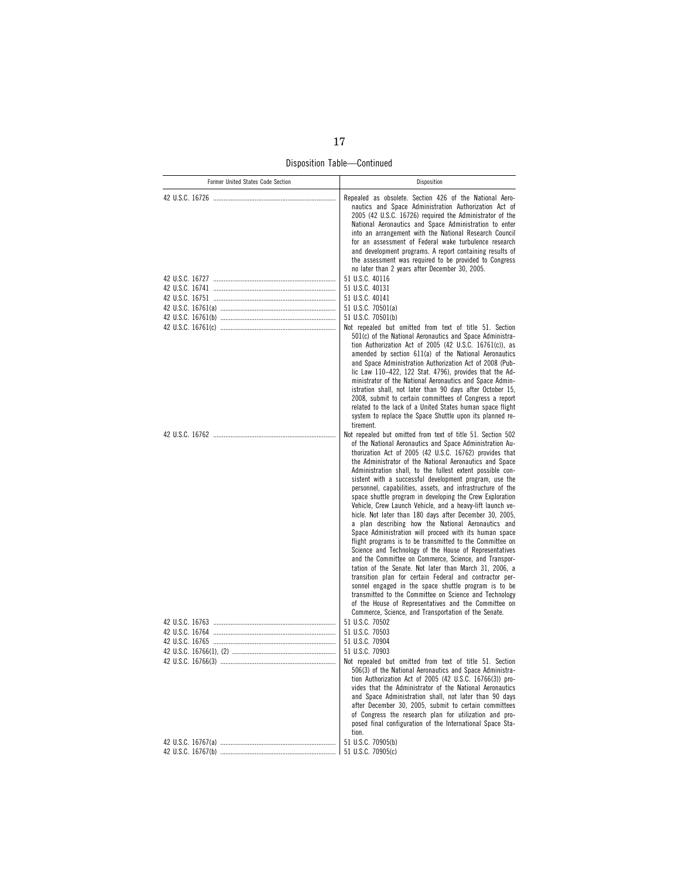Disposition Table—Continued

| Repealed as obsolete. Section 426 of the National Aero-<br>nautics and Space Administration Authorization Act of<br>2005 (42 U.S.C. 16726) required the Administrator of the<br>National Aeronautics and Space Administration to enter<br>into an arrangement with the National Research Council<br>for an assessment of Federal wake turbulence research<br>and development programs. A report containing results of<br>the assessment was required to be provided to Congress<br>no later than 2 years after December 30, 2005.<br>51 U.S.C. 40116<br>51 U.S.C. 40131<br>51 U.S.C. 40141<br>51 U.S.C. 70501(a)<br>51 U.S.C. 70501(b)<br>Not repealed but omitted from text of title 51. Section<br>501(c) of the National Aeronautics and Space Administra-<br>tion Authorization Act of 2005 (42 U.S.C. 16761(c)), as<br>amended by section 611(a) of the National Aeronautics<br>and Space Administration Authorization Act of 2008 (Pub-<br>lic Law 110-422, 122 Stat. 4796), provides that the Ad-<br>ministrator of the National Aeronautics and Space Admin-<br>istration shall, not later than 90 days after October 15.<br>2008, submit to certain committees of Congress a report<br>related to the lack of a United States human space flight<br>system to replace the Space Shuttle upon its planned re-<br>tirement.<br>Not repealed but omitted from text of title 51. Section 502<br>of the National Aeronautics and Space Administration Au-<br>thorization Act of 2005 (42 U.S.C. 16762) provides that<br>the Administrator of the National Aeronautics and Space<br>Administration shall, to the fullest extent possible con-<br>sistent with a successful development program, use the<br>personnel, capabilities, assets, and infrastructure of the<br>space shuttle program in developing the Crew Exploration<br>Vehicle, Crew Launch Vehicle, and a heavy-lift launch ve-<br>hicle. Not later than 180 days after December 30, 2005,<br>a plan describing how the National Aeronautics and<br>Space Administration will proceed with its human space<br>flight programs is to be transmitted to the Committee on<br>Science and Technology of the House of Representatives<br>and the Committee on Commerce, Science, and Transpor-<br>tation of the Senate. Not later than March 31, 2006, a<br>transition plan for certain Federal and contractor per-<br>sonnel engaged in the space shuttle program is to be<br>transmitted to the Committee on Science and Technology<br>of the House of Representatives and the Committee on<br>Commerce, Science, and Transportation of the Senate.<br>51 U.S.C. 70502<br>51 U.S.C. 70503<br>51 U.S.C. 70904<br>51 U.S.C. 70903<br>Not repealed but omitted from text of title 51. Section<br>506(3) of the National Aeronautics and Space Administra-<br>tion Authorization Act of 2005 (42 U.S.C. 16766(3)) pro-<br>vides that the Administrator of the National Aeronautics<br>and Space Administration shall, not later than 90 days<br>after December 30, 2005, submit to certain committees<br>of Congress the research plan for utilization and pro-<br>posed final configuration of the International Space Sta-<br>tion.<br>51 U.S.C. 70905(b) | Former United States Code Section | Disposition |
|------------------------------------------------------------------------------------------------------------------------------------------------------------------------------------------------------------------------------------------------------------------------------------------------------------------------------------------------------------------------------------------------------------------------------------------------------------------------------------------------------------------------------------------------------------------------------------------------------------------------------------------------------------------------------------------------------------------------------------------------------------------------------------------------------------------------------------------------------------------------------------------------------------------------------------------------------------------------------------------------------------------------------------------------------------------------------------------------------------------------------------------------------------------------------------------------------------------------------------------------------------------------------------------------------------------------------------------------------------------------------------------------------------------------------------------------------------------------------------------------------------------------------------------------------------------------------------------------------------------------------------------------------------------------------------------------------------------------------------------------------------------------------------------------------------------------------------------------------------------------------------------------------------------------------------------------------------------------------------------------------------------------------------------------------------------------------------------------------------------------------------------------------------------------------------------------------------------------------------------------------------------------------------------------------------------------------------------------------------------------------------------------------------------------------------------------------------------------------------------------------------------------------------------------------------------------------------------------------------------------------------------------------------------------------------------------------------------------------------------------------------------------------------------------------------------------------------------------------------------------------------------------------------------------------------------------------------------------------------------------------------------------------------------------------------------------------------------------------------------------------------------------------------------------------------------------------------------------|-----------------------------------|-------------|
|                                                                                                                                                                                                                                                                                                                                                                                                                                                                                                                                                                                                                                                                                                                                                                                                                                                                                                                                                                                                                                                                                                                                                                                                                                                                                                                                                                                                                                                                                                                                                                                                                                                                                                                                                                                                                                                                                                                                                                                                                                                                                                                                                                                                                                                                                                                                                                                                                                                                                                                                                                                                                                                                                                                                                                                                                                                                                                                                                                                                                                                                                                                                                                                                                        |                                   |             |
|                                                                                                                                                                                                                                                                                                                                                                                                                                                                                                                                                                                                                                                                                                                                                                                                                                                                                                                                                                                                                                                                                                                                                                                                                                                                                                                                                                                                                                                                                                                                                                                                                                                                                                                                                                                                                                                                                                                                                                                                                                                                                                                                                                                                                                                                                                                                                                                                                                                                                                                                                                                                                                                                                                                                                                                                                                                                                                                                                                                                                                                                                                                                                                                                                        |                                   |             |
|                                                                                                                                                                                                                                                                                                                                                                                                                                                                                                                                                                                                                                                                                                                                                                                                                                                                                                                                                                                                                                                                                                                                                                                                                                                                                                                                                                                                                                                                                                                                                                                                                                                                                                                                                                                                                                                                                                                                                                                                                                                                                                                                                                                                                                                                                                                                                                                                                                                                                                                                                                                                                                                                                                                                                                                                                                                                                                                                                                                                                                                                                                                                                                                                                        |                                   |             |
|                                                                                                                                                                                                                                                                                                                                                                                                                                                                                                                                                                                                                                                                                                                                                                                                                                                                                                                                                                                                                                                                                                                                                                                                                                                                                                                                                                                                                                                                                                                                                                                                                                                                                                                                                                                                                                                                                                                                                                                                                                                                                                                                                                                                                                                                                                                                                                                                                                                                                                                                                                                                                                                                                                                                                                                                                                                                                                                                                                                                                                                                                                                                                                                                                        |                                   |             |
|                                                                                                                                                                                                                                                                                                                                                                                                                                                                                                                                                                                                                                                                                                                                                                                                                                                                                                                                                                                                                                                                                                                                                                                                                                                                                                                                                                                                                                                                                                                                                                                                                                                                                                                                                                                                                                                                                                                                                                                                                                                                                                                                                                                                                                                                                                                                                                                                                                                                                                                                                                                                                                                                                                                                                                                                                                                                                                                                                                                                                                                                                                                                                                                                                        |                                   |             |
|                                                                                                                                                                                                                                                                                                                                                                                                                                                                                                                                                                                                                                                                                                                                                                                                                                                                                                                                                                                                                                                                                                                                                                                                                                                                                                                                                                                                                                                                                                                                                                                                                                                                                                                                                                                                                                                                                                                                                                                                                                                                                                                                                                                                                                                                                                                                                                                                                                                                                                                                                                                                                                                                                                                                                                                                                                                                                                                                                                                                                                                                                                                                                                                                                        |                                   |             |
|                                                                                                                                                                                                                                                                                                                                                                                                                                                                                                                                                                                                                                                                                                                                                                                                                                                                                                                                                                                                                                                                                                                                                                                                                                                                                                                                                                                                                                                                                                                                                                                                                                                                                                                                                                                                                                                                                                                                                                                                                                                                                                                                                                                                                                                                                                                                                                                                                                                                                                                                                                                                                                                                                                                                                                                                                                                                                                                                                                                                                                                                                                                                                                                                                        |                                   |             |
|                                                                                                                                                                                                                                                                                                                                                                                                                                                                                                                                                                                                                                                                                                                                                                                                                                                                                                                                                                                                                                                                                                                                                                                                                                                                                                                                                                                                                                                                                                                                                                                                                                                                                                                                                                                                                                                                                                                                                                                                                                                                                                                                                                                                                                                                                                                                                                                                                                                                                                                                                                                                                                                                                                                                                                                                                                                                                                                                                                                                                                                                                                                                                                                                                        |                                   |             |
|                                                                                                                                                                                                                                                                                                                                                                                                                                                                                                                                                                                                                                                                                                                                                                                                                                                                                                                                                                                                                                                                                                                                                                                                                                                                                                                                                                                                                                                                                                                                                                                                                                                                                                                                                                                                                                                                                                                                                                                                                                                                                                                                                                                                                                                                                                                                                                                                                                                                                                                                                                                                                                                                                                                                                                                                                                                                                                                                                                                                                                                                                                                                                                                                                        |                                   |             |
|                                                                                                                                                                                                                                                                                                                                                                                                                                                                                                                                                                                                                                                                                                                                                                                                                                                                                                                                                                                                                                                                                                                                                                                                                                                                                                                                                                                                                                                                                                                                                                                                                                                                                                                                                                                                                                                                                                                                                                                                                                                                                                                                                                                                                                                                                                                                                                                                                                                                                                                                                                                                                                                                                                                                                                                                                                                                                                                                                                                                                                                                                                                                                                                                                        |                                   |             |
|                                                                                                                                                                                                                                                                                                                                                                                                                                                                                                                                                                                                                                                                                                                                                                                                                                                                                                                                                                                                                                                                                                                                                                                                                                                                                                                                                                                                                                                                                                                                                                                                                                                                                                                                                                                                                                                                                                                                                                                                                                                                                                                                                                                                                                                                                                                                                                                                                                                                                                                                                                                                                                                                                                                                                                                                                                                                                                                                                                                                                                                                                                                                                                                                                        |                                   |             |
|                                                                                                                                                                                                                                                                                                                                                                                                                                                                                                                                                                                                                                                                                                                                                                                                                                                                                                                                                                                                                                                                                                                                                                                                                                                                                                                                                                                                                                                                                                                                                                                                                                                                                                                                                                                                                                                                                                                                                                                                                                                                                                                                                                                                                                                                                                                                                                                                                                                                                                                                                                                                                                                                                                                                                                                                                                                                                                                                                                                                                                                                                                                                                                                                                        |                                   |             |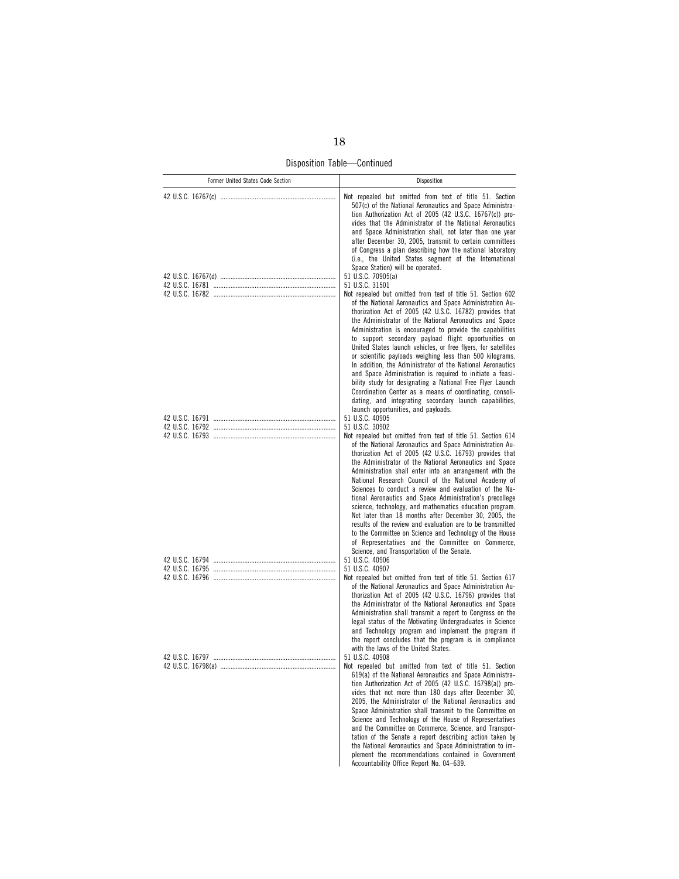Disposition Table—Continued

| Former United States Code Section | Disposition                                                                                                                                                                                                                                                                                                                                                                                                                                                                                                                                                                                                                                                                                                                                                                                                                                         |
|-----------------------------------|-----------------------------------------------------------------------------------------------------------------------------------------------------------------------------------------------------------------------------------------------------------------------------------------------------------------------------------------------------------------------------------------------------------------------------------------------------------------------------------------------------------------------------------------------------------------------------------------------------------------------------------------------------------------------------------------------------------------------------------------------------------------------------------------------------------------------------------------------------|
|                                   | Not repealed but omitted from text of title 51. Section<br>507(c) of the National Aeronautics and Space Administra-<br>tion Authorization Act of 2005 (42 U.S.C. 16767(c)) pro-<br>vides that the Administrator of the National Aeronautics<br>and Space Administration shall, not later than one year<br>after December 30, 2005, transmit to certain committees<br>of Congress a plan describing how the national laboratory<br>(i.e., the United States segment of the International<br>Space Station) will be operated.<br>51 U.S.C. 70905(a)<br>51 U.S.C. 31501                                                                                                                                                                                                                                                                                |
|                                   | Not repealed but omitted from text of title 51. Section 602<br>of the National Aeronautics and Space Administration Au-<br>thorization Act of 2005 (42 U.S.C. 16782) provides that<br>the Administrator of the National Aeronautics and Space<br>Administration is encouraged to provide the capabilities<br>to support secondary payload flight opportunities on<br>United States launch vehicles, or free flyers, for satellites<br>or scientific payloads weighing less than 500 kilograms.<br>In addition, the Administrator of the National Aeronautics<br>and Space Administration is required to initiate a feasi-<br>bility study for designating a National Free Flyer Launch<br>Coordination Center as a means of coordinating, consoli-<br>dating, and integrating secondary launch capabilities,<br>launch opportunities, and payloads. |
|                                   | 51 U.S.C. 40905                                                                                                                                                                                                                                                                                                                                                                                                                                                                                                                                                                                                                                                                                                                                                                                                                                     |
|                                   | 51 U.S.C. 30902                                                                                                                                                                                                                                                                                                                                                                                                                                                                                                                                                                                                                                                                                                                                                                                                                                     |
|                                   | Not repealed but omitted from text of title 51. Section 614<br>of the National Aeronautics and Space Administration Au-<br>thorization Act of 2005 (42 U.S.C. 16793) provides that<br>the Administrator of the National Aeronautics and Space<br>Administration shall enter into an arrangement with the<br>National Research Council of the National Academy of<br>Sciences to conduct a review and evaluation of the Na-<br>tional Aeronautics and Space Administration's precollege<br>science, technology, and mathematics education program.<br>Not later than 18 months after December 30, 2005, the<br>results of the review and evaluation are to be transmitted<br>to the Committee on Science and Technology of the House<br>of Representatives and the Committee on Commerce,<br>Science, and Transportation of the Senate.              |
|                                   | 51 U.S.C. 40906                                                                                                                                                                                                                                                                                                                                                                                                                                                                                                                                                                                                                                                                                                                                                                                                                                     |
|                                   | 51 U.S.C. 40907<br>Not repealed but omitted from text of title 51. Section 617<br>of the National Aeronautics and Space Administration Au-<br>thorization Act of 2005 (42 U.S.C. 16796) provides that<br>the Administrator of the National Aeronautics and Space<br>Administration shall transmit a report to Congress on the<br>legal status of the Motivating Undergraduates in Science<br>and Technology program and implement the program if<br>the report concludes that the program is in compliance<br>with the laws of the United States.                                                                                                                                                                                                                                                                                                   |
|                                   | 51 U.S.C. 40908<br>Not repealed but omitted from text of title 51. Section<br>619(a) of the National Aeronautics and Space Administra-<br>tion Authorization Act of 2005 (42 U.S.C. 16798(a)) pro-<br>vides that not more than 180 days after December 30,<br>2005, the Administrator of the National Aeronautics and<br>Space Administration shall transmit to the Committee on<br>Science and Technology of the House of Representatives<br>and the Committee on Commerce, Science, and Transpor-<br>tation of the Senate a report describing action taken by<br>the National Aeronautics and Space Administration to im-<br>plement the recommendations contained in Government<br>Accountability Office Report No. 04-639.                                                                                                                      |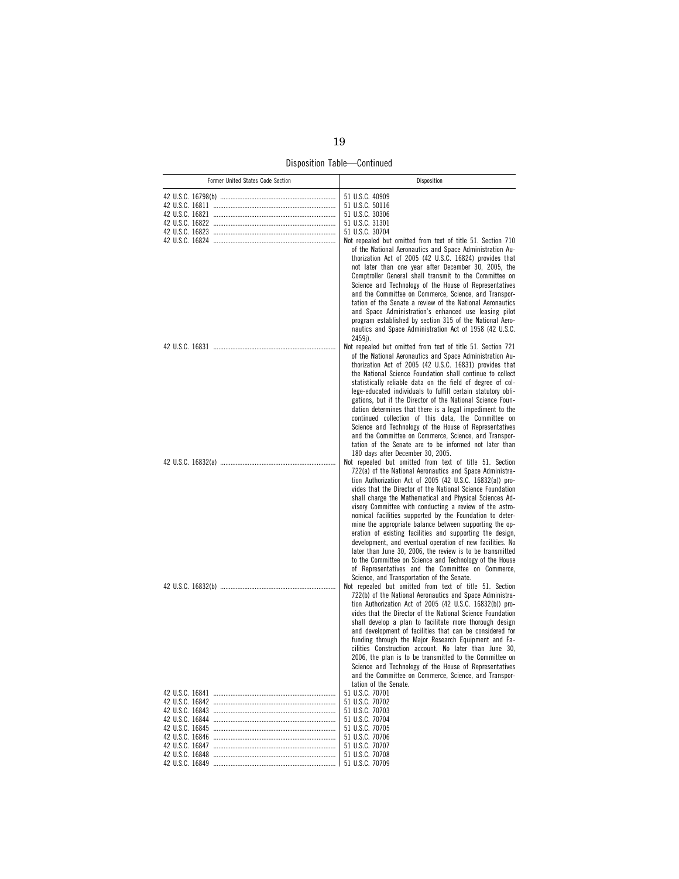Disposition Table—Continued

| Former United States Code Section | Disposition                                                                                                                                                                                                                                                                                                                                                                                                                                                                                                                                                                                                                                                                                                                                                                          |
|-----------------------------------|--------------------------------------------------------------------------------------------------------------------------------------------------------------------------------------------------------------------------------------------------------------------------------------------------------------------------------------------------------------------------------------------------------------------------------------------------------------------------------------------------------------------------------------------------------------------------------------------------------------------------------------------------------------------------------------------------------------------------------------------------------------------------------------|
|                                   | 51 U.S.C. 40909<br>51 U.S.C. 50116<br>51 U.S.C. 30306<br>51 U.S.C. 31301                                                                                                                                                                                                                                                                                                                                                                                                                                                                                                                                                                                                                                                                                                             |
|                                   | 51 U.S.C. 30704                                                                                                                                                                                                                                                                                                                                                                                                                                                                                                                                                                                                                                                                                                                                                                      |
|                                   | Not repealed but omitted from text of title 51. Section 710<br>of the National Aeronautics and Space Administration Au-<br>thorization Act of 2005 (42 U.S.C. 16824) provides that<br>not later than one year after December 30, 2005, the<br>Comptroller General shall transmit to the Committee on<br>Science and Technology of the House of Representatives<br>and the Committee on Commerce, Science, and Transpor-<br>tation of the Senate a review of the National Aeronautics<br>and Space Administration's enhanced use leasing pilot                                                                                                                                                                                                                                        |
|                                   | program established by section 315 of the National Aero-<br>nautics and Space Administration Act of 1958 (42 U.S.C.<br>2459j).<br>Not repealed but omitted from text of title 51. Section 721                                                                                                                                                                                                                                                                                                                                                                                                                                                                                                                                                                                        |
|                                   | of the National Aeronautics and Space Administration Au-<br>thorization Act of 2005 (42 U.S.C. 16831) provides that<br>the National Science Foundation shall continue to collect<br>statistically reliable data on the field of degree of col-<br>lege-educated individuals to fulfill certain statutory obli-<br>gations, but if the Director of the National Science Foun-                                                                                                                                                                                                                                                                                                                                                                                                         |
|                                   | dation determines that there is a legal impediment to the<br>continued collection of this data, the Committee on<br>Science and Technology of the House of Representatives<br>and the Committee on Commerce, Science, and Transpor-<br>tation of the Senate are to be informed not later than<br>180 days after December 30, 2005.<br>Not repealed but omitted from text of title 51. Section                                                                                                                                                                                                                                                                                                                                                                                        |
|                                   | 722(a) of the National Aeronautics and Space Administra-<br>tion Authorization Act of 2005 (42 U.S.C. 16832(a)) pro-<br>vides that the Director of the National Science Foundation<br>shall charge the Mathematical and Physical Sciences Ad-<br>visory Committee with conducting a review of the astro-<br>nomical facilities supported by the Foundation to deter-<br>mine the appropriate balance between supporting the op-<br>eration of existing facilities and supporting the design,<br>development, and eventual operation of new facilities. No<br>later than June 30, 2006, the review is to be transmitted<br>to the Committee on Science and Technology of the House<br>of Representatives and the Committee on Commerce,<br>Science, and Transportation of the Senate. |
|                                   | Not repealed but omitted from text of title 51. Section<br>722(b) of the National Aeronautics and Space Administra-<br>tion Authorization Act of 2005 (42 U.S.C. 16832(b)) pro-<br>vides that the Director of the National Science Foundation<br>shall develop a plan to facilitate more thorough design<br>and development of facilities that can be considered for<br>funding through the Major Research Equipment and Fa-<br>cilities Construction account. No later than June 30,<br>2006, the plan is to be transmitted to the Committee on<br>Science and Technology of the House of Representatives<br>and the Committee on Commerce, Science, and Transpor-<br>tation of the Senate.                                                                                         |
|                                   | 51 U.S.C. 70701                                                                                                                                                                                                                                                                                                                                                                                                                                                                                                                                                                                                                                                                                                                                                                      |
|                                   | 51 U.S.C. 70702                                                                                                                                                                                                                                                                                                                                                                                                                                                                                                                                                                                                                                                                                                                                                                      |
|                                   | 51 U.S.C. 70703                                                                                                                                                                                                                                                                                                                                                                                                                                                                                                                                                                                                                                                                                                                                                                      |
|                                   | 51 U.S.C. 70704<br>51 U.S.C. 70705                                                                                                                                                                                                                                                                                                                                                                                                                                                                                                                                                                                                                                                                                                                                                   |
|                                   | 51 U.S.C. 70706                                                                                                                                                                                                                                                                                                                                                                                                                                                                                                                                                                                                                                                                                                                                                                      |
|                                   | 51 U.S.C. 70707                                                                                                                                                                                                                                                                                                                                                                                                                                                                                                                                                                                                                                                                                                                                                                      |
|                                   | 51 U.S.C. 70708                                                                                                                                                                                                                                                                                                                                                                                                                                                                                                                                                                                                                                                                                                                                                                      |
|                                   |                                                                                                                                                                                                                                                                                                                                                                                                                                                                                                                                                                                                                                                                                                                                                                                      |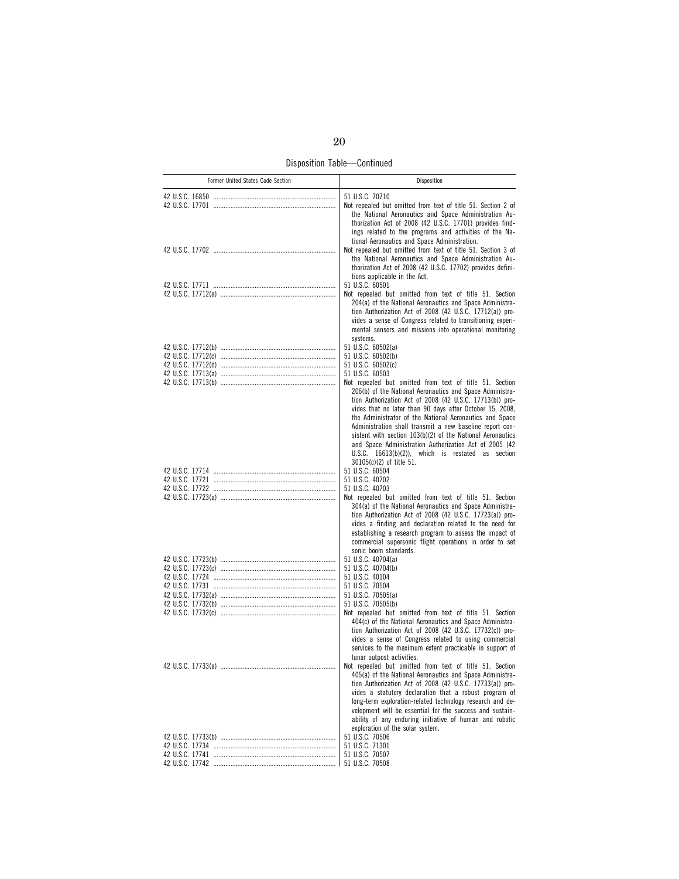Disposition Table—Continued

| Former United States Code Section | Disposition                                                                                                                                                                                                                                                                                                                                                                                                                                                                                                                                       |
|-----------------------------------|---------------------------------------------------------------------------------------------------------------------------------------------------------------------------------------------------------------------------------------------------------------------------------------------------------------------------------------------------------------------------------------------------------------------------------------------------------------------------------------------------------------------------------------------------|
|                                   | 51 U.S.C. 70710<br>Not repealed but omitted from text of title 51. Section 2 of<br>the National Aeronautics and Space Administration Au-<br>thorization Act of 2008 (42 U.S.C. 17701) provides find-<br>ings related to the programs and activities of the Na-                                                                                                                                                                                                                                                                                    |
|                                   | tional Aeronautics and Space Administration.<br>Not repealed but omitted from text of title 51. Section 3 of<br>the National Aeronautics and Space Administration Au-<br>thorization Act of 2008 (42 U.S.C. 17702) provides defini-<br>tions applicable in the Act.                                                                                                                                                                                                                                                                               |
|                                   | 51 U.S.C. 60501                                                                                                                                                                                                                                                                                                                                                                                                                                                                                                                                   |
|                                   | Not repealed but omitted from text of title 51. Section<br>204(a) of the National Aeronautics and Space Administra-<br>tion Authorization Act of 2008 (42 U.S.C. 17712(a)) pro-<br>vides a sense of Congress related to transitioning experi-<br>mental sensors and missions into operational monitoring<br>systems.                                                                                                                                                                                                                              |
|                                   | 51 U.S.C. 60502(a)                                                                                                                                                                                                                                                                                                                                                                                                                                                                                                                                |
|                                   | 51 U.S.C. 60502(b)                                                                                                                                                                                                                                                                                                                                                                                                                                                                                                                                |
|                                   | 51 U.S.C. 60502(c)                                                                                                                                                                                                                                                                                                                                                                                                                                                                                                                                |
|                                   | 51 U.S.C. 60503                                                                                                                                                                                                                                                                                                                                                                                                                                                                                                                                   |
|                                   | Not repealed but omitted from text of title 51. Section<br>206(b) of the National Aeronautics and Space Administra-<br>tion Authorization Act of 2008 (42 U.S.C. 17713(b)) pro-<br>vides that no later than 90 days after October 15, 2008,<br>the Administrator of the National Aeronautics and Space<br>Administration shall transmit a new baseline report con-<br>sistent with section 103(b)(2) of the National Aeronautics<br>and Space Administration Authorization Act of 2005 (42<br>$U.S.C.$ 16613(b)(2)), which is restated as section |
|                                   | 30105(c)(2) of title 51.                                                                                                                                                                                                                                                                                                                                                                                                                                                                                                                          |
|                                   | 51 U.S.C. 60504                                                                                                                                                                                                                                                                                                                                                                                                                                                                                                                                   |
|                                   | 51 U.S.C. 40702                                                                                                                                                                                                                                                                                                                                                                                                                                                                                                                                   |
|                                   | 51 U.S.C. 40703                                                                                                                                                                                                                                                                                                                                                                                                                                                                                                                                   |
|                                   | Not repealed but omitted from text of title 51. Section<br>304(a) of the National Aeronautics and Space Administra-<br>tion Authorization Act of 2008 (42 U.S.C. 17723(a)) pro-<br>vides a finding and declaration related to the need for<br>establishing a research program to assess the impact of<br>commercial supersonic flight operations in order to set<br>sonic boom standards.                                                                                                                                                         |
|                                   | 51 U.S.C. 40704(a)                                                                                                                                                                                                                                                                                                                                                                                                                                                                                                                                |
|                                   | 51 U.S.C. 40704(b)                                                                                                                                                                                                                                                                                                                                                                                                                                                                                                                                |
|                                   | 51 U.S.C. 40104                                                                                                                                                                                                                                                                                                                                                                                                                                                                                                                                   |
|                                   | 51 U.S.C. 70504<br>51 U.S.C. 70505(a)                                                                                                                                                                                                                                                                                                                                                                                                                                                                                                             |
|                                   | 51 U.S.C. 70505(b)                                                                                                                                                                                                                                                                                                                                                                                                                                                                                                                                |
|                                   | Not repealed but omitted from text of title 51. Section<br>404(c) of the National Aeronautics and Space Administra-<br>tion Authorization Act of 2008 (42 U.S.C. 17732(c)) pro-<br>vides a sense of Congress related to using commercial<br>services to the maximum extent practicable in support of<br>lunar outpost activities.                                                                                                                                                                                                                 |
|                                   | Not repealed but omitted from text of title 51. Section                                                                                                                                                                                                                                                                                                                                                                                                                                                                                           |
|                                   | 405(a) of the National Aeronautics and Space Administra-<br>tion Authorization Act of 2008 (42 U.S.C. 17733(a)) pro-<br>vides a statutory declaration that a robust program of<br>long-term exploration-related technology research and de-<br>velopment will be essential for the success and sustain-<br>ability of any enduring initiative of human and robotic<br>exploration of the solar system.                                                                                                                                            |
|                                   | 51 U.S.C. 70506                                                                                                                                                                                                                                                                                                                                                                                                                                                                                                                                   |
|                                   | 51 U.S.C. 71301<br>51 U.S.C. 70507                                                                                                                                                                                                                                                                                                                                                                                                                                                                                                                |
|                                   | 51 U.S.C. 70508                                                                                                                                                                                                                                                                                                                                                                                                                                                                                                                                   |
|                                   |                                                                                                                                                                                                                                                                                                                                                                                                                                                                                                                                                   |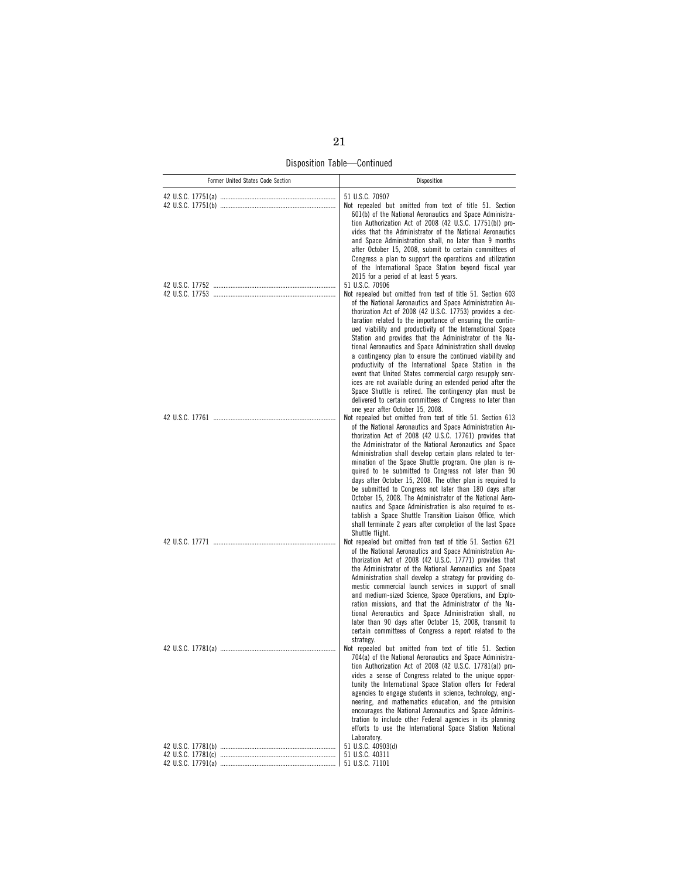Disposition Table—Continued

| Former United States Code Section | Disposition                                                                                                                                                                                                                                                                                                                                                                                                                                                                                                                                                                                                                                                                                                                                                                                                                                       |
|-----------------------------------|---------------------------------------------------------------------------------------------------------------------------------------------------------------------------------------------------------------------------------------------------------------------------------------------------------------------------------------------------------------------------------------------------------------------------------------------------------------------------------------------------------------------------------------------------------------------------------------------------------------------------------------------------------------------------------------------------------------------------------------------------------------------------------------------------------------------------------------------------|
|                                   | 51 U.S.C. 70907<br>Not repealed but omitted from text of title 51. Section<br>601(b) of the National Aeronautics and Space Administra-<br>tion Authorization Act of 2008 (42 U.S.C. 17751(b)) pro-<br>vides that the Administrator of the National Aeronautics<br>and Space Administration shall, no later than 9 months<br>after October 15, 2008, submit to certain committees of<br>Congress a plan to support the operations and utilization<br>of the International Space Station beyond fiscal year<br>2015 for a period of at least 5 years.<br>51 U.S.C. 70906                                                                                                                                                                                                                                                                            |
|                                   | Not repealed but omitted from text of title 51. Section 603<br>of the National Aeronautics and Space Administration Au-<br>thorization Act of 2008 (42 U.S.C. 17753) provides a dec-<br>laration related to the importance of ensuring the contin-<br>ued viability and productivity of the International Space<br>Station and provides that the Administrator of the Na-<br>tional Aeronautics and Space Administration shall develop<br>a contingency plan to ensure the continued viability and<br>productivity of the International Space Station in the<br>event that United States commercial cargo resupply serv-<br>ices are not available during an extended period after the<br>Space Shuttle is retired. The contingency plan must be<br>delivered to certain committees of Congress no later than<br>one year after October 15, 2008. |
|                                   | Not repealed but omitted from text of title 51. Section 613<br>of the National Aeronautics and Space Administration Au-<br>thorization Act of 2008 (42 U.S.C. 17761) provides that<br>the Administrator of the National Aeronautics and Space<br>Administration shall develop certain plans related to ter-<br>mination of the Space Shuttle program. One plan is re-<br>quired to be submitted to Congress not later than 90<br>days after October 15, 2008. The other plan is required to<br>be submitted to Congress not later than 180 days after<br>October 15, 2008. The Administrator of the National Aero-<br>nautics and Space Administration is also required to es-<br>tablish a Space Shuttle Transition Liaison Office, which<br>shall terminate 2 years after completion of the last Space<br>Shuttle flight.                       |
|                                   | Not repealed but omitted from text of title 51. Section 621<br>of the National Aeronautics and Space Administration Au-<br>thorization Act of 2008 (42 U.S.C. 17771) provides that<br>the Administrator of the National Aeronautics and Space<br>Administration shall develop a strategy for providing do-<br>mestic commercial launch services in support of small<br>and medium-sized Science, Space Operations, and Explo-<br>ration missions, and that the Administrator of the Na-<br>tional Aeronautics and Space Administration shall, no<br>later than 90 days after October 15, 2008, transmit to<br>certain committees of Congress a report related to the<br>strategy.                                                                                                                                                                 |
|                                   | Not repealed but omitted from text of title 51. Section<br>704(a) of the National Aeronautics and Space Administra-<br>tion Authorization Act of 2008 (42 U.S.C. 17781(a)) pro-<br>vides a sense of Congress related to the unique oppor-<br>tunity the International Space Station offers for Federal<br>agencies to engage students in science, technology, engi-<br>neering, and mathematics education, and the provision<br>encourages the National Aeronautics and Space Adminis-<br>tration to include other Federal agencies in its planning<br>efforts to use the International Space Station National<br>Laboratory.                                                                                                                                                                                                                     |
|                                   | 51 U.S.C. 40903(d)<br>51 U.S.C. 40311<br>51 U.S.C. 71101                                                                                                                                                                                                                                                                                                                                                                                                                                                                                                                                                                                                                                                                                                                                                                                          |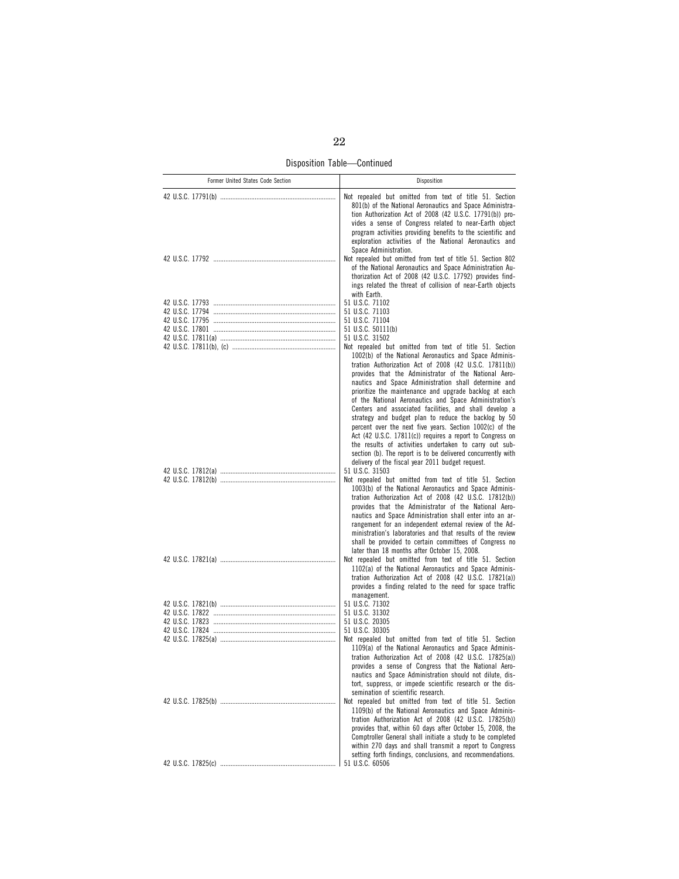Disposition Table—Continued

| Former United States Code Section | Disposition                                                                                                                                                                                                                                                                                                                                                                                                                                                                                                                                                                                                                                                                   |
|-----------------------------------|-------------------------------------------------------------------------------------------------------------------------------------------------------------------------------------------------------------------------------------------------------------------------------------------------------------------------------------------------------------------------------------------------------------------------------------------------------------------------------------------------------------------------------------------------------------------------------------------------------------------------------------------------------------------------------|
|                                   | Not repealed but omitted from text of title 51. Section<br>801(b) of the National Aeronautics and Space Administra-<br>tion Authorization Act of 2008 (42 U.S.C. 17791(b)) pro-<br>vides a sense of Congress related to near-Earth object<br>program activities providing benefits to the scientific and<br>exploration activities of the National Aeronautics and<br>Space Administration.                                                                                                                                                                                                                                                                                   |
|                                   | Not repealed but omitted from text of title 51. Section 802<br>of the National Aeronautics and Space Administration Au-<br>thorization Act of 2008 (42 U.S.C. 17792) provides find-<br>ings related the threat of collision of near-Earth objects<br>with Earth.                                                                                                                                                                                                                                                                                                                                                                                                              |
|                                   | 51 U.S.C. 71102<br>51 U.S.C. 71103<br>51 U.S.C. 71104<br>51 U.S.C. 50111(b)<br>51 U.S.C. 31502<br>Not repealed but omitted from text of title 51. Section<br>1002(b) of the National Aeronautics and Space Adminis-<br>tration Authorization Act of 2008 (42 U.S.C. 17811(b))                                                                                                                                                                                                                                                                                                                                                                                                 |
|                                   | provides that the Administrator of the National Aero-<br>nautics and Space Administration shall determine and<br>prioritize the maintenance and upgrade backlog at each<br>of the National Aeronautics and Space Administration's<br>Centers and associated facilities, and shall develop a<br>strategy and budget plan to reduce the backlog by 50<br>percent over the next five years. Section 1002(c) of the<br>Act (42 U.S.C. 17811(c)) requires a report to Congress on<br>the results of activities undertaken to carry out sub-<br>section (b). The report is to be delivered concurrently with<br>delivery of the fiscal year 2011 budget request.<br>51 U.S.C. 31503 |
|                                   | Not repealed but omitted from text of title 51. Section<br>1003(b) of the National Aeronautics and Space Adminis-<br>tration Authorization Act of 2008 (42 U.S.C. 17812(b))<br>provides that the Administrator of the National Aero-<br>nautics and Space Administration shall enter into an ar-<br>rangement for an independent external review of the Ad-<br>ministration's laboratories and that results of the review<br>shall be provided to certain committees of Congress no<br>later than 18 months after October 15, 2008.                                                                                                                                           |
|                                   | Not repealed but omitted from text of title 51. Section<br>1102(a) of the National Aeronautics and Space Adminis-<br>tration Authorization Act of 2008 (42 U.S.C. 17821(a))<br>provides a finding related to the need for space traffic                                                                                                                                                                                                                                                                                                                                                                                                                                       |
|                                   | management.<br>51 U.S.C. 71302<br>51 U.S.C. 31302<br>51 U.S.C. 20305<br>51 U.S.C. 30305<br>Not repealed but omitted from text of title 51. Section                                                                                                                                                                                                                                                                                                                                                                                                                                                                                                                            |
|                                   | 1109(a) of the National Aeronautics and Space Adminis-<br>tration Authorization Act of 2008 (42 U.S.C. 17825(a))<br>provides a sense of Congress that the National Aero-<br>nautics and Space Administration should not dilute, dis-<br>tort, suppress, or impede scientific research or the dis-<br>semination of scientific research.<br>Not repealed but omitted from text of title 51. Section<br>1109(b) of the National Aeronautics and Space Adminis-<br>tration Authorization Act of 2008 (42 U.S.C. 17825(b))                                                                                                                                                        |
|                                   | provides that, within 60 days after October 15, 2008, the<br>Comptroller General shall initiate a study to be completed<br>within 270 days and shall transmit a report to Congress<br>setting forth findings, conclusions, and recommendations.<br>51 U.S.C. 60506                                                                                                                                                                                                                                                                                                                                                                                                            |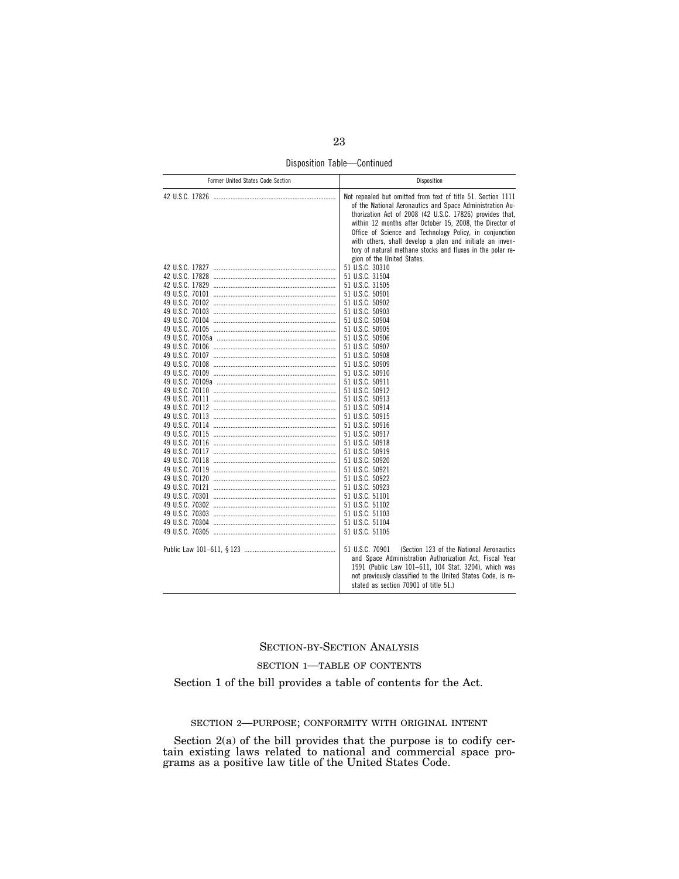Disposition Table—Continued

| Former United States Code Section | Disposition                                                                                                                                                                                                                                                                                                                                                                                                                                                                                                                                                                                                                                                                                                                                                                                                                                                     |  |
|-----------------------------------|-----------------------------------------------------------------------------------------------------------------------------------------------------------------------------------------------------------------------------------------------------------------------------------------------------------------------------------------------------------------------------------------------------------------------------------------------------------------------------------------------------------------------------------------------------------------------------------------------------------------------------------------------------------------------------------------------------------------------------------------------------------------------------------------------------------------------------------------------------------------|--|
|                                   | Not repealed but omitted from text of title 51. Section 1111<br>of the National Aeronautics and Space Administration Au-<br>thorization Act of 2008 (42 U.S.C. 17826) provides that,<br>within 12 months after October 15, 2008, the Director of<br>Office of Science and Technology Policy, in conjunction<br>with others, shall develop a plan and initiate an inven-<br>tory of natural methane stocks and fluxes in the polar re-<br>gion of the United States.<br>51 U.S.C. 30310<br>51 U.S.C. 31504<br>51 U.S.C. 31505<br>51 U.S.C. 50901<br>51 U.S.C. 50902<br>51 U.S.C. 50903<br>51 U.S.C. 50904<br>51 U.S.C. 50905<br>51 U.S.C. 50906<br>51 U.S.C. 50907<br>51 U.S.C. 50908<br>51 U.S.C. 50909<br>51 U.S.C. 50910<br>51 U.S.C. 50911<br>51 U.S.C. 50912<br>51 U.S.C. 50913<br>51 U.S.C. 50914<br>51 U.S.C. 50915<br>51 U.S.C. 50916<br>51 U.S.C. 50917 |  |
|                                   | 51 U.S.C. 50918<br>51 U.S.C. 50919<br>51 U.S.C. 50920<br>51 U.S.C. 50921<br>51 U.S.C. 50922<br>51 U.S.C. 50923                                                                                                                                                                                                                                                                                                                                                                                                                                                                                                                                                                                                                                                                                                                                                  |  |
|                                   | 51 U.S.C. 51101<br>51 U.S.C. 51102<br>51 U.S.C. 51103<br>51 U.S.C. 51104<br>51 U.S.C. 51105                                                                                                                                                                                                                                                                                                                                                                                                                                                                                                                                                                                                                                                                                                                                                                     |  |
|                                   | 51 U.S.C. 70901<br>(Section 123 of the National Aeronautics<br>and Space Administration Authorization Act, Fiscal Year<br>1991 (Public Law 101-611, 104 Stat. 3204), which was<br>not previously classified to the United States Code, is re-<br>stated as section 70901 of title 51.)                                                                                                                                                                                                                                                                                                                                                                                                                                                                                                                                                                          |  |

## SECTION-BY-SECTION ANALYSIS

### SECTION 1—TABLE OF CONTENTS

Section 1 of the bill provides a table of contents for the Act.

## SECTION 2—PURPOSE; CONFORMITY WITH ORIGINAL INTENT

Section 2(a) of the bill provides that the purpose is to codify certain existing laws related to national and commercial space programs as a positive law title of the United States Code.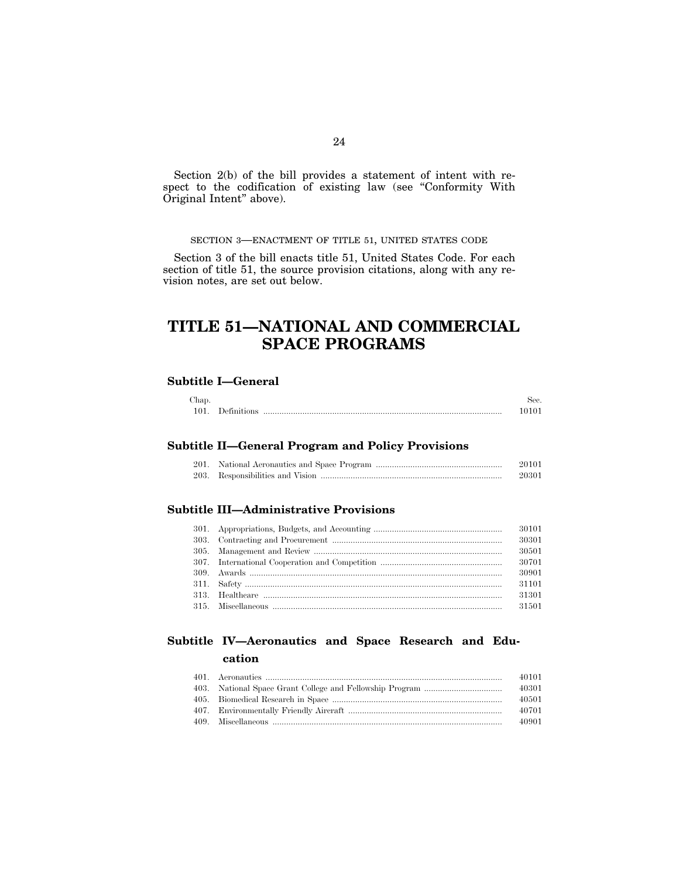Section 2(b) of the bill provides a statement of intent with respect to the codification of existing law (see ''Conformity With Original Intent'' above).

## SECTION 3—ENACTMENT OF TITLE 51, UNITED STATES CODE

Section 3 of the bill enacts title 51, United States Code. For each section of title 51, the source provision citations, along with any revision notes, are set out below.

# **TITLE 51—NATIONAL AND COMMERCIAL SPACE PROGRAMS**

## **Subtitle I—General**

| Chap. |               |      |
|-------|---------------|------|
| 101.  | . Definitions | 1010 |

### **Subtitle II—General Program and Policy Provisions**

|  | 20101 |
|--|-------|
|  | 20301 |

## **Subtitle III—Administrative Provisions**

|  | 30101 |
|--|-------|
|  | 30301 |
|  | 30501 |
|  |       |
|  | 30901 |
|  | 31101 |
|  | 31301 |
|  | 31501 |

## **Subtitle IV—Aeronautics and Space Research and Education**

|  | 40101 |
|--|-------|
|  | 40301 |
|  | 40501 |
|  | 40701 |
|  | 40901 |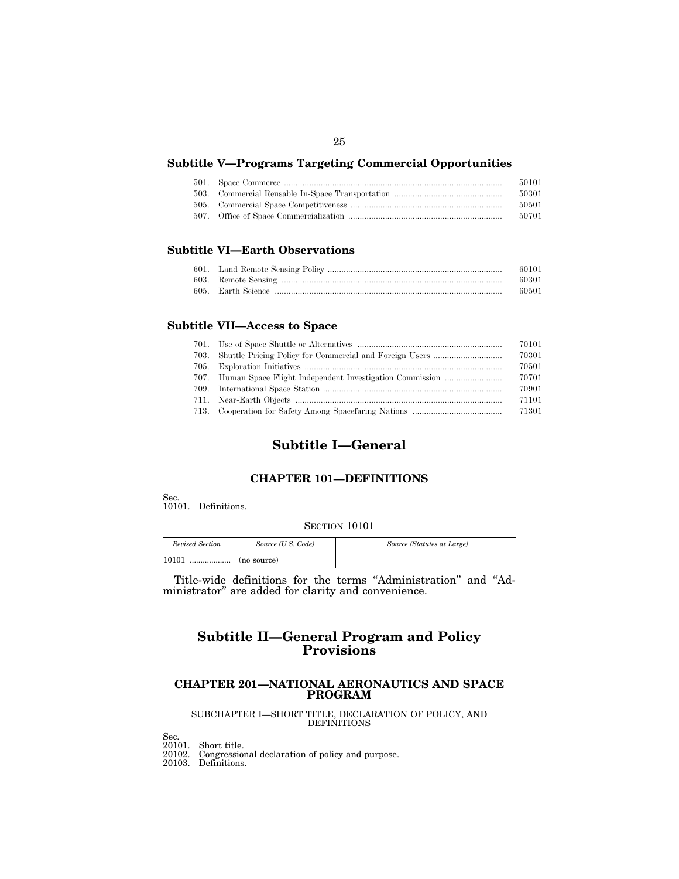## **Subtitle V—Programs Targeting Commercial Opportunities**

|  | 50101 |
|--|-------|
|  | 50301 |
|  | 50501 |
|  | 50701 |

## **Subtitle VI—Earth Observations**

|  | -60101 |
|--|--------|
|  | -60301 |
|  | -60501 |

## **Subtitle VII—Access to Space**

|  | 70101 |
|--|-------|
|  | 70301 |
|  | 70501 |
|  | 70701 |
|  | 70901 |
|  | 71101 |
|  | 71301 |

## **Subtitle I—General**

## **CHAPTER 101—DEFINITIONS**

Sec.

10101. Definitions.

## SECTION 10101

| Revised Section | Source (U.S. Code) | Source (Statutes at Large) |
|-----------------|--------------------|----------------------------|
| 10101<br>       | (no source)        |                            |

Title-wide definitions for the terms ''Administration'' and ''Administrator'' are added for clarity and convenience.

## **Subtitle II—General Program and Policy Provisions**

## **CHAPTER 201—NATIONAL AERONAUTICS AND SPACE PROGRAM**

### SUBCHAPTER I—SHORT TITLE, DECLARATION OF POLICY, AND **DEFINITIONS**

Sec. 20101. Short title.

20102. Congressional declaration of policy and purpose.

20103. Definitions.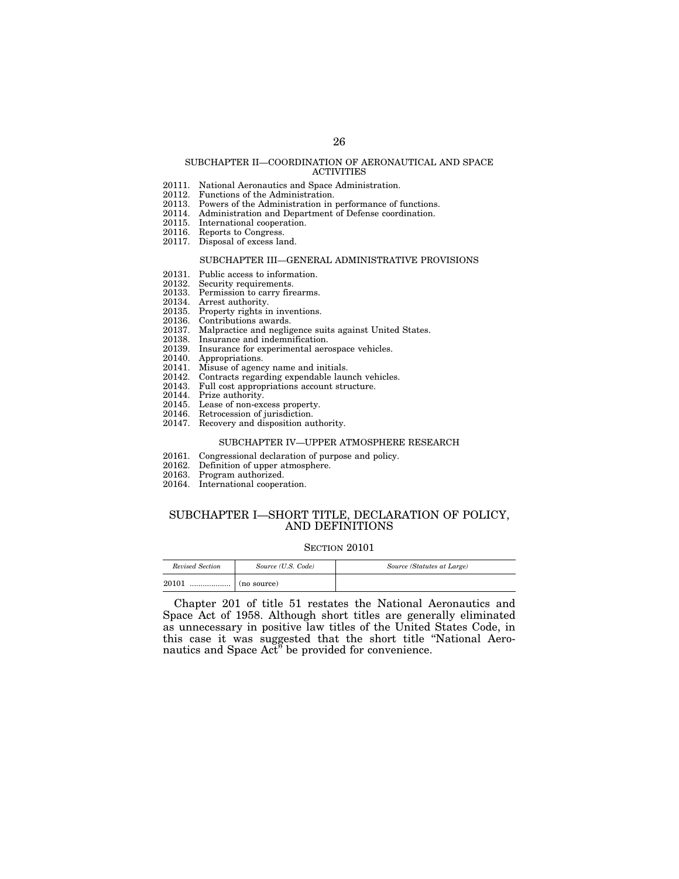#### SUBCHAPTER II—COORDINATION OF AERONAUTICAL AND SPACE ACTIVITIES

- 20111. National Aeronautics and Space Administration.
- 20112. Functions of the Administration.
- 20113. Powers of the Administration in performance of functions.
- 20114. Administration and Department of Defense coordination.<br>20115. International cooperation.
- International cooperation.
- 20116. Reports to Congress.
- 20117. Disposal of excess land.

#### SUBCHAPTER III—GENERAL ADMINISTRATIVE PROVISIONS

- 20131. Public access to information.<br>20132. Security requirements.
- Security requirements.
- 20133. Permission to carry firearms.
- 20134. Arrest authority.
- 20135. Property rights in inventions.
- 20136. Contributions awards.
- 20137. Malpractice and negligence suits against United States.
- Insurance and indemnification.
- 20139. Insurance for experimental aerospace vehicles.
- 20140. Appropriations.<br>20141. Misuse of agenc
- 20141. Misuse of agency name and initials.
- 20142. Contracts regarding expendable launch vehicles.
- Full cost appropriations account structure.
- 20144. Prize authority.<br>20145. Lease of non-exc
- 20145. Lease of non-excess property.<br>20146. Retrocession of iurisdiction.
- Retrocession of jurisdiction.
- 20147. Recovery and disposition authority.

#### SUBCHAPTER IV—UPPER ATMOSPHERE RESEARCH

- 20161. Congressional declaration of purpose and policy.<br>20162. Definition of upper atmosphere.
- 20162. Definition of upper atmosphere.
- Program authorized.
- 20164. International cooperation.

## SUBCHAPTER I—SHORT TITLE, DECLARATION OF POLICY, AND DEFINITIONS

#### SECTION 20101

| Revised Section | Source (U.S. Code) | Source (Statutes at Large) |
|-----------------|--------------------|----------------------------|
| 20101<br>.      | (no source)        |                            |

Chapter 201 of title 51 restates the National Aeronautics and Space Act of 1958. Although short titles are generally eliminated as unnecessary in positive law titles of the United States Code, in this case it was suggested that the short title ''National Aeronautics and Space Act'' be provided for convenience.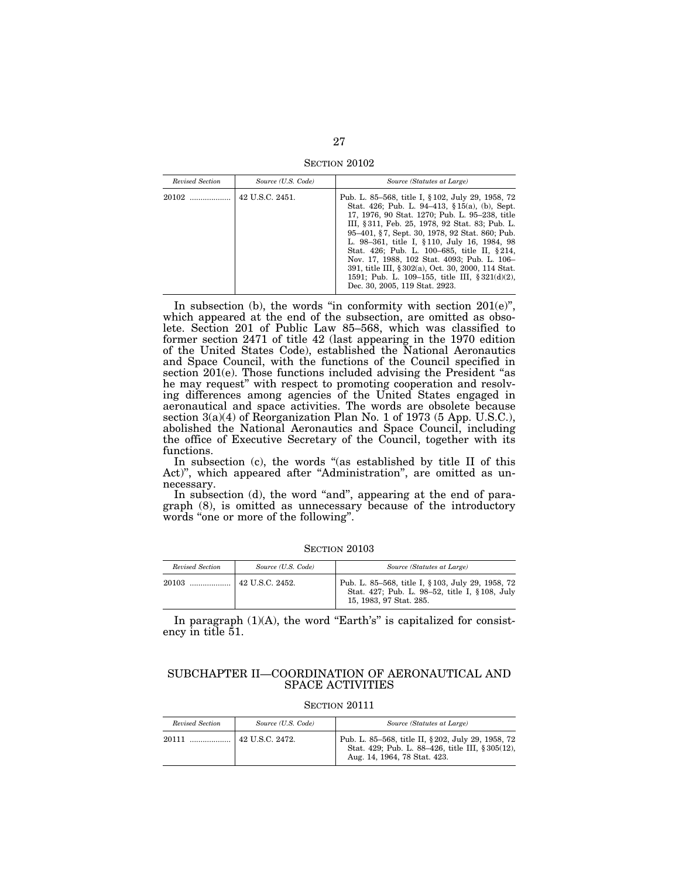SECTION 20102

| Revised Section | Source (U.S. Code) | Source (Statutes at Large)                                                                                                                                                                                                                                                                                                                                                                                                                                                                                                                      |
|-----------------|--------------------|-------------------------------------------------------------------------------------------------------------------------------------------------------------------------------------------------------------------------------------------------------------------------------------------------------------------------------------------------------------------------------------------------------------------------------------------------------------------------------------------------------------------------------------------------|
|                 | 42 U.S.C. 2451.    | Pub. L. 85–568, title I, § 102, July 29, 1958, 72<br>Stat. 426; Pub. L. 94–413, §15(a), (b), Sept.<br>17, 1976, 90 Stat. 1270; Pub. L. 95-238, title<br>III, § 311, Feb. 25, 1978, 92 Stat. 83; Pub. L.<br>95–401, §7, Sept. 30, 1978, 92 Stat. 860; Pub.<br>L. 98-361, title I, §110, July 16, 1984, 98<br>Stat. 426; Pub. L. 100–685, title II, §214,<br>Nov. 17, 1988, 102 Stat. 4093; Pub. L. 106–<br>391, title III, § 302(a), Oct. 30, 2000, 114 Stat.<br>1591; Pub. L. 109–155, title III, §321(d)(2),<br>Dec. 30, 2005, 119 Stat. 2923. |

In subsection (b), the words "in conformity with section  $201(e)$ ", which appeared at the end of the subsection, are omitted as obsolete. Section 201 of Public Law 85–568, which was classified to former section 2471 of title 42 (last appearing in the 1970 edition of the United States Code), established the National Aeronautics and Space Council, with the functions of the Council specified in section 201(e). Those functions included advising the President "as he may request'' with respect to promoting cooperation and resolving differences among agencies of the United States engaged in aeronautical and space activities. The words are obsolete because section 3(a)(4) of Reorganization Plan No. 1 of 1973 (5 App. U.S.C.), abolished the National Aeronautics and Space Council, including the office of Executive Secretary of the Council, together with its functions.

In subsection (c), the words "(as established by title II of this Act)", which appeared after "Administration", are omitted as unnecessary.

In subsection (d), the word "and", appearing at the end of paragraph (8), is omitted as unnecessary because of the introductory words "one or more of the following".

**SECTION 20103** 

| Revised Section | Source (U.S. Code) | Source (Statutes at Large)                                                                                                     |
|-----------------|--------------------|--------------------------------------------------------------------------------------------------------------------------------|
| 20103           | 42 U.S.C. 2452.    | Pub. L. 85–568, title I, § 103, July 29, 1958, 72<br>Stat. 427; Pub. L. 98-52, title I, § 108, July<br>15, 1983, 97 Stat. 285. |

In paragraph  $(1)(A)$ , the word "Earth's" is capitalized for consistency in title 51.

### SUBCHAPTER II—COORDINATION OF AERONAUTICAL AND SPACE ACTIVITIES

| Revised Section | Source (U.S. Code) | Source (Statutes at Large)                                                                                                             |
|-----------------|--------------------|----------------------------------------------------------------------------------------------------------------------------------------|
|                 |                    | Pub. L. 85–568, title II, § 202, July 29, 1958, 72<br>Stat. 429; Pub. L. 88-426, title III, § 305(12),<br>Aug. 14, 1964, 78 Stat. 423. |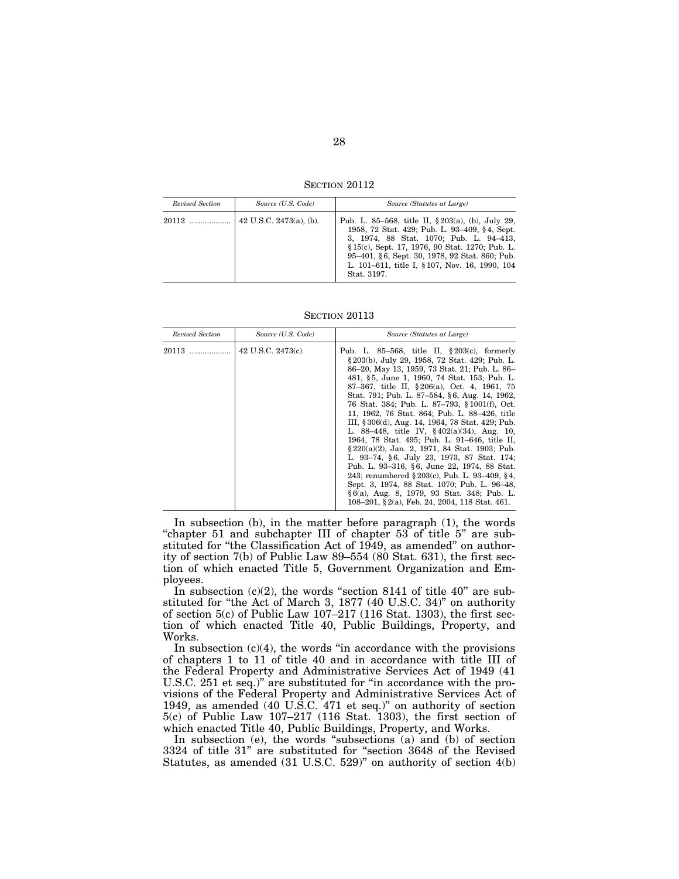SECTION 20112

| Revised Section | Source (U.S. Code)         | Source (Statutes at Large)                                                                                                                                                                                                                                                                                             |
|-----------------|----------------------------|------------------------------------------------------------------------------------------------------------------------------------------------------------------------------------------------------------------------------------------------------------------------------------------------------------------------|
| 20112           | 42 U.S.C. $2473(a)$ , (b). | Pub. L. 85–568, title II, $\S 203(a)$ , (b), July 29,<br>1958, 72 Stat. 429; Pub. L. 93-409, §4, Sept.<br>3, 1974, 88 Stat. 1070; Pub. L. 94-413,<br>§15(c), Sept. 17, 1976, 90 Stat. 1270; Pub. L.<br>95-401, §6, Sept. 30, 1978, 92 Stat. 860; Pub.<br>L. 101–611, title I, § 107, Nov. 16, 1990, 104<br>Stat. 3197. |

SECTION 20113

| Revised Section | Source (U.S. Code)    | Source (Statutes at Large)                                                                                                                                                                                                                                                                                                                                                                                                                                                                                                                                                                                                                                                                                                                                                                                                                                                                                        |
|-----------------|-----------------------|-------------------------------------------------------------------------------------------------------------------------------------------------------------------------------------------------------------------------------------------------------------------------------------------------------------------------------------------------------------------------------------------------------------------------------------------------------------------------------------------------------------------------------------------------------------------------------------------------------------------------------------------------------------------------------------------------------------------------------------------------------------------------------------------------------------------------------------------------------------------------------------------------------------------|
| 20113           | 42 U.S.C. $2473(c)$ . | Pub. L. 85–568, title II, $\S 203(c)$ , formerly<br>§ 203(b), July 29, 1958, 72 Stat. 429; Pub. L.<br>86–20, May 13, 1959, 73 Stat. 21; Pub. L. 86–<br>481, §5, June 1, 1960, 74 Stat. 153; Pub. L.<br>87-367, title II, §206(a), Oct. 4, 1961, 75<br>Stat. 791; Pub. L. 87–584, §6, Aug. 14, 1962,<br>76 Stat. 384; Pub. L. 87–793, §1001(f), Oct.<br>11, 1962, 76 Stat. 864; Pub. L. 88–426, title<br>III, § 306(d), Aug. 14, 1964, 78 Stat. 429; Pub.<br>L. 88–448, title IV, $§402(a)(34)$ , Aug. 10,<br>1964, 78 Stat. 495; Pub. L. 91–646, title II,<br>$\S 220(a)(2)$ , Jan. 2, 1971, 84 Stat. 1903; Pub.<br>L. 93–74, §6, July 23, 1973, 87 Stat. 174;<br>Pub. L. 93–316, §6, June 22, 1974, 88 Stat.<br>243; renumbered $\S 203(c)$ , Pub. L. 93–409, §4,<br>Sept. 3, 1974, 88 Stat. 1070; Pub. L. 96–48,<br>§6(a), Aug. 8, 1979, 93 Stat. 348; Pub. L.<br>108–201, §2(a), Feb. 24, 2004, 118 Stat. 461. |

In subsection (b), in the matter before paragraph (1), the words "chapter 51 and subchapter III of chapter 53 of title 5" are substituted for "the Classification Act of 1949, as amended" on authority of section 7(b) of Public Law 89–554 (80 Stat. 631), the first section of which enacted Title 5, Government Organization and Employees.

In subsection  $(c)(2)$ , the words "section 8141 of title 40" are substituted for ''the Act of March 3, 1877 (40 U.S.C. 34)'' on authority of section 5(c) of Public Law  $107-217$  (116 Stat. 1303), the first section of which enacted Title 40, Public Buildings, Property, and Works.

In subsection  $(c)(4)$ , the words "in accordance with the provisions" of chapters 1 to 11 of title 40 and in accordance with title III of the Federal Property and Administrative Services Act of 1949 (41 U.S.C. 251 et seq.)'' are substituted for ''in accordance with the provisions of the Federal Property and Administrative Services Act of 1949, as amended (40 U.S.C. 471 et seq.)'' on authority of section 5(c) of Public Law 107–217 (116 Stat. 1303), the first section of which enacted Title 40, Public Buildings, Property, and Works.

In subsection (e), the words "subsections  $(a)$  and  $(b)$  of section 3324 of title 31'' are substituted for ''section 3648 of the Revised Statutes, as amended (31 U.S.C. 529)'' on authority of section 4(b)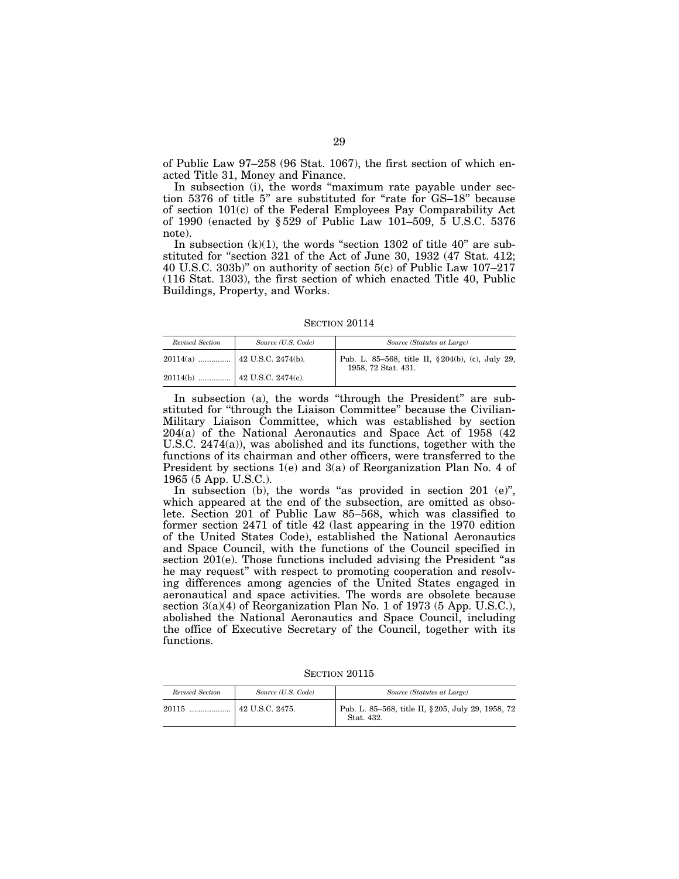of Public Law 97–258 (96 Stat. 1067), the first section of which enacted Title 31, Money and Finance.

In subsection (i), the words ''maximum rate payable under section 5376 of title 5'' are substituted for ''rate for GS–18'' because of section 101(c) of the Federal Employees Pay Comparability Act of 1990 (enacted by § 529 of Public Law 101–509, 5 U.S.C. 5376 note).

In subsection  $(k)(1)$ , the words "section 1302 of title 40" are substituted for "section 321 of the Act of June 30, 1932 (47 Stat. 412; 40 U.S.C. 303b)'' on authority of section 5(c) of Public Law 107–217 (116 Stat. 1303), the first section of which enacted Title 40, Public Buildings, Property, and Works.

SECTION 20114

| Revised Section                 | Source (U.S. Code) | Source (Statutes at Large)                                              |
|---------------------------------|--------------------|-------------------------------------------------------------------------|
| $20114(a)$   42 U.S.C. 2474(b). |                    | Pub. L. 85-568, title II, §204(b), (c), July 29,<br>1958, 72 Stat. 431. |
|                                 |                    |                                                                         |

In subsection (a), the words "through the President" are substituted for "through the Liaison Committee" because the Civilian-Military Liaison Committee, which was established by section 204(a) of the National Aeronautics and Space Act of 1958 (42 U.S.C. 2474(a)), was abolished and its functions, together with the functions of its chairman and other officers, were transferred to the President by sections 1(e) and 3(a) of Reorganization Plan No. 4 of 1965 (5 App. U.S.C.).

In subsection (b), the words "as provided in section 201  $(e)$ ", which appeared at the end of the subsection, are omitted as obsolete. Section 201 of Public Law 85–568, which was classified to former section 2471 of title 42 (last appearing in the 1970 edition of the United States Code), established the National Aeronautics and Space Council, with the functions of the Council specified in section 201(e). Those functions included advising the President "as he may request'' with respect to promoting cooperation and resolving differences among agencies of the United States engaged in aeronautical and space activities. The words are obsolete because section 3(a)(4) of Reorganization Plan No. 1 of 1973 (5 App. U.S.C.), abolished the National Aeronautics and Space Council, including the office of Executive Secretary of the Council, together with its functions.

SECTION 20115

| Revised Section | Source (U.S. Code)    | Source (Statutes at Large)                                       |
|-----------------|-----------------------|------------------------------------------------------------------|
| 20115           | $\pm$ 42 U.S.C. 2475. | Pub. L. 85–568, title II, § 205, July 29, 1958, 72<br>Stat. 432. |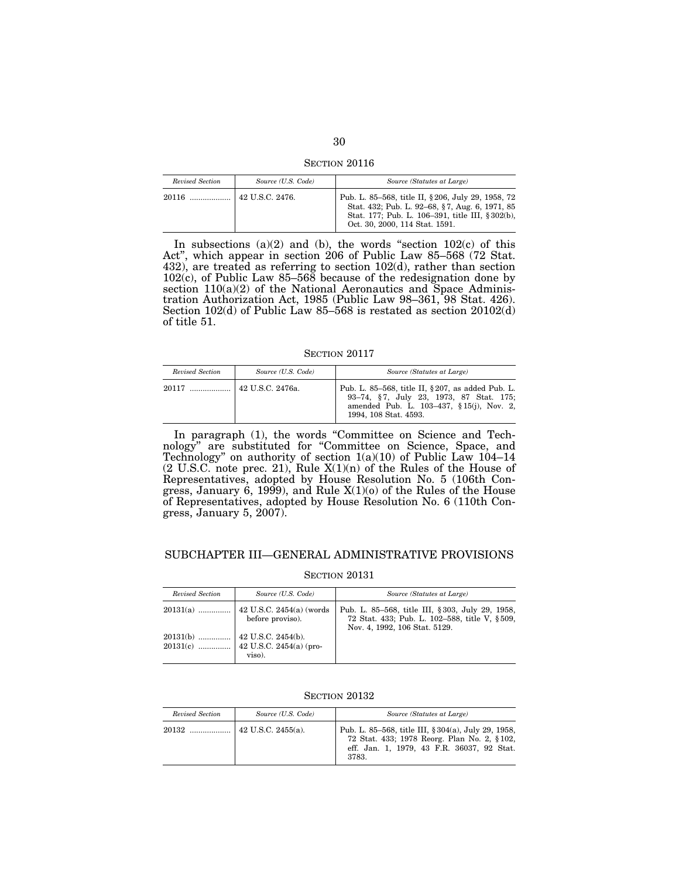SECTION 20116

| Revised Section | Source (U.S. Code) | Source (Statutes at Large)                                                                                                                                                                |
|-----------------|--------------------|-------------------------------------------------------------------------------------------------------------------------------------------------------------------------------------------|
|                 | $142$ U.S.C. 2476. | Pub. L. 85–568, title II, § 206, July 29, 1958, 72<br>Stat. 432; Pub. L. 92-68, §7, Aug. 6, 1971, 85<br>Stat. 177; Pub. L. 106-391, title III, §302(b),<br>Oct. 30, 2000, 114 Stat. 1591. |

In subsections  $(a)(2)$  and  $(b)$ , the words "section  $102(c)$  of this Act'', which appear in section 206 of Public Law 85–568 (72 Stat. 432), are treated as referring to section 102(d), rather than section 102(c), of Public Law 85–568 because of the redesignation done by section  $110(a)(2)$  of the National Aeronautics and Space Administration Authorization Act, 1985 (Public Law 98–361, 98 Stat. 426). Section 102(d) of Public Law 85–568 is restated as section 20102(d) of title 51.

SECTION 20117

| Revised Section | Source (U.S. Code) | Source (Statutes at Large)                                                                                                                                         |
|-----------------|--------------------|--------------------------------------------------------------------------------------------------------------------------------------------------------------------|
|                 |                    | Pub. L. 85–568, title II, § 207, as added Pub. L.<br>93-74, §7, July 23, 1973, 87 Stat. 175;<br>amended Pub. L. 103-437, § 15(j), Nov. 2,<br>1994, 108 Stat. 4593. |

In paragraph (1), the words "Committee on Science and Technology'' are substituted for ''Committee on Science, Space, and Technology'' on authority of section 1(a)(10) of Public Law 104–14  $(2 \text{ U.S.C. note prec. 21})$ , Rule  $X(1)(n)$  of the Rules of the House of Representatives, adopted by House Resolution No. 5 (106th Congress, January 6, 1999), and Rule  $X(1)(0)$  of the Rules of the House of Representatives, adopted by House Resolution No. 6 (110th Congress, January 5, 2007).

### SUBCHAPTER III—GENERAL ADMINISTRATIVE PROVISIONS

| Revised Section | Source (U.S. Code) | Source (Statutes at Large)                                                                                                        |
|-----------------|--------------------|-----------------------------------------------------------------------------------------------------------------------------------|
|                 | before proviso).   | Pub. L. 85–568, title III, §303, July 29, 1958,<br>72 Stat. 433; Pub. L. 102-588, title V, §509,<br>Nov. 4, 1992, 106 Stat. 5129. |
|                 | viso).             |                                                                                                                                   |

SECTION 20132

| Revised Section | Source (U.S. Code) | Source (Statutes at Large)                                                                                                                                |
|-----------------|--------------------|-----------------------------------------------------------------------------------------------------------------------------------------------------------|
|                 | 42 U.S.C. 2455(a). | Pub. L. 85–568, title III, § 304(a), July 29, 1958,<br>72 Stat. 433; 1978 Reorg. Plan No. 2, §102,<br>eff. Jan. 1, 1979, 43 F.R. 36037, 92 Stat.<br>3783. |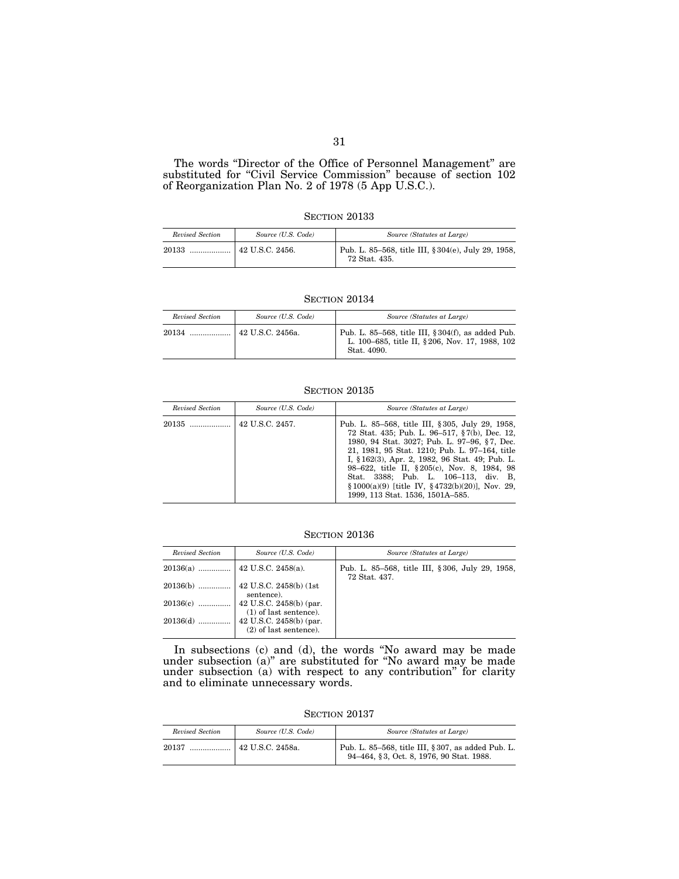#### The words ''Director of the Office of Personnel Management'' are substituted for "Civil Service Commission" because of section 102 of Reorganization Plan No. 2 of 1978 (5 App U.S.C.).

#### SECTION 20133

| Revised Section | Source (U.S. Code) | Source (Statutes at Large)                                           |
|-----------------|--------------------|----------------------------------------------------------------------|
| 20133           |                    | Pub. L. 85–568, title III, § 304(e), July 29, 1958,<br>72 Stat. 435. |

#### SECTION 20134

| Revised Section | Source (U.S. Code)     | Source (Statutes at Large)                                                                                             |
|-----------------|------------------------|------------------------------------------------------------------------------------------------------------------------|
| $20134$         | $\pm$ 42 U.S.C. 2456a. | Pub. L. 85–568, title III, $§ 304(f)$ , as added Pub.<br>L. 100-685, title II, §206, Nov. 17, 1988, 102<br>Stat. 4090. |

## SECTION 20135

| Revised Section | Source (U.S. Code) | Source (Statutes at Large)                                                                                                                                                                                                                                                                                                                                                                                                            |
|-----------------|--------------------|---------------------------------------------------------------------------------------------------------------------------------------------------------------------------------------------------------------------------------------------------------------------------------------------------------------------------------------------------------------------------------------------------------------------------------------|
| 20135           | 42 U.S.C. 2457.    | Pub. L. 85–568, title III, § 305, July 29, 1958,<br>72 Stat. 435; Pub. L. 96–517, §7(b), Dec. 12,<br>1980, 94 Stat. 3027; Pub. L. 97-96, §7, Dec.<br>21, 1981, 95 Stat. 1210; Pub. L. 97-164, title<br>I, §162(3), Apr. 2, 1982, 96 Stat. 49; Pub. L.<br>98–622, title II, §205(c), Nov. 8, 1984, 98<br>Stat. 3388; Pub. L. 106-113, div. B.<br>$§ 1000(a)(9)$ [title IV, §4732(b)(20)], Nov. 29,<br>1999, 113 Stat. 1536, 1501A-585. |

## SECTION 20136

| Revised Section | Source (U.S. Code)                                          | Source (Statutes at Large)                                        |
|-----------------|-------------------------------------------------------------|-------------------------------------------------------------------|
|                 |                                                             | Pub. L. 85–568, title III, § 306, July 29, 1958,<br>72 Stat. 437. |
| $20136(b)$      | $\vert$ 42 U.S.C. 2458(b) (1st<br>sentence).                |                                                                   |
| $20136(c)$      | $42$ U.S.C. 2458(b) (par.<br>$(1)$ of last sentence).       |                                                                   |
| $20136(d)$      | $\vert$ 42 U.S.C. 2458(b) (par.<br>$(2)$ of last sentence). |                                                                   |

In subsections (c) and (d), the words ''No award may be made under subsection (a)'' are substituted for ''No award may be made under subsection (a) with respect to any contribution'' for clarity and to eliminate unnecessary words.

SECTION 20137

| Revised Section | Source (U.S. Code)            | Source (Statutes at Large)                                                                     |
|-----------------|-------------------------------|------------------------------------------------------------------------------------------------|
| 20137           | <sup>1</sup> 42 U.S.C. 2458a. | Pub. L. 85–568, title III, § 307, as added Pub. L.<br>94-464, §3, Oct. 8, 1976, 90 Stat. 1988. |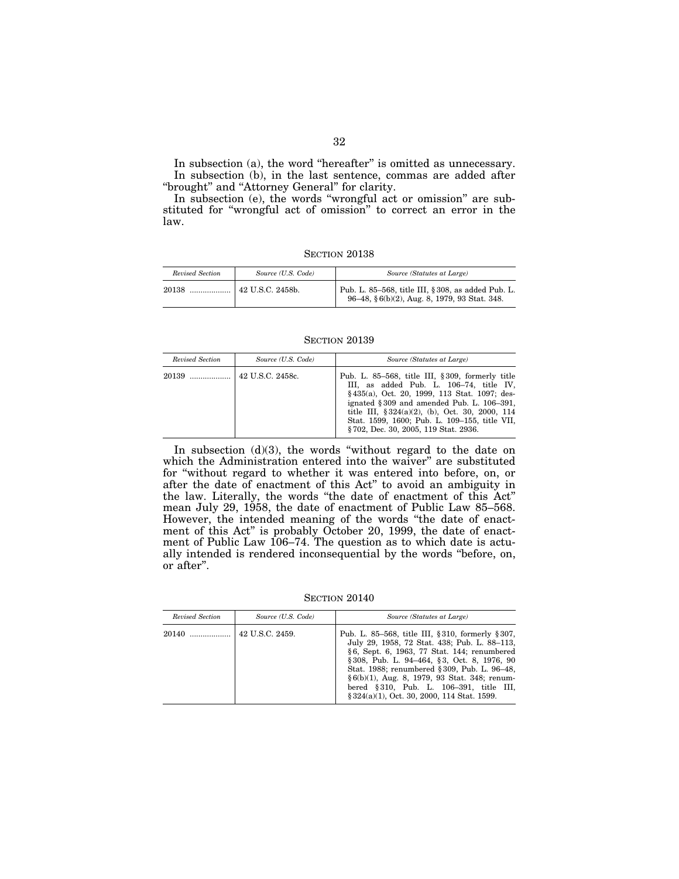In subsection (a), the word "hereafter" is omitted as unnecessary. In subsection (b), in the last sentence, commas are added after "brought" and "Attorney General" for clarity.

In subsection (e), the words "wrongful act or omission" are substituted for ''wrongful act of omission'' to correct an error in the law.

SECTION 20138

| Revised Section | Source (U.S. Code)  | Source (Statutes at Large)                                                                         |
|-----------------|---------------------|----------------------------------------------------------------------------------------------------|
| 20138           | $+42$ U.S.C. 2458b. | Pub. L. 85-568, title III, § 308, as added Pub. L.<br>96-48, §6(b)(2), Aug. 8, 1979, 93 Stat. 348. |

SECTION 20139

| Revised Section | Source (U.S. Code) | Source (Statutes at Large)                                                                                                                                                                                                                                                                                                                      |
|-----------------|--------------------|-------------------------------------------------------------------------------------------------------------------------------------------------------------------------------------------------------------------------------------------------------------------------------------------------------------------------------------------------|
|                 |                    | Pub. L. 85–568, title III, $\S 309$ , formerly title<br>III, as added Pub. L. 106-74, title IV,<br>§435(a), Oct. 20, 1999, 113 Stat. 1097; des-<br>ignated $§ 309$ and amended Pub. L. 106-391,<br>title III, $\S 324(a)(2)$ , (b), Oct. 30, 2000, 114<br>Stat. 1599, 1600; Pub. L. 109–155, title VII,<br>§702, Dec. 30, 2005, 119 Stat. 2936. |

In subsection  $(d)(3)$ , the words "without regard to the date on which the Administration entered into the waiver'' are substituted for ''without regard to whether it was entered into before, on, or after the date of enactment of this Act'' to avoid an ambiguity in the law. Literally, the words ''the date of enactment of this Act'' mean July 29, 1958, the date of enactment of Public Law 85–568. However, the intended meaning of the words "the date of enactment of this Act'' is probably October 20, 1999, the date of enactment of Public Law 106–74. The question as to which date is actually intended is rendered inconsequential by the words ''before, on, or after''.

SECTION 20140

| Revised Section | Source (U.S. Code) | Source (Statutes at Large)                                                                                                                                                                                                                                                                                                                                                                     |
|-----------------|--------------------|------------------------------------------------------------------------------------------------------------------------------------------------------------------------------------------------------------------------------------------------------------------------------------------------------------------------------------------------------------------------------------------------|
| 20140           | 42 U.S.C. 2459.    | Pub. L. 85–568, title III, § 310, formerly § 307,<br>July 29, 1958, 72 Stat. 438; Pub. L. 88-113,<br>§6, Sept. 6, 1963, 77 Stat. 144; renumbered<br>§ 308, Pub. L. 94–464, § 3, Oct. 8, 1976, 90<br>Stat. 1988; renumbered § 309, Pub. L. 96–48,<br>$\S6(b)(1)$ , Aug. 8, 1979, 93 Stat. 348; renum-<br>bered §310, Pub. L. 106-391, title III,<br>§ 324(a)(1), Oct. 30, 2000, 114 Stat. 1599. |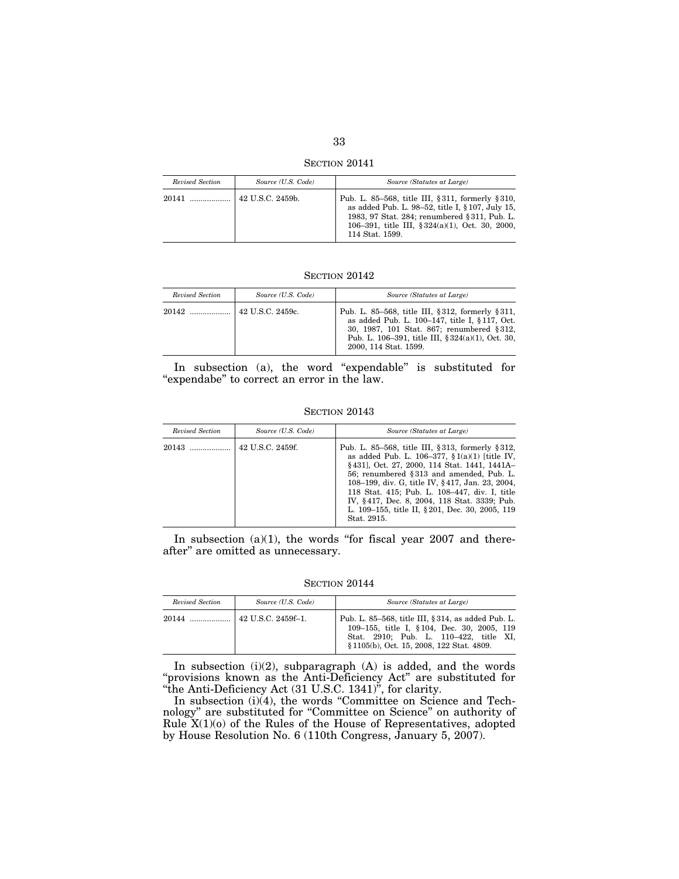SECTION 20141

| Revised Section | Source (U.S. Code) | Source (Statutes at Large)                                                                                                                                                                                                      |
|-----------------|--------------------|---------------------------------------------------------------------------------------------------------------------------------------------------------------------------------------------------------------------------------|
| 20141           | 42 U.S.C. 2459b.   | Pub. L. 85–568, title III, § 311, formerly § 310,<br>as added Pub. L. 98-52, title I, § 107, July 15,<br>1983, 97 Stat. 284; renumbered § 311, Pub. L.<br>106-391, title III, $§ 324(a)(1)$ , Oct. 30, 2000,<br>114 Stat. 1599. |

### SECTION 20142

| Revised Section | Source (U.S. Code) | Source (Statutes at Large)                                                                                                                                                                                                      |
|-----------------|--------------------|---------------------------------------------------------------------------------------------------------------------------------------------------------------------------------------------------------------------------------|
|                 | 42 U.S.C. 2459c.   | Pub. L. 85–568, title III, §312, formerly §311,<br>as added Pub. L. 100-147, title I, § 117, Oct.<br>30, 1987, 101 Stat. 867; renumbered §312.<br>Pub. L. 106–391, title III, $§ 324(a)(1)$ , Oct. 30,<br>2000, 114 Stat. 1599. |

In subsection (a), the word "expendable" is substituted for "expendabe" to correct an error in the law.

#### **SECTION 20143**

| Revised Section | Source (U.S. Code) | Source (Statutes at Large)                                                                                                                                                                                                                                                                                                                                                                                               |
|-----------------|--------------------|--------------------------------------------------------------------------------------------------------------------------------------------------------------------------------------------------------------------------------------------------------------------------------------------------------------------------------------------------------------------------------------------------------------------------|
| $20143$         | 42 U.S.C. 2459f.   | Pub. L. 85–568, title III, § 313, formerly § 312,<br>as added Pub. L. 106-377, $\S 1(a)(1)$ [title IV,<br>§431], Oct. 27, 2000, 114 Stat. 1441, 1441A-<br>56; renumbered §313 and amended, Pub. L.<br>108–199, div. G, title IV, §417, Jan. 23, 2004,<br>118 Stat. 415; Pub. L. 108-447, div. I, title<br>IV, §417, Dec. 8, 2004, 118 Stat. 3339; Pub.<br>L. 109–155, title II, § 201, Dec. 30, 2005, 119<br>Stat. 2915. |

In subsection  $(a)(1)$ , the words "for fiscal year 2007 and thereafter'' are omitted as unnecessary.

**SECTION 20144** 

| Revised Section | Source (U.S. Code) | Source (Statutes at Large)                                                                                                                                                               |
|-----------------|--------------------|------------------------------------------------------------------------------------------------------------------------------------------------------------------------------------------|
|                 |                    | Pub. L. 85–568, title III, § 314, as added Pub. L.<br>109–155, title I, § 104, Dec. 30, 2005, 119<br>Stat. 2910; Pub. L. 110–422, title XI,<br>§ 1105(b), Oct. 15, 2008, 122 Stat. 4809. |

In subsection  $(i)(2)$ , subparagraph  $(A)$  is added, and the words "provisions known as the Anti-Deficiency Act" are substituted for ''the Anti-Deficiency Act (31 U.S.C. 1341)'', for clarity.

In subsection (i)(4), the words ''Committee on Science and Technology'' are substituted for ''Committee on Science'' on authority of Rule  $X(1)(o)$  of the Rules of the House of Representatives, adopted by House Resolution No. 6 (110th Congress, January 5, 2007).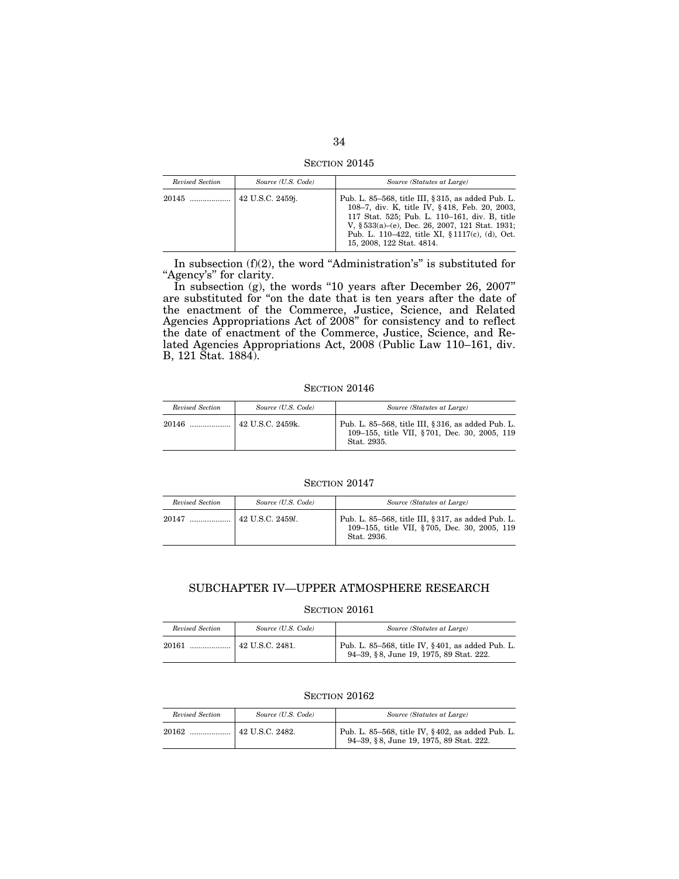SECTION 20145

| Revised Section | Source (U.S. Code) | Source (Statutes at Large)                                                                                                                                                                                                                                                                |
|-----------------|--------------------|-------------------------------------------------------------------------------------------------------------------------------------------------------------------------------------------------------------------------------------------------------------------------------------------|
| 20145           | 42 U.S.C. 2459j.   | Pub. L. 85–568, title III, § 315, as added Pub. L.<br>108–7, div. K, title IV, §418, Feb. 20, 2003,<br>117 Stat. 525; Pub. L. 110-161, div. B, title<br>V, $$533(a)$ –(e), Dec. 26, 2007, 121 Stat. 1931;<br>Pub. L. 110–422, title XI, § 1117(c), (d), Oct.<br>15, 2008, 122 Stat. 4814. |

In subsection  $(f)(2)$ , the word "Administration's" is substituted for "Agency's" for clarity.

In subsection (g), the words ''10 years after December 26, 2007'' are substituted for ''on the date that is ten years after the date of the enactment of the Commerce, Justice, Science, and Related Agencies Appropriations Act of 2008'' for consistency and to reflect the date of enactment of the Commerce, Justice, Science, and Related Agencies Appropriations Act, 2008 (Public Law 110–161, div. B, 121 Stat. 1884).

SECTION 20146

| Revised Section | Source (U.S. Code) | Source (Statutes at Large)                                                                                        |
|-----------------|--------------------|-------------------------------------------------------------------------------------------------------------------|
| $20146$         | $42$ U.S.C. 2459k. | Pub. L. 85–568, title III, § 316, as added Pub. L.<br>109-155, title VII, §701, Dec. 30, 2005, 119<br>Stat. 2935. |

SECTION 20147

| Revised Section | Source (U.S. Code)          | Source (Statutes at Large)                                                                                        |
|-----------------|-----------------------------|-------------------------------------------------------------------------------------------------------------------|
| 20147           | $42$ U.S.C. 2459 <i>l</i> . | Pub. L. 85-568, title III, § 317, as added Pub. L.<br>109-155, title VII, §705, Dec. 30, 2005, 119<br>Stat. 2936. |

## SUBCHAPTER IV—UPPER ATMOSPHERE RESEARCH

## SECTION 20161

| Revised Section | Source (U.S. Code)      | Source (Statutes at Large)                                                                  |
|-----------------|-------------------------|---------------------------------------------------------------------------------------------|
| 20161           | $\vert$ 42 U.S.C. 2481. | Pub. L. 85-568, title IV, §401, as added Pub. L.<br>94-39, §8, June 19, 1975, 89 Stat. 222. |

| Revised Section | Source (U.S. Code) | Source (Statutes at Large)                                                                  |
|-----------------|--------------------|---------------------------------------------------------------------------------------------|
| 20162<br>.      | 42 U.S.C. 2482.    | Pub. L. 85-568, title IV, §402, as added Pub. L.<br>94-39, §8, June 19, 1975, 89 Stat. 222. |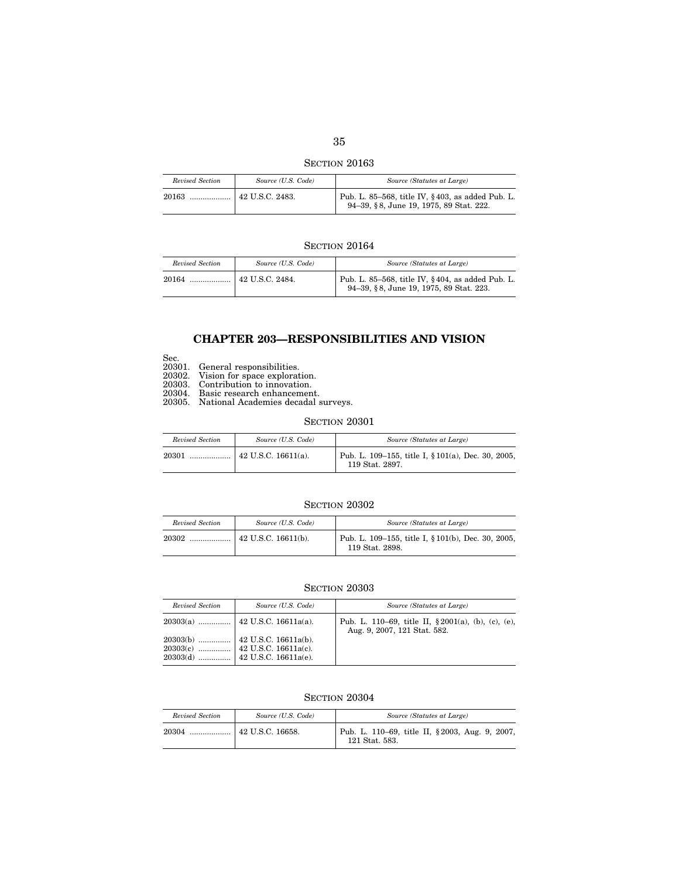SECTION 20163

| Revised Section | Source (U.S. Code)      | Source (Statutes at Large)                                                                  |
|-----------------|-------------------------|---------------------------------------------------------------------------------------------|
|                 | $\vert$ 42 U.S.C. 2483. | Pub. L. 85–568, title IV, §403, as added Pub. L.<br>94-39, §8, June 19, 1975, 89 Stat. 222. |

## **SECTION 20164**

| Revised Section | Source (U.S. Code) | Source (Statutes at Large)                                                                  |
|-----------------|--------------------|---------------------------------------------------------------------------------------------|
| 20164           |                    | Pub. L. 85-568, title IV, §404, as added Pub. L.<br>94-39, §8, June 19, 1975, 89 Stat. 223. |

## **CHAPTER 203—RESPONSIBILITIES AND VISION**

- Sec.
- 20301. General responsibilities.
- 20302. Vision for space exploration.
- 20303. Contribution to innovation.
- 20304. Basic research enhancement.
- 20305. National Academies decadal surveys.

### SECTION 20301

| Revised Section | Source (U.S. Code) | Source (Statutes at Large)                                            |
|-----------------|--------------------|-----------------------------------------------------------------------|
| 20301           |                    | Pub. L. 109–155, title I, § 101(a), Dec. 30, 2005,<br>119 Stat. 2897. |

### SECTION 20302

| Revised Section | Source (U.S. Code)          | Source (Statutes at Large)                                            |
|-----------------|-----------------------------|-----------------------------------------------------------------------|
| 20302           | $\vert$ 42 U.S.C. 16611(b). | Pub. L. 109–155, title I, § 101(b), Dec. 30, 2005,<br>119 Stat. 2898. |

## SECTION 20303

| Revised Section | Source (U.S. Code) | Source (Statutes at Large)                                                              |
|-----------------|--------------------|-----------------------------------------------------------------------------------------|
|                 |                    | Pub. L. 110–69, title II, $\S 2001(a)$ , (b), (c), (e),<br>Aug. 9, 2007, 121 Stat. 582. |
|                 |                    |                                                                                         |

| Revised Section | Source (U.S. Code) | Source (Statutes at Large)                                       |
|-----------------|--------------------|------------------------------------------------------------------|
|                 |                    | Pub. L. 110–69, title II, §2003, Aug. 9, 2007,<br>121 Stat. 583. |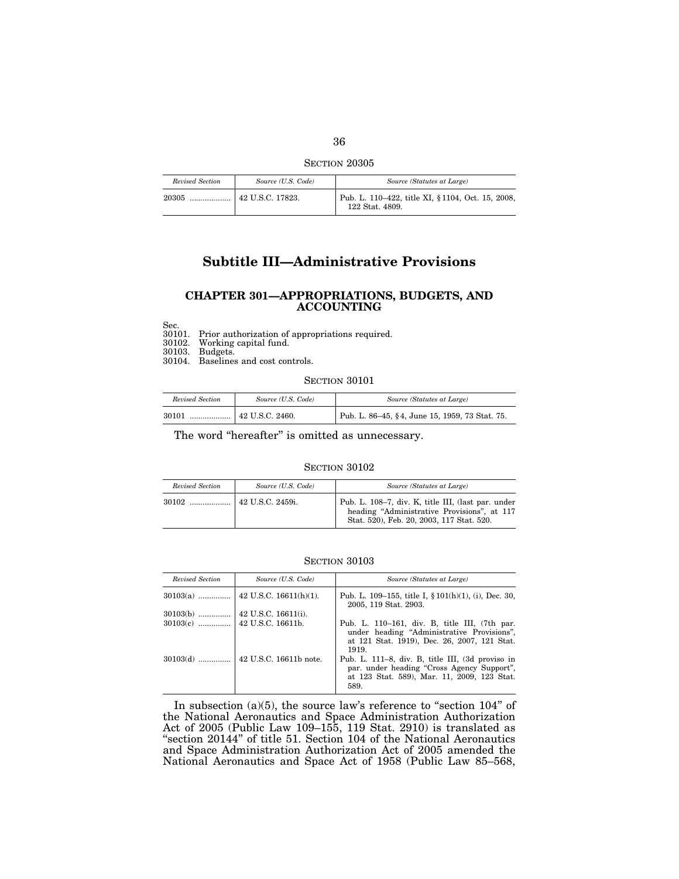SECTION 20305

| Revised Section | Source (U.S. Code)             | Source (Statutes at Large)                                           |
|-----------------|--------------------------------|----------------------------------------------------------------------|
| 20305           | $\frac{1}{2}$ 42 U.S.C. 17823. | Pub. L. 110–422, title XI, § 1104, Oct. 15, 2008,<br>122 Stat. 4809. |

## **Subtitle III—Administrative Provisions**

### **CHAPTER 301—APPROPRIATIONS, BUDGETS, AND ACCOUNTING**

Sec.<br>30101. 30101. Prior authorization of appropriations required.

Working capital fund.

30103. Budgets.

30104. Baselines and cost controls.

SECTION 30101

| Revised Section | Source (U.S. Code) | Source (Statutes at Large)                     |
|-----------------|--------------------|------------------------------------------------|
| 30101           |                    | Pub. L. 86–45, §4, June 15, 1959, 73 Stat. 75. |

The word "hereafter" is omitted as unnecessary.

#### SECTION 30102

| Revised Section | Source (U.S. Code) | Source (Statutes at Large)                                                                                                                     |
|-----------------|--------------------|------------------------------------------------------------------------------------------------------------------------------------------------|
|                 |                    | Pub. L. 108-7, div. K, title III, (last par. under<br>heading "Administrative Provisions", at 117<br>Stat. 520), Feb. 20, 2003, 117 Stat. 520. |

#### SECTION 30103

| Revised Section | Source (U.S. Code)  | Source (Statutes at Large)                                                                                                                            |
|-----------------|---------------------|-------------------------------------------------------------------------------------------------------------------------------------------------------|
|                 |                     | Pub. L. 109–155, title I, $\S 101(h)(1)$ , (i), Dec. 30,<br>2005, 119 Stat. 2903.                                                                     |
| $30103(b)$      | 42 U.S.C. 16611(i). |                                                                                                                                                       |
|                 |                     | Pub. L. 110–161, div. B, title III, (7th par.<br>under heading "Administrative Provisions",<br>at 121 Stat. 1919), Dec. 26, 2007, 121 Stat.<br>1919.  |
|                 |                     | Pub. L. 111–8, div. B, title III, (3d proviso in<br>par. under heading "Cross Agency Support",<br>at 123 Stat. 589), Mar. 11, 2009, 123 Stat.<br>589. |

In subsection  $(a)(5)$ , the source law's reference to "section  $104$ " of the National Aeronautics and Space Administration Authorization Act of 2005 (Public Law 109–155, 119 Stat. 2910) is translated as "section 20144" of title 51. Section 104 of the National Aeronautics and Space Administration Authorization Act of 2005 amended the National Aeronautics and Space Act of 1958 (Public Law 85–568,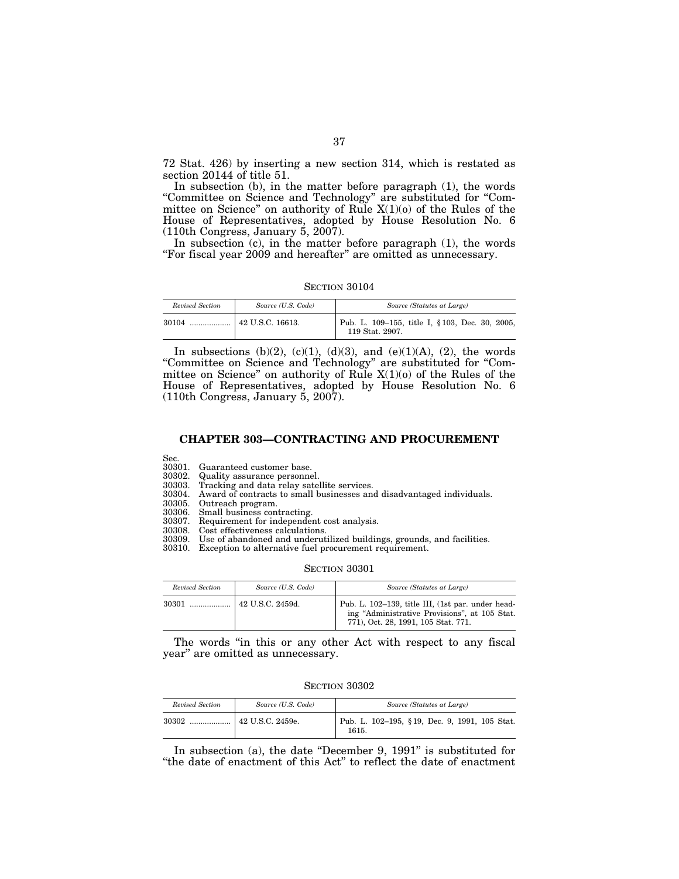72 Stat. 426) by inserting a new section 314, which is restated as section 20144 of title 51.

In subsection (b), in the matter before paragraph (1), the words ''Committee on Science and Technology'' are substituted for ''Committee on Science" on authority of Rule  $X(1)(0)$  of the Rules of the House of Representatives, adopted by House Resolution No. 6  $(110th$  Congress, January 5, 2007).

In subsection (c), in the matter before paragraph (1), the words "For fiscal year 2009 and hereafter" are omitted as unnecessary.

SECTION 30104

| Revised Section | Source (U.S. Code) | Source (Statutes at Large)                                         |
|-----------------|--------------------|--------------------------------------------------------------------|
| $30104$         | 42 U.S.C. 16613.   | Pub. L. 109–155, title I, § 103, Dec. 30, 2005,<br>119 Stat. 2907. |

In subsections (b)(2), (c)(1), (d)(3), and (e)(1)(A), (2), the words ''Committee on Science and Technology'' are substituted for ''Committee on Science'' on authority of Rule X(1)(o) of the Rules of the House of Representatives, adopted by House Resolution No. 6 (110th Congress, January 5, 2007).

## **CHAPTER 303—CONTRACTING AND PROCUREMENT**

Sec.<br>30301. 30301. Guaranteed customer base.

30302. Quality assurance personnel.

30303. Tracking and data relay satellite services. 30304. Award of contracts to small businesses and disadvantaged individuals.

Small business contracting.

30305. Outreach program.<br>30306. Small business con<br>30307. Requirement for in 30307. Requirement for independent cost analysis.

30308. Cost effectiveness calculations.

30309. Use of abandoned and underutilized buildings, grounds, and facilities.

30310. Exception to alternative fuel procurement requirement.

#### SECTION 30301

| Revised Section | Source (U.S. Code) | Source (Statutes at Large)                                                                                                                |
|-----------------|--------------------|-------------------------------------------------------------------------------------------------------------------------------------------|
| $30301$         | 42 U.S.C. 2459d.   | Pub. L. 102-139, title III, (1st par. under head-<br>ing "Administrative Provisions", at 105 Stat.<br>771), Oct. 28, 1991, 105 Stat. 771. |

The words "in this or any other Act with respect to any fiscal year'' are omitted as unnecessary.

SECTION 30302

| Revised Section | Source (U.S. Code)            | Source (Statutes at Large)                             |
|-----------------|-------------------------------|--------------------------------------------------------|
| 30302           | <sup>1</sup> 42 U.S.C. 2459e. | Pub. L. 102-195, §19, Dec. 9, 1991, 105 Stat.<br>1615. |

In subsection (a), the date ''December 9, 1991'' is substituted for ''the date of enactment of this Act'' to reflect the date of enactment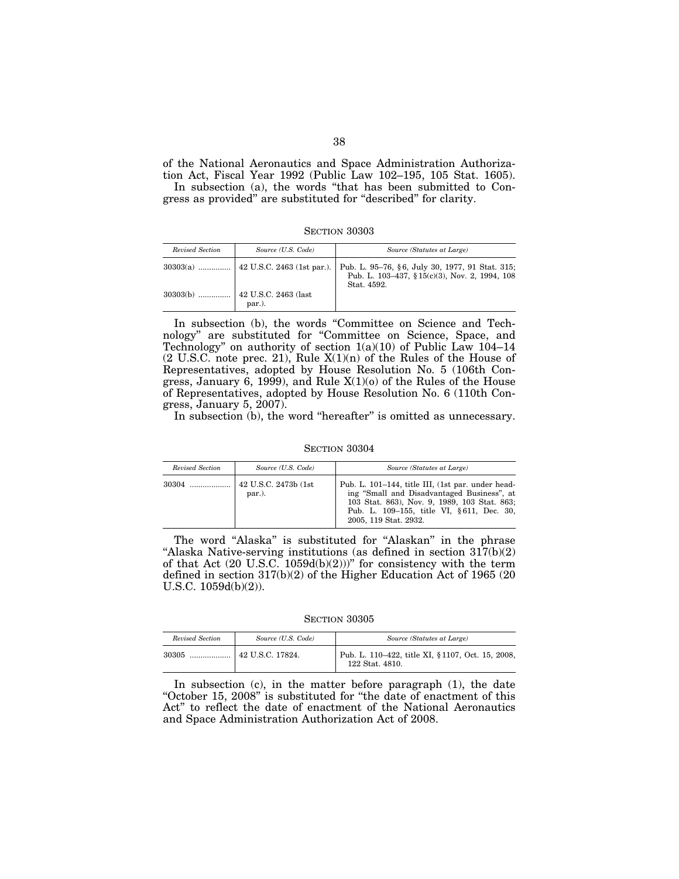of the National Aeronautics and Space Administration Authorization Act, Fiscal Year 1992 (Public Law 102–195, 105 Stat. 1605).

In subsection (a), the words ''that has been submitted to Congress as provided'' are substituted for ''described'' for clarity.

SECTION 30303

| Revised Section | Source (U.S. Code)                     | Source (Statutes at Large)                                    |
|-----------------|----------------------------------------|---------------------------------------------------------------|
|                 |                                        | Pub. L. 103-437, § 15(c)(3), Nov. 2, 1994, 108<br>Stat. 4592. |
| $30303(b)$      | $\vert$ 42 U.S.C. 2463 (last<br>par.). |                                                               |

In subsection (b), the words ''Committee on Science and Technology'' are substituted for ''Committee on Science, Space, and Technology'' on authority of section 1(a)(10) of Public Law 104–14 (2 U.S.C. note prec. 21), Rule X(1)(n) of the Rules of the House of Representatives, adopted by House Resolution No. 5 (106th Congress, January 6, 1999), and Rule X(1)(o) of the Rules of the House of Representatives, adopted by House Resolution No. 6 (110th Congress, January 5, 2007).

In subsection (b), the word "hereafter" is omitted as unnecessary.

SECTION 30304

| Revised Section | Source (U.S. Code)             | Source (Statutes at Large)                                                                                                                                                                                            |
|-----------------|--------------------------------|-----------------------------------------------------------------------------------------------------------------------------------------------------------------------------------------------------------------------|
|                 | 42 U.S.C. 2473b (1st<br>par.). | Pub. L. 101–144, title III, (1st par. under head-<br>ing "Small and Disadvantaged Business", at<br>103 Stat. 863), Nov. 9, 1989, 103 Stat. 863;<br>Pub. L. 109–155, title VI, §611, Dec. 30,<br>2005, 119 Stat. 2932. |

The word "Alaska" is substituted for "Alaskan" in the phrase "Alaska Native-serving institutions (as defined in section 317(b)(2) of that Act  $(20 \text{ U.S.C. } 1059d(b)(2)))$ " for consistency with the term defined in section 317(b)(2) of the Higher Education Act of 1965 (20 U.S.C. 1059d(b)(2)).

SECTION 30305

| Revised Section | Source (U.S. Code) | Source (Statutes at Large)                                           |
|-----------------|--------------------|----------------------------------------------------------------------|
|                 |                    | Pub. L. 110–422, title XI, § 1107, Oct. 15, 2008,<br>122 Stat. 4810. |

In subsection (c), in the matter before paragraph (1), the date "October 15, 2008" is substituted for "the date of enactment of this Act'' to reflect the date of enactment of the National Aeronautics and Space Administration Authorization Act of 2008.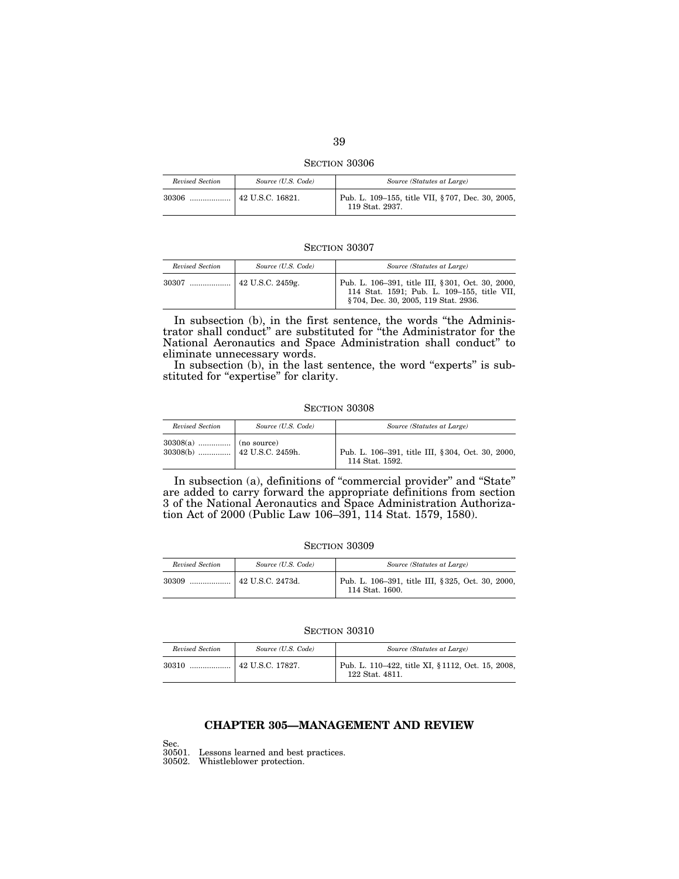SECTION 30306

| Revised Section | Source (U.S. Code) | Source (Statutes at Large)                                          |
|-----------------|--------------------|---------------------------------------------------------------------|
| 30306<br>       | 42 U.S.C. 16821.   | Pub. L. 109–155, title VII, §707, Dec. 30, 2005,<br>119 Stat. 2937. |

| Revised Section | Source (U.S. Code) | Source (Statutes at Large)                                                                                                               |
|-----------------|--------------------|------------------------------------------------------------------------------------------------------------------------------------------|
| 30307           | 42 U.S.C. 2459g.   | Pub. L. 106–391, title III, § 301, Oct. 30, 2000,<br>114 Stat. 1591; Pub. L. 109-155, title VII,<br>§704, Dec. 30, 2005, 119 Stat. 2936. |

In subsection (b), in the first sentence, the words ''the Administrator shall conduct'' are substituted for ''the Administrator for the National Aeronautics and Space Administration shall conduct'' to eliminate unnecessary words.

In subsection (b), in the last sentence, the word "experts" is substituted for "expertise" for clarity.

#### SECTION 30308

| Revised Section | Source (U.S. Code) | Source (Statutes at Large)                                          |
|-----------------|--------------------|---------------------------------------------------------------------|
|                 |                    | Pub. L. 106-391, title III, §304, Oct. 30, 2000,<br>114 Stat. 1592. |

In subsection (a), definitions of ''commercial provider'' and ''State'' are added to carry forward the appropriate definitions from section 3 of the National Aeronautics and Space Administration Authorization Act of 2000 (Public Law 106–391, 114 Stat. 1579, 1580).

| Revised Section | Source (U.S. Code) | Source (Statutes at Large)                                          |
|-----------------|--------------------|---------------------------------------------------------------------|
|                 |                    | Pub. L. 106-391, title III, §325, Oct. 30, 2000,<br>114 Stat. 1600. |

## SECTION 30310

| Revised Section | Source (U.S. Code) | Source (Statutes at Large)                                           |
|-----------------|--------------------|----------------------------------------------------------------------|
| 30310           | 42 U.S.C. 17827.   | Pub. L. 110–422, title XI, § 1112, Oct. 15, 2008,<br>122 Stat. 4811. |

## **CHAPTER 305—MANAGEMENT AND REVIEW**

Sec.

30501. Lessons learned and best practices.

30502. Whistleblower protection.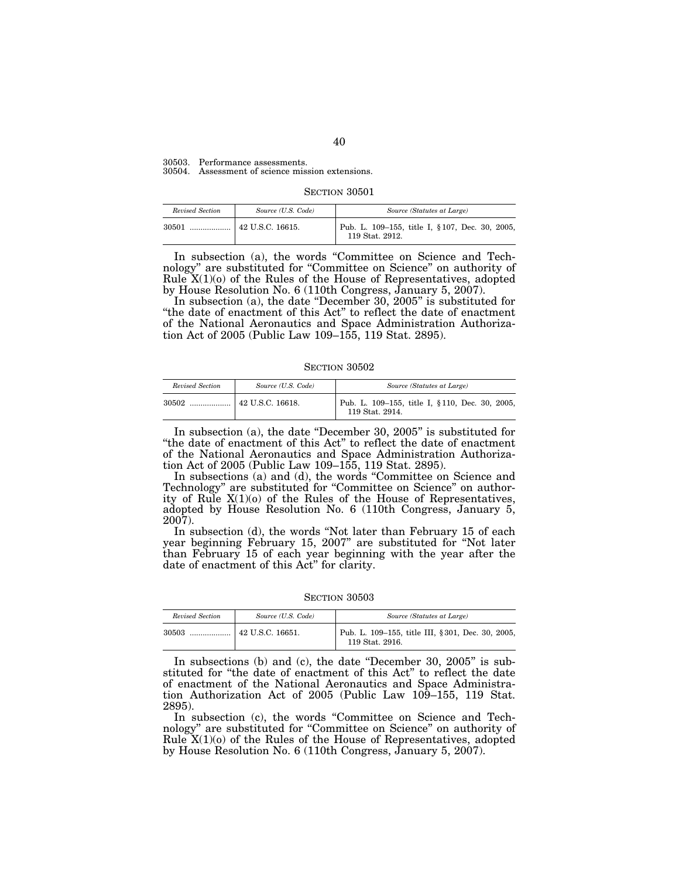30503. Performance assessments. 30504. Assessment of science mission extensions.

| Revised Section | Source (U.S. Code) | Source (Statutes at Large)                                         |
|-----------------|--------------------|--------------------------------------------------------------------|
| 30501           | 42 U.S.C. 16615.   | Pub. L. 109–155, title I, § 107, Dec. 30, 2005,<br>119 Stat. 2912. |

In subsection (a), the words ''Committee on Science and Technology'' are substituted for ''Committee on Science'' on authority of Rule  $X(1)(o)$  of the Rules of the House of Representatives, adopted by House Resolution No. 6 (110th Congress, January 5, 2007).

In subsection (a), the date "December 30, 2005" is substituted for ''the date of enactment of this Act'' to reflect the date of enactment of the National Aeronautics and Space Administration Authorization Act of 2005 (Public Law 109–155, 119 Stat. 2895).

SECTION 30502

| Revised Section | Source (U.S. Code)     | Source (Statutes at Large)                                         |
|-----------------|------------------------|--------------------------------------------------------------------|
| 30502           | $\pm$ 42 U.S.C. 16618. | Pub. L. 109-155, title I, § 110, Dec. 30, 2005,<br>119 Stat. 2914. |

In subsection (a), the date "December 30, 2005" is substituted for ''the date of enactment of this Act'' to reflect the date of enactment of the National Aeronautics and Space Administration Authorization Act of 2005 (Public Law 109–155, 119 Stat. 2895).

In subsections (a) and (d), the words ''Committee on Science and Technology" are substituted for "Committee on Science" on authority of Rule X(1)(o) of the Rules of the House of Representatives, adopted by House Resolution No. 6 (110th Congress, January 5, 2007).

In subsection (d), the words "Not later than February 15 of each year beginning February 15, 2007'' are substituted for ''Not later than February 15 of each year beginning with the year after the date of enactment of this Act'' for clarity.

SECTION 30503

| Revised Section | Source (U.S. Code)       | Source (Statutes at Large)                                          |
|-----------------|--------------------------|---------------------------------------------------------------------|
| 30503           | $\vert$ 42 U.S.C. 16651. | Pub. L. 109-155, title III, §301, Dec. 30, 2005,<br>119 Stat. 2916. |

In subsections (b) and (c), the date "December 30, 2005" is substituted for ''the date of enactment of this Act'' to reflect the date of enactment of the National Aeronautics and Space Administration Authorization Act of 2005 (Public Law 109-155, 119 Stat. 2895).

In subsection (c), the words "Committee on Science and Technology'' are substituted for ''Committee on Science'' on authority of Rule  $X(1)(o)$  of the Rules of the House of Representatives, adopted by House Resolution No. 6 (110th Congress, January 5, 2007).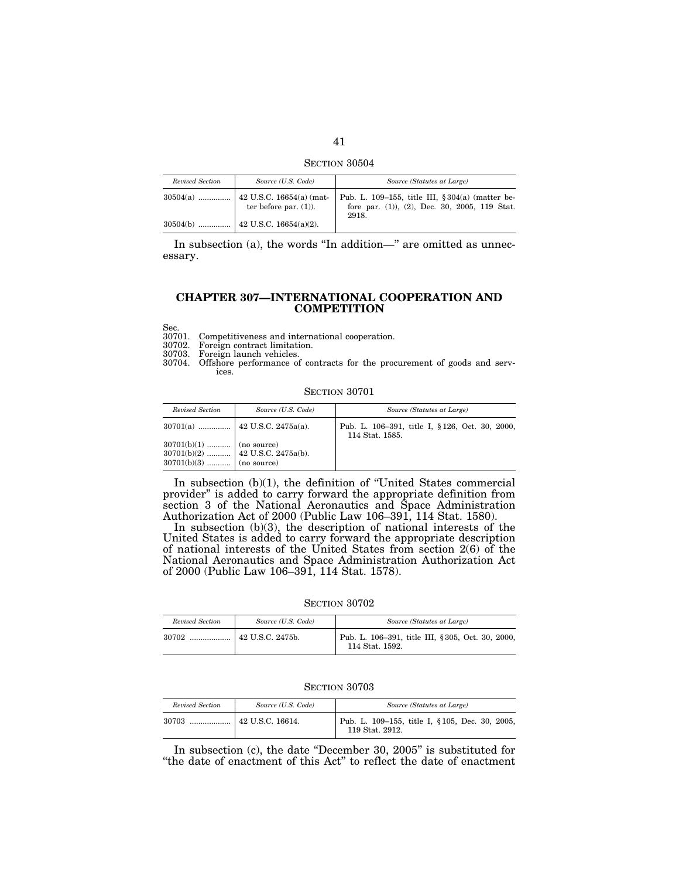SECTION 30504

| Revised Section | Source (U.S. Code)                                           | Source (Statutes at Large)                                                                                    |
|-----------------|--------------------------------------------------------------|---------------------------------------------------------------------------------------------------------------|
| $30504(a)$      | $\vert$ 42 U.S.C. 16654(a) (mat-<br>ter before par. $(1)$ ). | Pub. L. 109–155, title III, $\S 304(a)$ (matter be-<br>fore par. (1)), (2), Dec. 30, 2005, 119 Stat.<br>2918. |
|                 |                                                              |                                                                                                               |

In subsection  $(a)$ , the words "In addition—" are omitted as unnecessary.

## **CHAPTER 307—INTERNATIONAL COOPERATION AND COMPETITION**

Sec.<br>30701. 30701. Competitiveness and international cooperation.

Foreign contract limitation.

30703. Foreign launch vehicles.

30704. Offshore performance of contracts for the procurement of goods and services.

#### SECTION 30701

| Revised Section                                            | Source (U.S. Code)                  | Source (Statutes at Large)                                         |
|------------------------------------------------------------|-------------------------------------|--------------------------------------------------------------------|
|                                                            |                                     | Pub. L. 106-391, title I, § 126, Oct. 30, 2000,<br>114 Stat. 1585. |
| $30701(b)(1)$   (no source)<br>$30701(b)(3)$   (no source) | $30701(b)(2)$   42 U.S.C. 2475a(b). |                                                                    |

In subsection (b)(1), the definition of ''United States commercial provider'' is added to carry forward the appropriate definition from section 3 of the National Aeronautics and Space Administration Authorization Act of 2000 (Public Law 106–391, 114 Stat. 1580).

In subsection (b)(3), the description of national interests of the United States is added to carry forward the appropriate description of national interests of the United States from section 2(6) of the National Aeronautics and Space Administration Authorization Act of 2000 (Public Law 106–391, 114 Stat. 1578).

SECTION 30702

| Revised Section | Source (U.S. Code)       | Source (Statutes at Large)                                           |
|-----------------|--------------------------|----------------------------------------------------------------------|
| 30702           | $\vert$ 42 U.S.C. 2475b. | Pub. L. 106–391, title III, § 305, Oct. 30, 2000,<br>114 Stat. 1592. |

SECTION 30703

| Revised Section | Source (U.S. Code) | Source (Statutes at Large)                                         |
|-----------------|--------------------|--------------------------------------------------------------------|
| 30703           | 42 U.S.C. 16614.   | Pub. L. 109–155, title I, § 105, Dec. 30, 2005,<br>119 Stat. 2912. |

In subsection (c), the date "December 30, 2005" is substituted for ''the date of enactment of this Act'' to reflect the date of enactment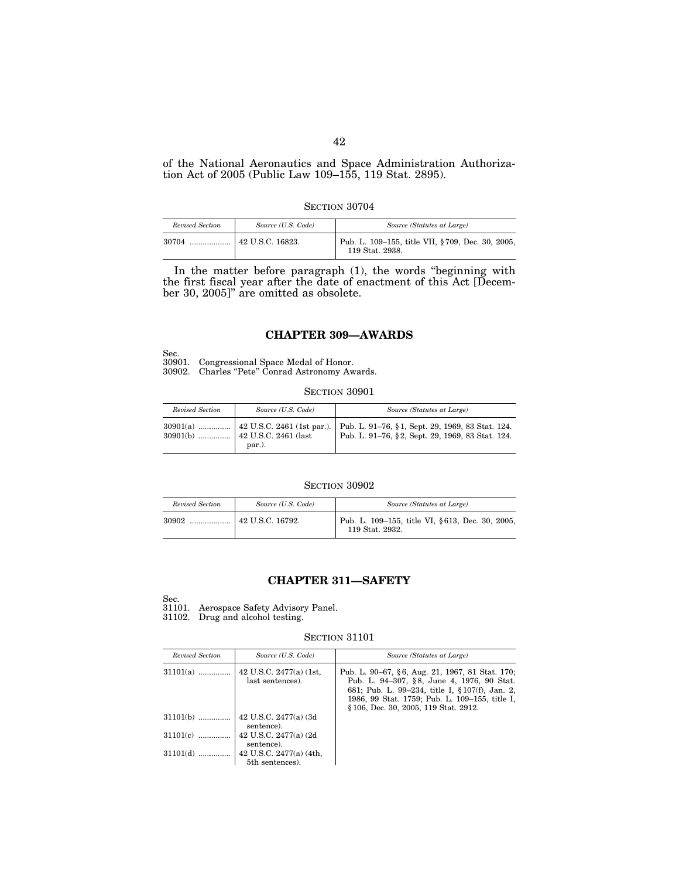of the National Aeronautics and Space Administration Authorization Act of 2005 (Public Law 109–155, 119 Stat. 2895).

SECTION 30704

| Revised Section | Source (U.S. Code) | Source (Statutes at Large)                                          |
|-----------------|--------------------|---------------------------------------------------------------------|
|                 |                    | Pub. L. 109–155, title VII, §709, Dec. 30, 2005,<br>119 Stat. 2938. |

In the matter before paragraph (1), the words ''beginning with the first fiscal year after the date of enactment of this Act [December 30, 2005]'' are omitted as obsolete.

## **CHAPTER 309—AWARDS**

Sec. 30901. Congressional Space Medal of Honor. 30902. Charles ''Pete'' Conrad Astronomy Awards.

#### SECTION 30901

| Revised Section | Source (U.S. Code) | Source (Statutes at Large)                                                                                                                    |
|-----------------|--------------------|-----------------------------------------------------------------------------------------------------------------------------------------------|
|                 | par.).             | $30901(a)$ , 42 U.S.C. 2461 (1st par.). Pub. L. 91–76, § 1, Sept. 29, 1969, 83 Stat. 124.<br>Pub. L. 91-76, §2, Sept. 29, 1969, 83 Stat. 124. |

#### SECTION 30902

| Revised Section | Source (U.S. Code)       | Source (Statutes at Large)                                         |
|-----------------|--------------------------|--------------------------------------------------------------------|
| 30902           | $\vert$ 42 U.S.C. 16792. | Pub. L. 109-155, title VI, §613, Dec. 30, 2005,<br>119 Stat. 2932. |

# **CHAPTER 311—SAFETY**

Sec.

31101. Aerospace Safety Advisory Panel.

31102. Drug and alcohol testing.

| Revised Section | Source (U.S. Code)                            | Source (Statutes at Large)                                                                                                                                                                                                                 |
|-----------------|-----------------------------------------------|--------------------------------------------------------------------------------------------------------------------------------------------------------------------------------------------------------------------------------------------|
| $31101(a)$      | 42 U.S.C. $2477(a)$ (1st,<br>last sentences). | Pub. L. 90–67, §6, Aug. 21, 1967, 81 Stat. 170;<br>Pub. L. 94-307, §8, June 4, 1976, 90 Stat.<br>681; Pub. L. 99–234, title I, § 107(f), Jan. 2,<br>1986, 99 Stat. 1759; Pub. L. 109-155, title I,<br>§106, Dec. 30, 2005, 119 Stat. 2912. |
| $31101(b)$      | 42 U.S.C. 2477(a) (3d)<br>sentence).          |                                                                                                                                                                                                                                            |
| $31101(c)$      | 42 U.S.C. 2477(a) (2d)<br>sentence).          |                                                                                                                                                                                                                                            |
| $31101(d)$      | 42 U.S.C. $2477(a)$ (4th,<br>5th sentences).  |                                                                                                                                                                                                                                            |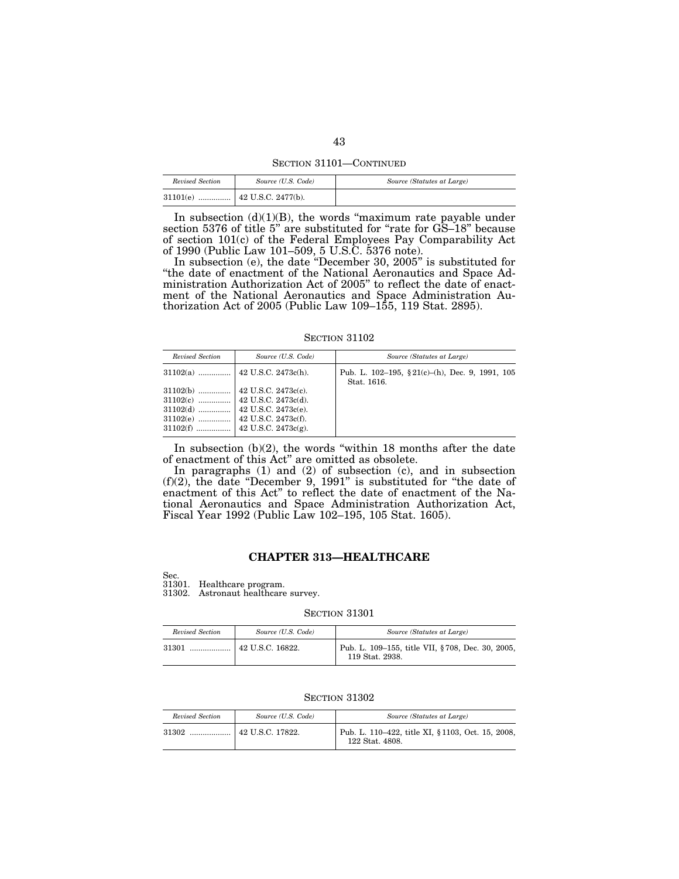SECTION 31101—CONTINUED

| Revised Section | Source (U.S. Code) | Source (Statutes at Large) |
|-----------------|--------------------|----------------------------|
|                 |                    |                            |

In subsection  $(d)(1)(B)$ , the words "maximum rate payable under section 5376 of title 5" are substituted for "rate for GS–18" because of section 101(c) of the Federal Employees Pay Comparability Act of 1990 (Public Law 101–509, 5 U.S.C. 5376 note).

In subsection (e), the date ''December 30, 2005'' is substituted for ''the date of enactment of the National Aeronautics and Space Administration Authorization Act of 2005'' to reflect the date of enactment of the National Aeronautics and Space Administration Authorization Act of 2005 (Public Law 109–155, 119 Stat. 2895).

**SECTION 31102** 

| Revised Section | Source (U.S. Code) | Source (Statutes at Large)                                       |
|-----------------|--------------------|------------------------------------------------------------------|
|                 |                    | Pub. L. 102-195, $$21(c)-(h)$ , Dec. 9, 1991, 105<br>Stat. 1616. |
|                 |                    |                                                                  |

In subsection  $(b)(2)$ , the words "within 18 months after the date of enactment of this Act'' are omitted as obsolete.

In paragraphs (1) and (2) of subsection (c), and in subsection  $(f)(2)$ , the date "December 9, 1991" is substituted for "the date of enactment of this Act'' to reflect the date of enactment of the National Aeronautics and Space Administration Authorization Act, Fiscal Year 1992 (Public Law 102–195, 105 Stat. 1605).

## **CHAPTER 313—HEALTHCARE**

Sec.

31301. Healthcare program. 31302. Astronaut healthcare survey.

SECTION 31301

| Revised Section | Source (U.S. Code) | Source (Statutes at Large)                                           |
|-----------------|--------------------|----------------------------------------------------------------------|
| 31301           | 42 U.S.C. 16822.   | Pub. L. 109–155, title VII, § 708, Dec. 30, 2005,<br>119 Stat. 2938. |

| Revised Section | Source (U.S. Code) | Source (Statutes at Large)                                           |
|-----------------|--------------------|----------------------------------------------------------------------|
|                 |                    | Pub. L. 110–422, title XI, § 1103, Oct. 15, 2008,<br>122 Stat. 4808. |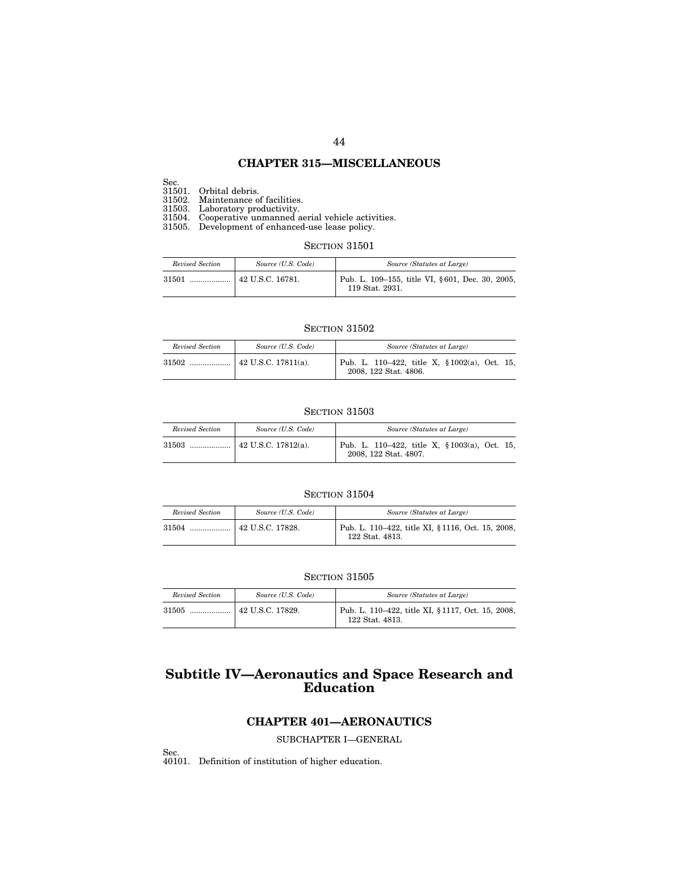# **CHAPTER 315—MISCELLANEOUS**

Sec.

31501. Orbital debris.

31502. Maintenance of facilities.

31503. Laboratory productivity. 31504. Cooperative unmanned aerial vehicle activities.

31505. Development of enhanced-use lease policy.

#### SECTION 31501

| Revised Section | Source (U.S. Code) | Source (Statutes at Large)                                         |
|-----------------|--------------------|--------------------------------------------------------------------|
|                 |                    | Pub. L. 109–155, title VI, §601, Dec. 30, 2005,<br>119 Stat. 2931. |

#### SECTION 31502

| Revised Section | Source (U.S. Code)          | Source (Statutes at Large)                                                 |
|-----------------|-----------------------------|----------------------------------------------------------------------------|
| .               | $\vert$ 42 U.S.C. 17811(a). | Pub. L. 110–422, title X, $\S 1002(a)$ , Oct. 15,<br>2008, 122 Stat. 4806. |

### SECTION 31503

| Revised Section | Source (U.S. Code)          | Source (Statutes at Large)                                             |
|-----------------|-----------------------------|------------------------------------------------------------------------|
|                 | $\vert$ 42 U.S.C. 17812(a). | Pub. L. 110-422, title X, § 1003(a), Oct. 15,<br>2008, 122 Stat. 4807. |

## SECTION 31504

| Revised Section | Source (U.S. Code) | Source (Statutes at Large)                                           |
|-----------------|--------------------|----------------------------------------------------------------------|
|                 |                    | Pub. L. 110–422, title XI, § 1116, Oct. 15, 2008,<br>122 Stat. 4813. |

#### SECTION 31505

| Revised Section | Source (U.S. Code)       | Source (Statutes at Large)                                           |
|-----------------|--------------------------|----------------------------------------------------------------------|
| 31505           | $\vert$ 42 U.S.C. 17829. | Pub. L. 110–422, title XI, § 1117, Oct. 15, 2008,<br>122 Stat. 4813. |

# **Subtitle IV—Aeronautics and Space Research and Education**

# **CHAPTER 401—AERONAUTICS**

SUBCHAPTER I—GENERAL

Sec. 40101. Definition of institution of higher education.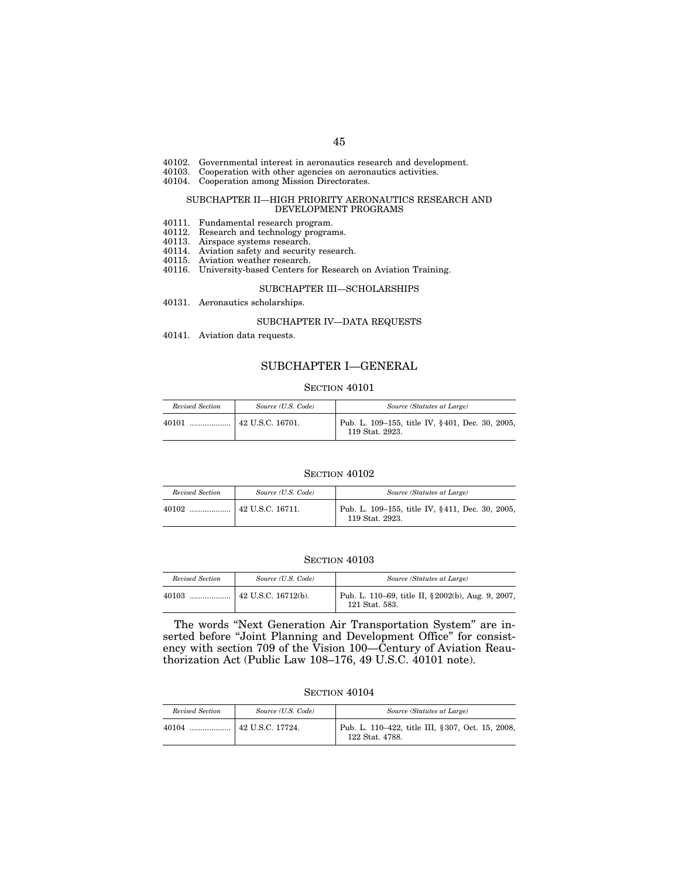- 40102. Governmental interest in aeronautics research and development.
- 40103. Cooperation with other agencies on aeronautics activities.
- 40104. Cooperation among Mission Directorates.

#### SUBCHAPTER II—HIGH PRIORITY AERONAUTICS RESEARCH AND DEVELOPMENT PROGRAMS

- 40111. Fundamental research program.
- 40112. Research and technology programs.
- 40113. Airspace systems research.
- 40114. Aviation safety and security research.
- 40115. Aviation weather research.
- 40116. University-based Centers for Research on Aviation Training.

#### SUBCHAPTER III—SCHOLARSHIPS

40131. Aeronautics scholarships.

### SUBCHAPTER IV—DATA REQUESTS

40141. Aviation data requests.

## SUBCHAPTER I—GENERAL

#### SECTION 40101

| Revised Section | Source (U.S. Code) | Source (Statutes at Large)                                         |
|-----------------|--------------------|--------------------------------------------------------------------|
| 40101           |                    | Pub. L. 109–155, title IV, §401, Dec. 30, 2005,<br>119 Stat. 2923. |

#### SECTION 40102

| Revised Section | Source (U.S. Code)     | Source (Statutes at Large)                                         |
|-----------------|------------------------|--------------------------------------------------------------------|
| $40102$         | $\pm$ 42 U.S.C. 16711. | Pub. L. 109-155, title IV, §411, Dec. 30, 2005,<br>119 Stat. 2923. |

#### SECTION 40103

| Revised Section | Source (U.S. Code) | Source (Statutes at Large)                                           |
|-----------------|--------------------|----------------------------------------------------------------------|
| 40103           |                    | Pub. L. 110–69, title II, § 2002(b), Aug. 9, 2007,<br>121 Stat. 583. |

The words ''Next Generation Air Transportation System'' are inserted before ''Joint Planning and Development Office'' for consistency with section 709 of the Vision 100—Century of Aviation Reauthorization Act (Public Law 108–176, 49 U.S.C. 40101 note).

| Revised Section | Source (U.S. Code)       | Source (Statutes at Large)                                          |
|-----------------|--------------------------|---------------------------------------------------------------------|
| $40104$         | $\vert$ 42 U.S.C. 17724. | Pub. L. 110–422, title III, §307, Oct. 15, 2008,<br>122 Stat. 4788. |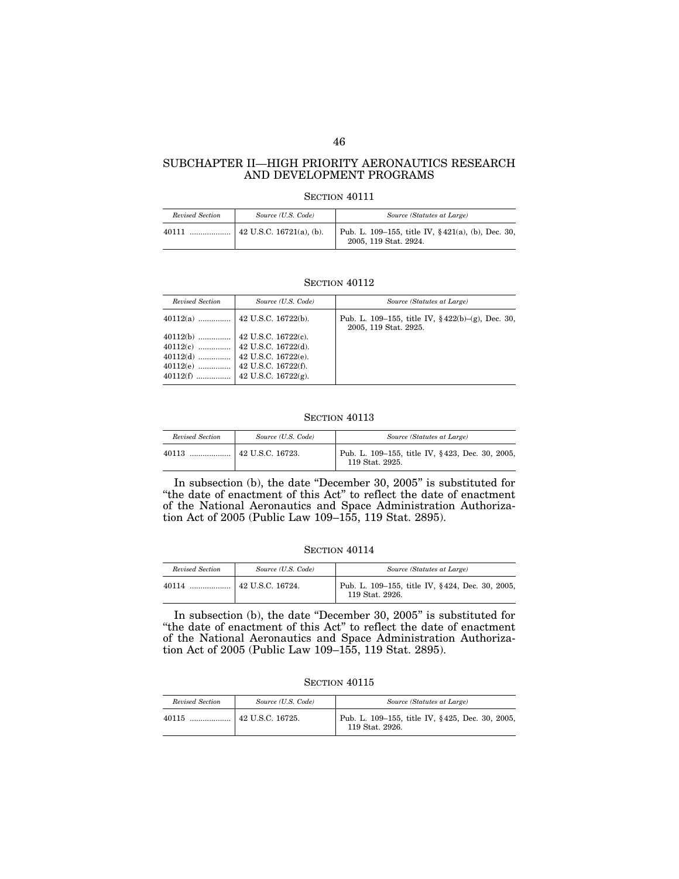## SUBCHAPTER II—HIGH PRIORITY AERONAUTICS RESEARCH AND DEVELOPMENT PROGRAMS

#### SECTION 40111

| Revised Section | Source (U.S. Code)               | Source (Statutes at Large)                                                 |
|-----------------|----------------------------------|----------------------------------------------------------------------------|
| 40111           | $\vert$ 42 U.S.C. 16721(a), (b). | Pub. L. 109–155, title IV, §421(a), (b), Dec. 30,<br>2005, 119 Stat. 2924. |

## **SECTION 40112**

| Revised Section | Source (U.S. Code) | Source (Statutes at Large)                                                             |
|-----------------|--------------------|----------------------------------------------------------------------------------------|
|                 |                    | Pub. L. 109–155, title IV, $\frac{6}{5}$ 422(b)–(g), Dec. 30,<br>2005, 119 Stat. 2925. |
|                 |                    |                                                                                        |
|                 |                    |                                                                                        |
|                 |                    |                                                                                        |
|                 |                    |                                                                                        |
|                 |                    |                                                                                        |

## SECTION 40113

| Revised Section | Source (U.S. Code) | Source (Statutes at Large)                                         |
|-----------------|--------------------|--------------------------------------------------------------------|
| 40113           | 42 U.S.C. 16723.   | Pub. L. 109-155, title IV, §423, Dec. 30, 2005,<br>119 Stat. 2925. |

In subsection (b), the date "December 30, 2005" is substituted for ''the date of enactment of this Act'' to reflect the date of enactment of the National Aeronautics and Space Administration Authorization Act of 2005 (Public Law 109–155, 119 Stat. 2895).

#### SECTION  $40114\,$

| Revised Section | Source (U.S. Code)       | Source (Statutes at Large)                                         |
|-----------------|--------------------------|--------------------------------------------------------------------|
| 40114           | $\vert$ 42 U.S.C. 16724. | Pub. L. 109–155, title IV, §424, Dec. 30, 2005,<br>119 Stat. 2926. |

In subsection (b), the date ''December 30, 2005'' is substituted for ''the date of enactment of this Act'' to reflect the date of enactment of the National Aeronautics and Space Administration Authorization Act of 2005 (Public Law 109–155, 119 Stat. 2895).

SECTION  $40115$ 

| Revised Section | Source (U.S. Code) | Source (Statutes at Large)                                         |
|-----------------|--------------------|--------------------------------------------------------------------|
|                 |                    | Pub. L. 109–155, title IV, §425, Dec. 30, 2005,<br>119 Stat. 2926. |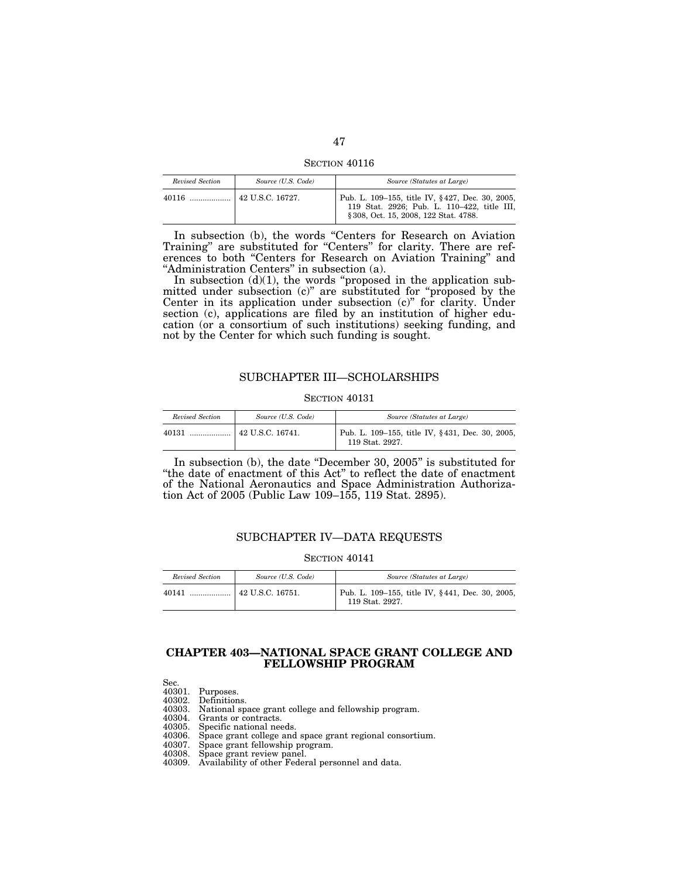SECTION  $40116$ 

| Revised Section | Source (U.S. Code) | Source (Statutes at Large)                                                                                                              |
|-----------------|--------------------|-----------------------------------------------------------------------------------------------------------------------------------------|
|                 |                    | Pub. L. 109–155, title IV, §427, Dec. 30, 2005,<br>119 Stat. 2926; Pub. L. 110-422, title III,<br>§ 308, Oct. 15, 2008, 122 Stat. 4788. |

In subsection (b), the words ''Centers for Research on Aviation Training'' are substituted for ''Centers'' for clarity. There are references to both ''Centers for Research on Aviation Training'' and ''Administration Centers'' in subsection (a).

In subsection  $(d)(1)$ , the words "proposed in the application submitted under subsection (c)'' are substituted for ''proposed by the Center in its application under subsection (c)'' for clarity. Under section (c), applications are filed by an institution of higher education (or a consortium of such institutions) seeking funding, and not by the Center for which such funding is sought.

## SUBCHAPTER III—SCHOLARSHIPS

## SECTION 40131

| Revised Section | Source (U.S. Code) | Source (Statutes at Large)                                         |
|-----------------|--------------------|--------------------------------------------------------------------|
| 40131           |                    | Pub. L. 109–155, title IV, §431, Dec. 30, 2005,<br>119 Stat. 2927. |

In subsection (b), the date "December 30, 2005" is substituted for ''the date of enactment of this Act'' to reflect the date of enactment of the National Aeronautics and Space Administration Authorization Act of 2005 (Public Law 109–155, 119 Stat. 2895).

## SUBCHAPTER IV—DATA REQUESTS

#### SECTION  $40141$

| Revised Section | Source (U.S. Code) | Source (Statutes at Large)                                         |
|-----------------|--------------------|--------------------------------------------------------------------|
| 40141           |                    | Pub. L. 109–155, title IV, §441, Dec. 30, 2005,<br>119 Stat. 2927. |

## **CHAPTER 403—NATIONAL SPACE GRANT COLLEGE AND FELLOWSHIP PROGRAM**

Sec.

| 40301. | Purposes. |
|--------|-----------|
|--------|-----------|

- 40302. Definitions.
- 40303. National space grant college and fellowship program.
- 40304. Grants or contracts.<br>40305. Specific national nee
- 
- 40305. Specific national needs. 40306. Space grant college and space grant regional consortium. 40307. Space grant fellowship program.
- 
- 40308. Space grant review panel.
- 40309. Availability of other Federal personnel and data.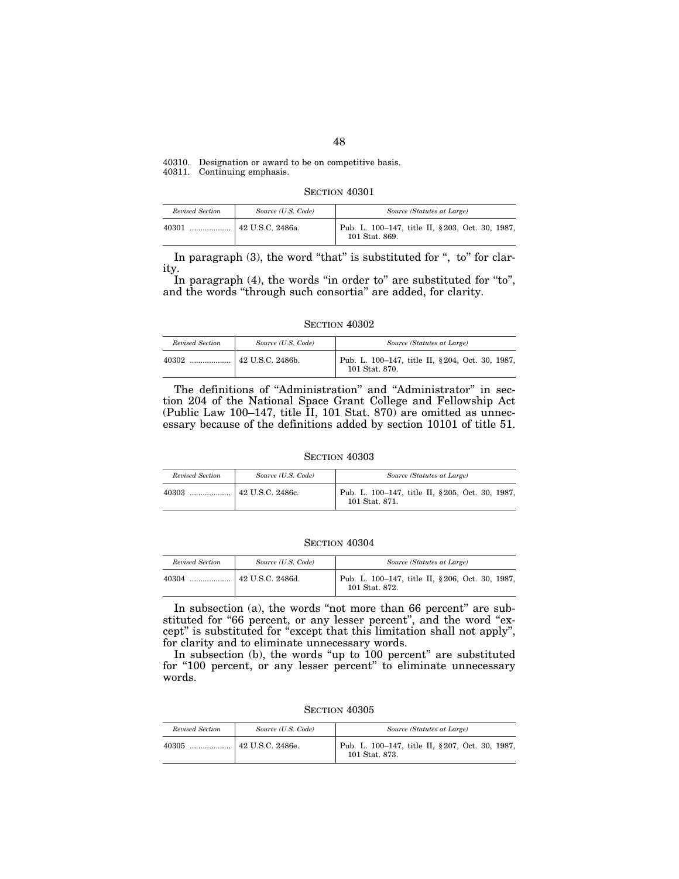40310. Designation or award to be on competitive basis.

40311. Continuing emphasis.

SECTION 40301

| Revised Section | Source (U.S. Code) | Source (Statutes at Large)                                        |
|-----------------|--------------------|-------------------------------------------------------------------|
| 40301           |                    | Pub. L. 100-147, title II, §203, Oct. 30, 1987,<br>101 Stat. 869. |

In paragraph  $(3)$ , the word "that" is substituted for ", to" for clarity.

In paragraph (4), the words "in order to" are substituted for "to", and the words ''through such consortia'' are added, for clarity.

#### SECTION 40302

| Revised Section | Source (U.S. Code)  | Source (Statutes at Large)                                        |
|-----------------|---------------------|-------------------------------------------------------------------|
| 40302           | $+42$ U.S.C. 2486b. | Pub. L. 100-147, title II, §204, Oct. 30, 1987,<br>101 Stat. 870. |

The definitions of "Administration" and "Administrator" in section 204 of the National Space Grant College and Fellowship Act (Public Law 100–147, title II, 101 Stat. 870) are omitted as unnecessary because of the definitions added by section 10101 of title 51.

#### SECTION 40303

| Revised Section | Source (U.S. Code)       | Source (Statutes at Large)                                        |
|-----------------|--------------------------|-------------------------------------------------------------------|
| 40303<br>       | $\vert$ 42 U.S.C. 2486c. | Pub. L. 100-147, title II, §205, Oct. 30, 1987,<br>101 Stat. 871. |

## SECTION 40304

| Revised Section | Source (U.S. Code) | Source (Statutes at Large)                                        |
|-----------------|--------------------|-------------------------------------------------------------------|
| 40304           |                    | Pub. L. 100-147, title II, §206, Oct. 30, 1987,<br>101 Stat. 872. |

In subsection (a), the words "not more than 66 percent" are substituted for "66 percent, or any lesser percent", and the word "except'' is substituted for ''except that this limitation shall not apply'', for clarity and to eliminate unnecessary words.

In subsection (b), the words "up to 100 percent" are substituted for "100 percent, or any lesser percent" to eliminate unnecessary words.

SECTION 40305

| Revised Section | Source (U.S. Code) | Source (Statutes at Large)                                        |
|-----------------|--------------------|-------------------------------------------------------------------|
| 40305           |                    | Pub. L. 100-147, title II, §207, Oct. 30, 1987,<br>101 Stat. 873. |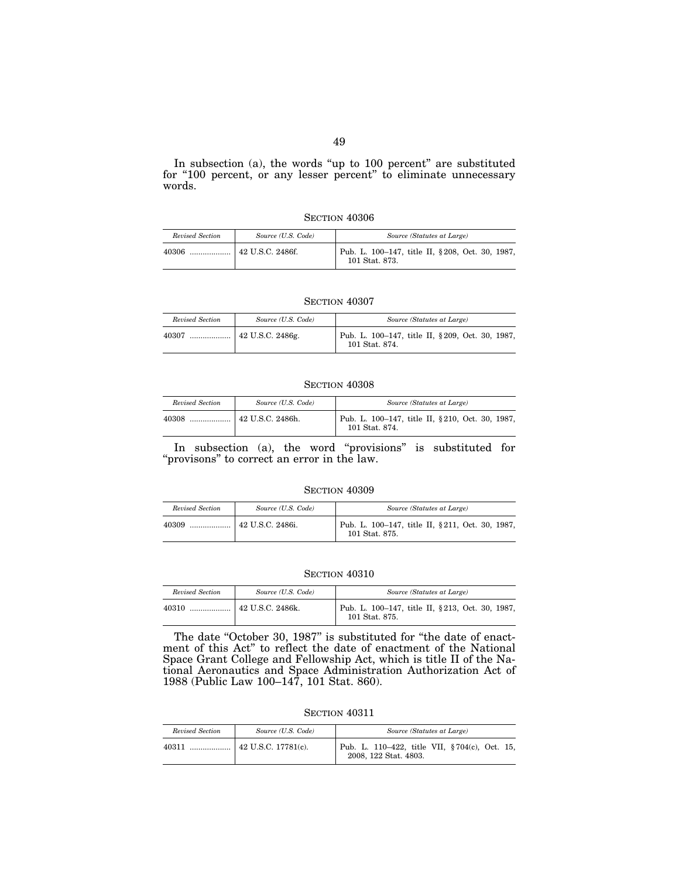In subsection (a), the words "up to 100 percent" are substituted for "100 percent, or any lesser percent" to eliminate unnecessary words.

## SECTION  $40306$

| Revised Section | Source (U.S. Code)     | Source (Statutes at Large)                                         |
|-----------------|------------------------|--------------------------------------------------------------------|
|                 | $\pm 42$ U.S.C. 2486f. | Pub. L. 100–147, title II, § 208, Oct. 30, 1987,<br>101 Stat. 873. |

#### SECTION 40307

| Revised Section | Source (U.S. Code) | Source (Statutes at Large)                                         |
|-----------------|--------------------|--------------------------------------------------------------------|
| 40307           |                    | Pub. L. 100-147, title II, § 209, Oct. 30, 1987,<br>101 Stat. 874. |

## SECTION 40308

| Revised Section | Source (U.S. Code) | Source (Statutes at Large)                                         |
|-----------------|--------------------|--------------------------------------------------------------------|
| 40308           | 42 U.S.C. 2486h.   | Pub. L. 100–147, title II, § 210, Oct. 30, 1987,<br>101 Stat. 874. |

In subsection (a), the word "provisions" is substituted for "provisons" to correct an error in the law.

#### **SECTION 40309**

| Revised Section | Source (U.S. Code) | Source (Statutes at Large)                                        |
|-----------------|--------------------|-------------------------------------------------------------------|
| 40309<br>       | 42 U.S.C. 2486i.   | Pub. L. 100-147, title II, §211, Oct. 30, 1987,<br>101 Stat. 875. |

#### SECTION 40310

| Revised Section | Source (U.S. Code)       | Source (Statutes at Large)                                        |
|-----------------|--------------------------|-------------------------------------------------------------------|
| 40310           | $\vert$ 42 U.S.C. 2486k. | Pub. L. 100-147, title II, §213, Oct. 30, 1987,<br>101 Stat. 875. |

The date "October 30, 1987" is substituted for "the date of enactment of this Act'' to reflect the date of enactment of the National Space Grant College and Fellowship Act, which is title II of the National Aeronautics and Space Administration Authorization Act of 1988 (Public Law 100–147, 101 Stat. 860).

SECTION  $40311\,$ 

| Revised Section | Source (U.S. Code) | Source (Statutes at Large)                                             |
|-----------------|--------------------|------------------------------------------------------------------------|
|                 |                    | Pub. L. 110–422, title VII, §704(c), Oct. 15,<br>2008, 122 Stat. 4803. |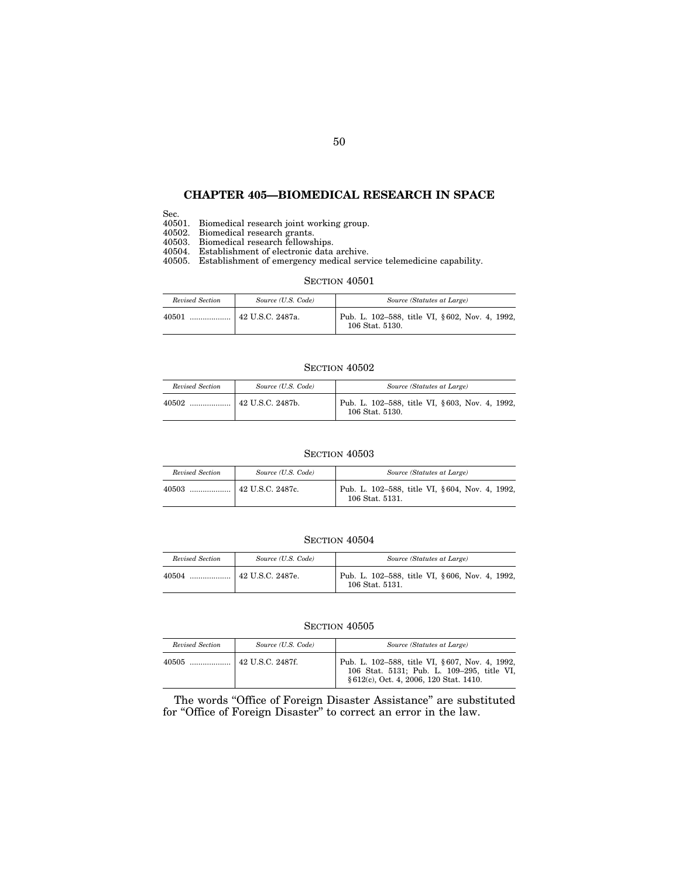## **CHAPTER 405—BIOMEDICAL RESEARCH IN SPACE**

Sec.

40501. Biomedical research joint working group.

40502. Biomedical research grants.

40503. Biomedical research fellowships.

40504. Establishment of electronic data archive.

40505. Establishment of emergency medical service telemedicine capability.

## SECTION  $40501\,$

| Revised Section | Source (U.S. Code) | Source (Statutes at Large)                                        |
|-----------------|--------------------|-------------------------------------------------------------------|
| 40501<br>       | 42 U.S.C. 2487a.   | Pub. L. 102-588, title VI, §602, Nov. 4, 1992,<br>106 Stat. 5130. |

## SECTION  $40502$

| Revised Section | Source (U.S. Code) | Source (Statutes at Large)                                        |
|-----------------|--------------------|-------------------------------------------------------------------|
|                 |                    | Pub. L. 102-588, title VI, §603, Nov. 4, 1992,<br>106 Stat. 5130. |

### SECTION 40503

| Revised Section | Source (U.S. Code)       | Source (Statutes at Large)                                        |
|-----------------|--------------------------|-------------------------------------------------------------------|
| 40503           | $\vert$ 42 U.S.C. 2487c. | Pub. L. 102–588, title VI, §604, Nov. 4, 1992,<br>106 Stat. 5131. |

## **SECTION 40504**

| Revised Section | Source (U.S. Code) | Source (Statutes at Large)                                        |
|-----------------|--------------------|-------------------------------------------------------------------|
| 40504           | 42 U.S.C. 2487e.   | Pub. L. 102-588, title VI, §606, Nov. 4, 1992,<br>106 Stat. 5131. |

#### SECTION  $40505$

| Revised Section | Source (U.S. Code) | Source (Statutes at Large)                                                                                                              |
|-----------------|--------------------|-----------------------------------------------------------------------------------------------------------------------------------------|
|                 |                    | Pub. L. 102-588, title VI, §607, Nov. 4, 1992,<br>106 Stat. 5131; Pub. L. 109-295, title VI,<br>§ 612(c), Oct. 4, 2006, 120 Stat. 1410. |

The words ''Office of Foreign Disaster Assistance'' are substituted for "Office of Foreign Disaster" to correct an error in the law.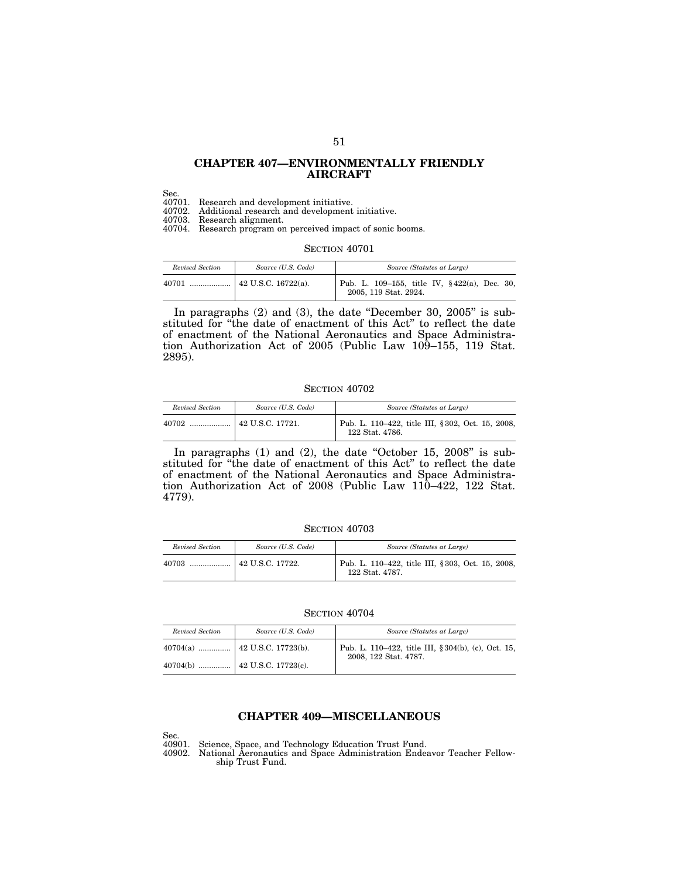## **CHAPTER 407—ENVIRONMENTALLY FRIENDLY AIRCRAFT**

Sec.

40701. Research and development initiative.

40702. Additional research and development initiative.

40703. Research alignment.

40704. Research program on perceived impact of sonic booms.

## SECTION 40701

| Revised Section | Source (U.S. Code)          | Source (Statutes at Large)                                                       |
|-----------------|-----------------------------|----------------------------------------------------------------------------------|
| 40701           | $\vert$ 42 U.S.C. 16722(a). | Pub. L. 109–155, title IV, $\frac{6}{22}(a)$ , Dec. 30,<br>2005, 119 Stat. 2924. |

In paragraphs (2) and (3), the date ''December 30, 2005'' is substituted for ''the date of enactment of this Act'' to reflect the date of enactment of the National Aeronautics and Space Administration Authorization Act of 2005 (Public Law 109–155, 119 Stat. 2895).

#### **SECTION 40702**

| Revised Section | Source (U.S. Code) | Source (Statutes at Large)                                          |
|-----------------|--------------------|---------------------------------------------------------------------|
| 40702           | 42 U.S.C. 17721.   | Pub. L. 110–422, title III, §302, Oct. 15, 2008,<br>122 Stat. 4786. |

In paragraphs  $(1)$  and  $(2)$ , the date "October 15, 2008" is substituted for ''the date of enactment of this Act'' to reflect the date of enactment of the National Aeronautics and Space Administration Authorization Act of 2008 (Public Law 110–422, 122 Stat. 4779).

#### SECTION 40703

| Revised Section | Source (U.S. Code) | Source (Statutes at Large)                                           |
|-----------------|--------------------|----------------------------------------------------------------------|
| 40703           | 42 U.S.C. 17722.   | Pub. L. 110–422, title III, § 303, Oct. 15, 2008,<br>122 Stat. 4787. |

#### SECTION 40704

| Revised Section | Source (U.S. Code) | Source (Statutes at Large)                                                   |
|-----------------|--------------------|------------------------------------------------------------------------------|
|                 |                    | Pub. L. 110–422, title III, § 304(b), (c), Oct. 15,<br>2008, 122 Stat. 4787. |
|                 |                    |                                                                              |

## **CHAPTER 409—MISCELLANEOUS**

Sec.<br>40901. Science, Space, and Technology Education Trust Fund.

40902. National Aeronautics and Space Administration Endeavor Teacher Fellowship Trust Fund.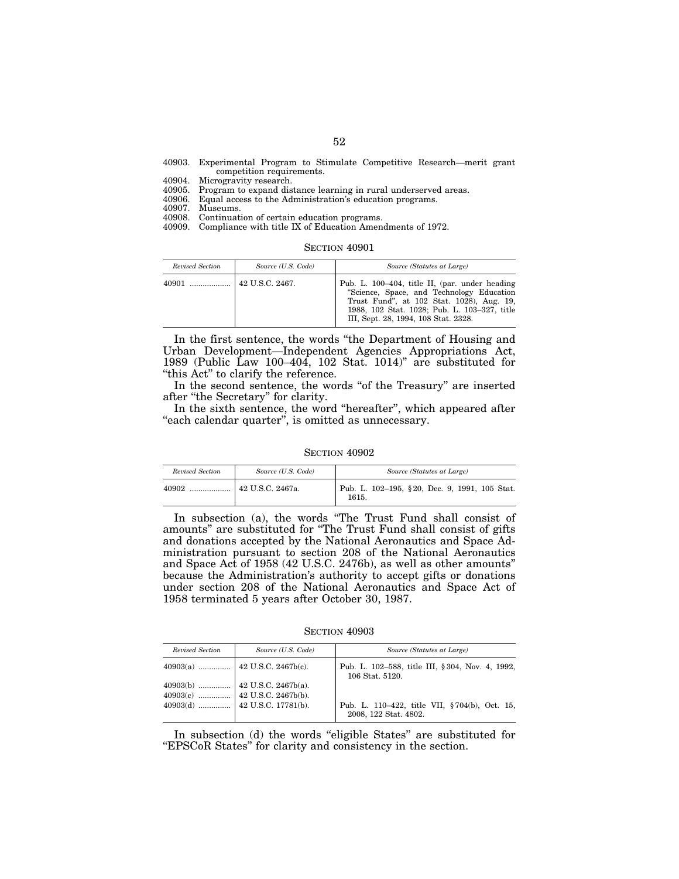|                           |  |  | 40903. Experimental Program to Stimulate Competitive Research—merit grant |  |
|---------------------------|--|--|---------------------------------------------------------------------------|--|
| competition requirements. |  |  |                                                                           |  |

40904. Microgravity research.

40905. Program to expand distance learning in rural underserved areas.<br>40906. Equal access to the Administration's education programs. 40906. Equal access to the Administration's education programs.

40907. Museums.<br>40908 Continuati Continuation of certain education programs.

40909. Compliance with title IX of Education Amendments of 1972.

SECTION 40901

| Revised Section | Source (U.S. Code) | Source (Statutes at Large)                                                                                                                                                                                                        |
|-----------------|--------------------|-----------------------------------------------------------------------------------------------------------------------------------------------------------------------------------------------------------------------------------|
|                 |                    | Pub. L. 100–404, title II, (par. under heading<br>"Science, Space, and Technology Education"<br>Trust Fund", at 102 Stat. 1028), Aug. 19,<br>1988, 102 Stat. 1028; Pub. L. 103-327, title<br>III, Sept. 28, 1994, 108 Stat. 2328. |

In the first sentence, the words ''the Department of Housing and Urban Development—Independent Agencies Appropriations Act, 1989 (Public Law 100–404, 102 Stat. 1014)'' are substituted for "this Act" to clarify the reference.

In the second sentence, the words "of the Treasury" are inserted after ''the Secretary'' for clarity.

In the sixth sentence, the word ''hereafter'', which appeared after "each calendar quarter", is omitted as unnecessary.

#### SECTION 40902

| Revised Section | Source (U.S. Code) | Source (Statutes at Large)                             |
|-----------------|--------------------|--------------------------------------------------------|
| 40902           | 42 U.S.C. 2467a.   | Pub. L. 102-195, §20, Dec. 9, 1991, 105 Stat.<br>1615. |

In subsection (a), the words ''The Trust Fund shall consist of amounts'' are substituted for ''The Trust Fund shall consist of gifts and donations accepted by the National Aeronautics and Space Administration pursuant to section 208 of the National Aeronautics and Space Act of 1958 (42 U.S.C. 2476b), as well as other amounts'' because the Administration's authority to accept gifts or donations under section 208 of the National Aeronautics and Space Act of 1958 terminated 5 years after October 30, 1987.

SECTION 40903

| Revised Section | Source (U.S. Code)                                                                                                                                          | Source (Statutes at Large)                                             |
|-----------------|-------------------------------------------------------------------------------------------------------------------------------------------------------------|------------------------------------------------------------------------|
|                 |                                                                                                                                                             | Pub. L. 102-588, title III, §304, Nov. 4, 1992,<br>106 Stat. 5120.     |
|                 | $\begin{array}{c c c c} \textbf{40903(b)} & \ldots & \textbf{42 U.S.C. 2467b(a).} \\ \textbf{40903(c)} & \ldots & \textbf{42 U.S.C. 2467b(b).} \end{array}$ | Pub. L. 110–422, title VII, §704(b), Oct. 15,<br>2008, 122 Stat. 4802. |

In subsection (d) the words "eligible States" are substituted for ''EPSCoR States'' for clarity and consistency in the section.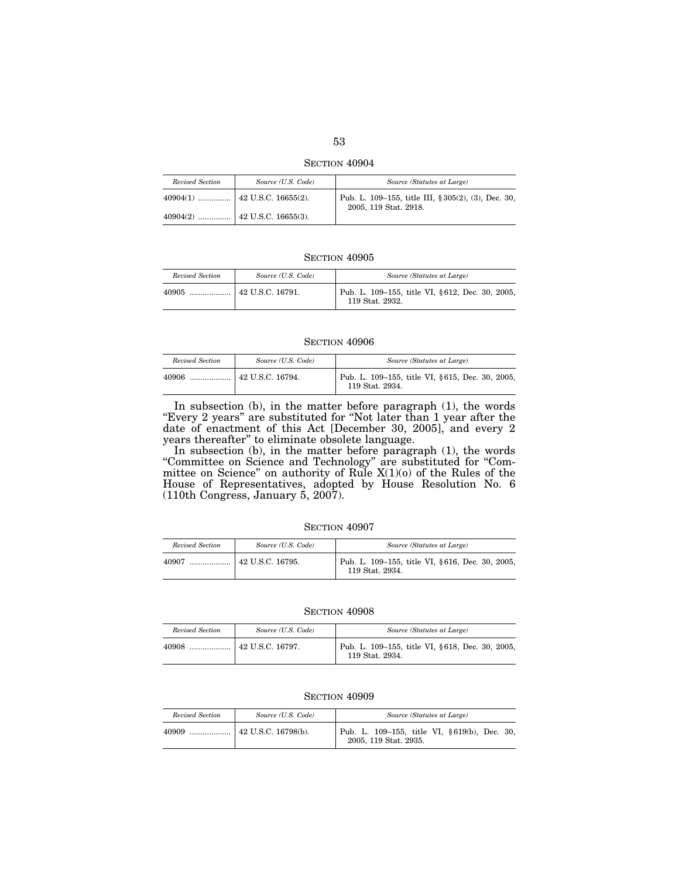SECTION 40904

| Revised Section | Source (U.S. Code) | Source (Statutes at Large)                                                   |
|-----------------|--------------------|------------------------------------------------------------------------------|
|                 |                    | Pub. L. 109-155, title III, § 305(2), (3), Dec. 30,<br>2005, 119 Stat. 2918. |
|                 |                    |                                                                              |

| Revised Section | Source (U.S. Code)             | Source (Statutes at Large)                                         |
|-----------------|--------------------------------|--------------------------------------------------------------------|
| 40905<br>       | $\frac{1}{2}$ 42 U.S.C. 16791. | Pub. L. 109–155, title VI, §612, Dec. 30, 2005,<br>119 Stat. 2932. |

#### SECTION 40906

| Revised Section | Source (U.S. Code)     | Source (Statutes at Large)                                         |
|-----------------|------------------------|--------------------------------------------------------------------|
|                 | $\pm$ 42 U.S.C. 16794. | Pub. L. 109–155, title VI, §615, Dec. 30, 2005,<br>119 Stat. 2934. |

In subsection (b), in the matter before paragraph (1), the words "Every 2 years" are substituted for "Not later than 1 year after the date of enactment of this Act [December 30, 2005], and every 2 years thereafter'' to eliminate obsolete language.

In subsection (b), in the matter before paragraph (1), the words ''Committee on Science and Technology'' are substituted for ''Committee on Science'' on authority of Rule X(1)(o) of the Rules of the House of Representatives, adopted by House Resolution No. 6 (110th Congress, January 5, 2007).

| SECTION 40907 |  |
|---------------|--|
|---------------|--|

| Revised Section | Source (U.S. Code) | Source (Statutes at Large)                                         |
|-----------------|--------------------|--------------------------------------------------------------------|
| 40907           | $42$ U.S.C. 16795. | Pub. L. 109-155, title VI, §616, Dec. 30, 2005,<br>119 Stat. 2934. |

#### SECTION 40908

| Revised Section | Source (U.S. Code)       | Source (Statutes at Large)                                         |
|-----------------|--------------------------|--------------------------------------------------------------------|
| 40908           | $\vert$ 42 U.S.C. 16797. | Pub. L. 109–155, title VI, §618, Dec. 30, 2005,<br>119 Stat. 2934. |

| Revised Section | Source (U.S. Code)        | Source (Statutes at Large)                                            |
|-----------------|---------------------------|-----------------------------------------------------------------------|
| 40909           | $\pm$ 42 U.S.C. 16798(b). | Pub. L. 109–155, title VI, §619(b), Dec. 30,<br>2005, 119 Stat. 2935. |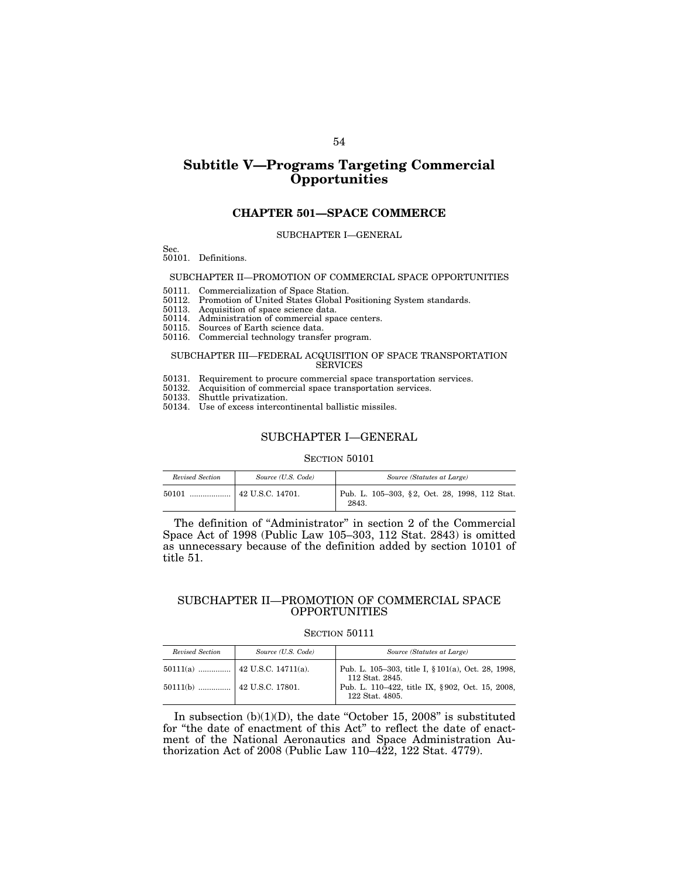# **Subtitle V—Programs Targeting Commercial Opportunities**

## **CHAPTER 501—SPACE COMMERCE**

#### SUBCHAPTER I—GENERAL

Sec.

50101. Definitions.

#### SUBCHAPTER II—PROMOTION OF COMMERCIAL SPACE OPPORTUNITIES

50111. Commercialization of Space Station.

- 50112. Promotion of United States Global Positioning System standards.
- 50113. Acquisition of space science data.
- 50114. Administration of commercial space centers.
- 50115. Sources of Earth science data.
- 50116. Commercial technology transfer program.

#### SUBCHAPTER III—FEDERAL ACQUISITION OF SPACE TRANSPORTATION SERVICES

- 50131. Requirement to procure commercial space transportation services.
- 50132. Acquisition of commercial space transportation services.
- 50133. Shuttle privatization.
- 50134. Use of excess intercontinental ballistic missiles.

#### SUBCHAPTER I—GENERAL

#### SECTION 50101

| Revised Section | Source (U.S. Code)             | Source (Statutes at Large)                             |
|-----------------|--------------------------------|--------------------------------------------------------|
| 50101           | $\frac{1}{2}$ 42 U.S.C. 14701. | Pub. L. 105–303, §2, Oct. 28, 1998, 112 Stat.<br>2843. |

The definition of ''Administrator'' in section 2 of the Commercial Space Act of 1998 (Public Law 105–303, 112 Stat. 2843) is omitted as unnecessary because of the definition added by section 10101 of title 51.

## SUBCHAPTER II—PROMOTION OF COMMERCIAL SPACE OPPORTUNITIES

## SECTION 50111

| Revised Section | Source (U.S. Code) | Source (Statutes at Large)                                            |
|-----------------|--------------------|-----------------------------------------------------------------------|
|                 |                    | Pub. L. 105-303, title I, § 101(a), Oct. 28, 1998,<br>112 Stat. 2845. |
|                 |                    | Pub. L. 110–422, title IX, §902, Oct. 15, 2008,<br>122 Stat. 4805.    |

In subsection  $(b)(1)(D)$ , the date "October 15, 2008" is substituted for ''the date of enactment of this Act'' to reflect the date of enactment of the National Aeronautics and Space Administration Authorization Act of 2008 (Public Law 110–422, 122 Stat. 4779).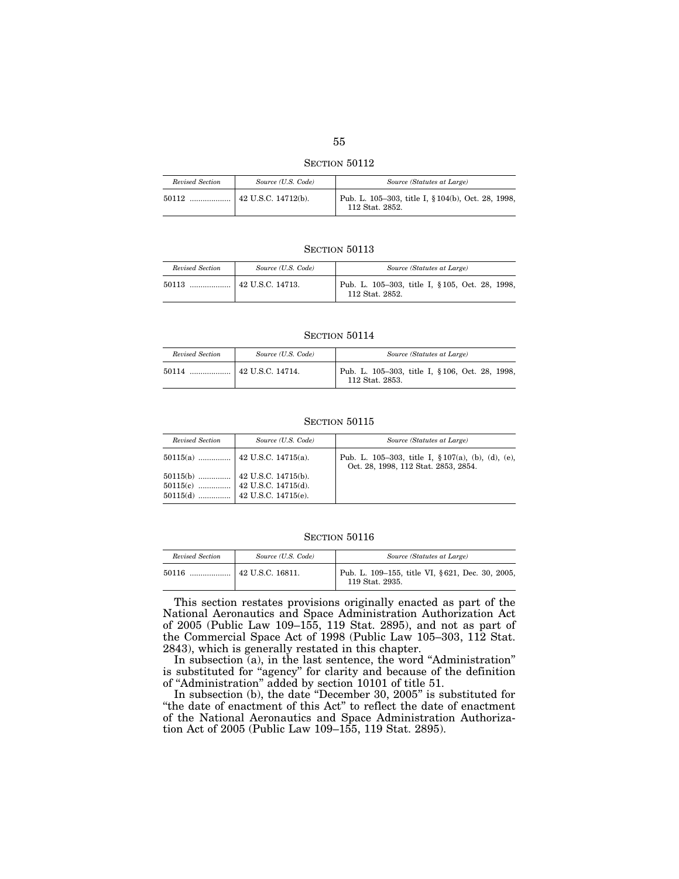| Revised Section | Source (U.S. Code)                | Source (Statutes at Large)                                            |
|-----------------|-----------------------------------|-----------------------------------------------------------------------|
| 50112           | $\frac{1}{2}$ 42 U.S.C. 14712(b). | Pub. L. 105-303, title I, § 104(b), Oct. 28, 1998,<br>112 Stat. 2852. |

| Revised Section | Source (U.S. Code)       | Source (Statutes at Large)                                         |
|-----------------|--------------------------|--------------------------------------------------------------------|
| 50113           | $\vert$ 42 U.S.C. 14713. | Pub. L. 105-303, title I, § 105, Oct. 28, 1998,<br>112 Stat. 2852. |

## SECTION 50114

| Revised Section | Source (U.S. Code) | Source (Statutes at Large)                                         |
|-----------------|--------------------|--------------------------------------------------------------------|
|                 |                    | Pub. L. 105-303, title I, § 106, Oct. 28, 1998,<br>112 Stat. 2853. |

#### SECTION 50115

| Revised Section | Source (U.S. Code)                                               | Source (Statutes at Large)                                                                     |
|-----------------|------------------------------------------------------------------|------------------------------------------------------------------------------------------------|
|                 |                                                                  | Pub. L. 105-303, title I, $\S 107(a)$ , (b), (d), (e),<br>Oct. 28, 1998, 112 Stat. 2853, 2854. |
|                 | $50115(b)$ 42 U.S.C. 14715(b).<br>$50115(c)$ 42 U.S.C. 14715(d). |                                                                                                |

## SECTION  $50116\,$

| Revised Section | Source (U.S. Code)     | Source (Statutes at Large)                                         |
|-----------------|------------------------|--------------------------------------------------------------------|
| 50116<br>.      | $\pm$ 42 U.S.C. 16811. | Pub. L. 109–155, title VI, §621, Dec. 30, 2005,<br>119 Stat. 2935. |

This section restates provisions originally enacted as part of the National Aeronautics and Space Administration Authorization Act of 2005 (Public Law 109–155, 119 Stat. 2895), and not as part of the Commercial Space Act of 1998 (Public Law 105–303, 112 Stat. 2843), which is generally restated in this chapter.

In subsection (a), in the last sentence, the word ''Administration'' is substituted for "agency" for clarity and because of the definition of ''Administration'' added by section 10101 of title 51.

In subsection (b), the date ''December 30, 2005'' is substituted for ''the date of enactment of this Act'' to reflect the date of enactment of the National Aeronautics and Space Administration Authorization Act of 2005 (Public Law 109–155, 119 Stat. 2895).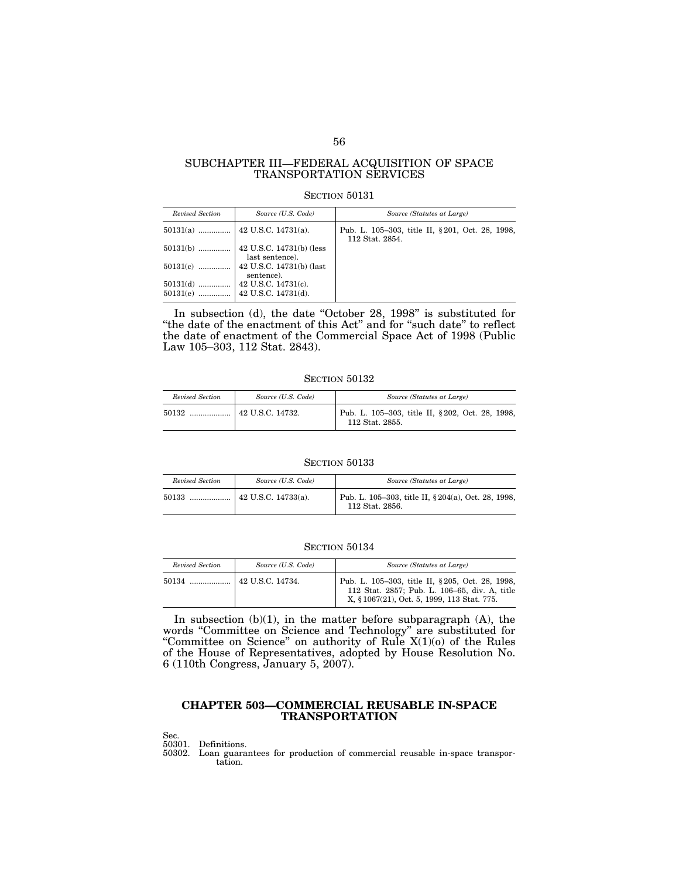## SUBCHAPTER III—FEDERAL ACQUISITION OF SPACE TRANSPORTATION SERVICES

#### SECTION 50131

| Revised Section | Source (U.S. Code)                              | Source (Statutes at Large)                                          |
|-----------------|-------------------------------------------------|---------------------------------------------------------------------|
|                 |                                                 | Pub. L. 105–303, title II, § 201, Oct. 28, 1998,<br>112 Stat. 2854. |
| $50131(b)$      | $ $ 42 U.S.C. 14731(b) (less<br>last sentence). |                                                                     |
| $50131(c)$      | 42 U.S.C. 14731(b) (last<br>sentence).          |                                                                     |
| $50131(d)$      | 42 U.S.C. 14731(c).                             |                                                                     |

In subsection (d), the date ''October 28, 1998'' is substituted for "the date of the enactment of this Act" and for "such date" to reflect the date of enactment of the Commercial Space Act of 1998 (Public Law 105–303, 112 Stat. 2843).

## SECTION 50132

| Revised Section | Source (U.S. Code) | Source (Statutes at Large)                                          |
|-----------------|--------------------|---------------------------------------------------------------------|
| 50132           | 42 U.S.C. 14732.   | Pub. L. 105-303, title II, § 202, Oct. 28, 1998,<br>112 Stat. 2855. |

#### SECTION 50133

| Revised Section | Source (U.S. Code)  | Source (Statutes at Large)                                             |
|-----------------|---------------------|------------------------------------------------------------------------|
| 50133           | 42 U.S.C. 14733(a). | Pub. L. 105-303, title II, § 204(a), Oct. 28, 1998,<br>112 Stat. 2856. |

#### SECTION 50134

| Revised Section | Source (U.S. Code) | Source (Statutes at Large)                                                                                                                      |
|-----------------|--------------------|-------------------------------------------------------------------------------------------------------------------------------------------------|
|                 |                    | Pub. L. 105-303, title II, §205, Oct. 28, 1998,<br>112 Stat. 2857; Pub. L. 106-65, div. A, title<br>X, § 1067(21), Oct. 5, 1999, 113 Stat. 775. |

In subsection  $(b)(1)$ , in the matter before subparagraph  $(A)$ , the words ''Committee on Science and Technology'' are substituted for "Committee on Science" on authority of Rule  $X(1)(0)$  of the Rules of the House of Representatives, adopted by House Resolution No. 6 (110th Congress, January 5, 2007).

## **CHAPTER 503—COMMERCIAL REUSABLE IN-SPACE TRANSPORTATION**

Sec.

50301. Definitions.

50302. Loan guarantees for production of commercial reusable in-space transportation.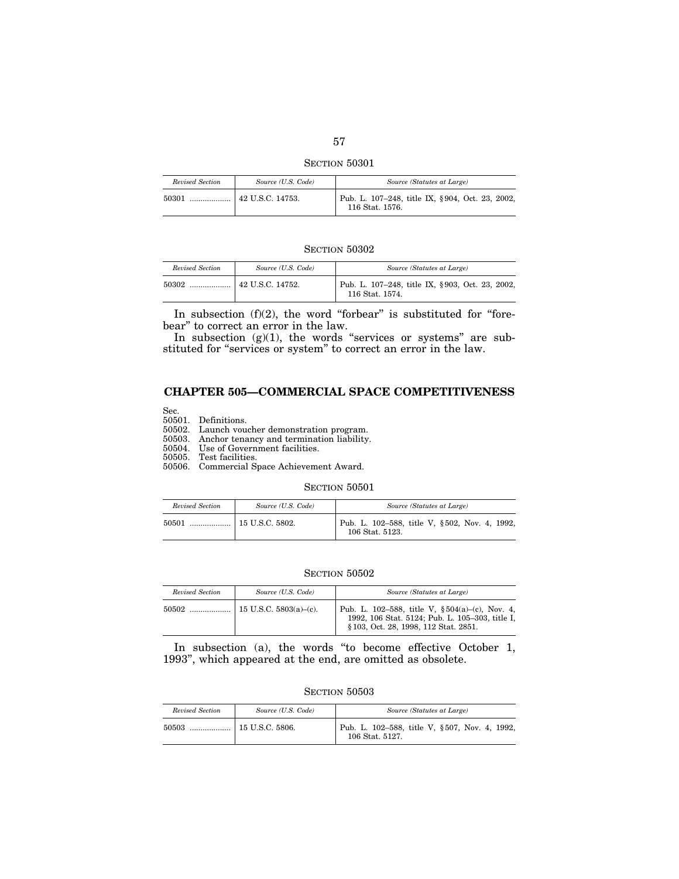SECTION 50301

| Revised Section | Source (U.S. Code)             | Source (Statutes at Large)                                         |
|-----------------|--------------------------------|--------------------------------------------------------------------|
| 50301           | $\frac{1}{2}$ 42 U.S.C. 14753. | Pub. L. 107-248, title IX, §904, Oct. 23, 2002,<br>116 Stat. 1576. |

SECTION 50302

| Revised Section | Source (U.S. Code) | Source (Statutes at Large)                                         |
|-----------------|--------------------|--------------------------------------------------------------------|
| 50302           | 42 U.S.C. 14752.   | Pub. L. 107-248, title IX, §903, Oct. 23, 2002,<br>116 Stat. 1574. |

In subsection  $(f)(2)$ , the word "forbear" is substituted for "forebear'' to correct an error in the law.

In subsection  $(g)(1)$ , the words "services or systems" are substituted for "services or system" to correct an error in the law.

# **CHAPTER 505—COMMERCIAL SPACE COMPETITIVENESS**

Sec.

50501. Definitions.

50502. Launch voucher demonstration program.

50503. Anchor tenancy and termination liability.

50504. Use of Government facilities.

50505. Test facilities.

50506. Commercial Space Achievement Award.

## SECTION 50501

| Revised Section | Source (U.S. Code) | Source (Statutes at Large)                                       |
|-----------------|--------------------|------------------------------------------------------------------|
|                 |                    | Pub. L. 102-588, title V, §502, Nov. 4, 1992,<br>106 Stat. 5123. |

#### SECTION  $50502\,$

| Revised Section | Source (U.S. Code)        | Source (Statutes at Large)                                                                                                                      |
|-----------------|---------------------------|-------------------------------------------------------------------------------------------------------------------------------------------------|
| 50502           | 15 U.S.C. $5803(a)-(c)$ . | Pub. L. 102–588, title V, $\S 504(a)$ –(c), Nov. 4,<br>1992, 106 Stat. 5124; Pub. L. 105-303, title I,<br>§ 103, Oct. 28, 1998, 112 Stat. 2851. |

In subsection (a), the words "to become effective October 1, 1993'', which appeared at the end, are omitted as obsolete.

SECTION 50503

| Revised Section | Source (U.S. Code) | Source (Statutes at Large)                                       |
|-----------------|--------------------|------------------------------------------------------------------|
|                 |                    | Pub. L. 102-588, title V, §507, Nov. 4, 1992,<br>106 Stat. 5127. |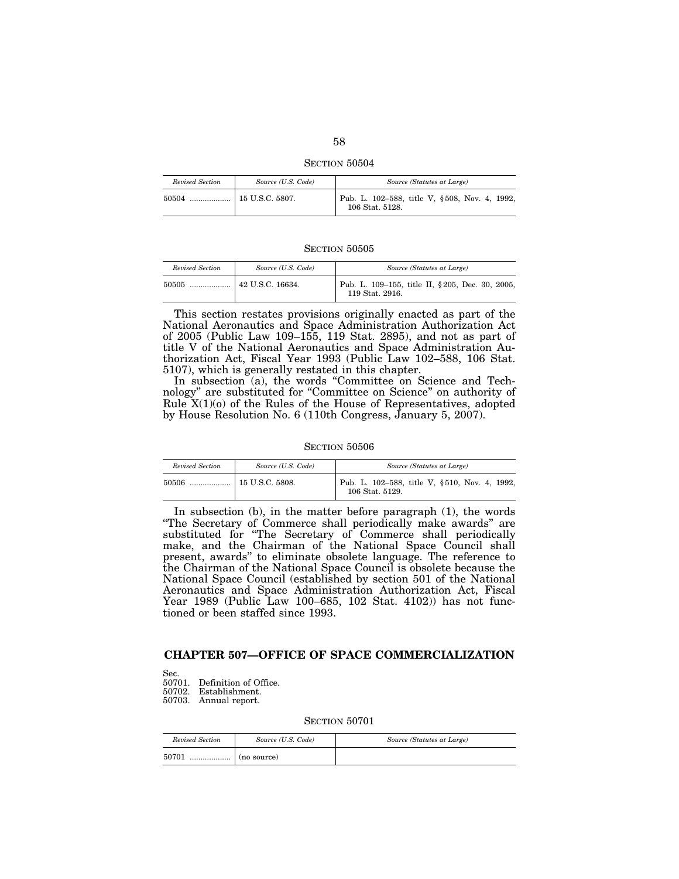SECTION 50504

| Revised Section | Source (U.S. Code) | Source (Statutes at Large)                                       |
|-----------------|--------------------|------------------------------------------------------------------|
|                 |                    | Pub. L. 102-588, title V, §508, Nov. 4, 1992,<br>106 Stat. 5128. |

| Revised Section | Source (U.S. Code) | Source (Statutes at Large)                                          |
|-----------------|--------------------|---------------------------------------------------------------------|
|                 |                    | Pub. L. 109–155, title II, § 205, Dec. 30, 2005,<br>119 Stat. 2916. |

This section restates provisions originally enacted as part of the National Aeronautics and Space Administration Authorization Act of 2005 (Public Law 109–155, 119 Stat. 2895), and not as part of title V of the National Aeronautics and Space Administration Authorization Act, Fiscal Year 1993 (Public Law 102–588, 106 Stat. 5107), which is generally restated in this chapter.

In subsection (a), the words "Committee on Science and Technology'' are substituted for ''Committee on Science'' on authority of Rule  $X(1)(o)$  of the Rules of the House of Representatives, adopted by House Resolution No. 6 (110th Congress, January 5, 2007).

#### SECTION 50506

| Revised Section | Source (U.S. Code) | Source (Statutes at Large)                                       |
|-----------------|--------------------|------------------------------------------------------------------|
|                 |                    | Pub. L. 102–588, title V, §510, Nov. 4, 1992,<br>106 Stat. 5129. |

In subsection (b), in the matter before paragraph (1), the words ''The Secretary of Commerce shall periodically make awards'' are substituted for ''The Secretary of Commerce shall periodically make, and the Chairman of the National Space Council shall present, awards'' to eliminate obsolete language. The reference to the Chairman of the National Space Council is obsolete because the National Space Council (established by section 501 of the National Aeronautics and Space Administration Authorization Act, Fiscal Year 1989 (Public Law 100–685, 102 Stat. 4102)) has not functioned or been staffed since 1993.

# **CHAPTER 507—OFFICE OF SPACE COMMERCIALIZATION**

Sec. 50701. Definition of Office. 50702. Establishment. 50703. Annual report.

| Revised Section | Source (U.S. Code) | Source (Statutes at Large) |
|-----------------|--------------------|----------------------------|
| 50701<br>       | $\mid$ (no source) |                            |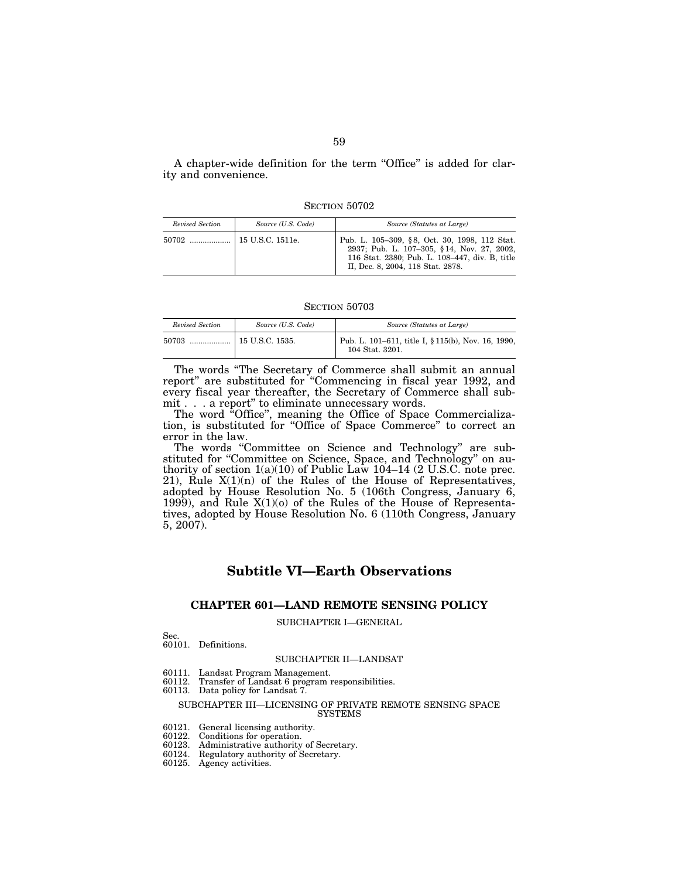A chapter-wide definition for the term ''Office'' is added for clarity and convenience.

SECTION 50702

| Revised Section | Source (U.S. Code) | Source (Statutes at Large)                                                                                                                                                         |
|-----------------|--------------------|------------------------------------------------------------------------------------------------------------------------------------------------------------------------------------|
| 50702           | 15 U.S.C. 1511e.   | Pub. L. 105–309, §8, Oct. 30, 1998, 112 Stat.<br>2937; Pub. L. 107-305, §14, Nov. 27, 2002,<br>116 Stat. 2380; Pub. L. 108-447, div. B, title<br>II, Dec. 8, 2004, 118 Stat. 2878. |

#### SECTION 50703

| Revised Section | Source (U.S. Code)    | Source (Statutes at Large)                                            |
|-----------------|-----------------------|-----------------------------------------------------------------------|
| 50703           | $\pm 15$ U.S.C. 1535. | Pub. L. 101–611, title I, § 115(b), Nov. 16, 1990,<br>104 Stat. 3201. |

The words ''The Secretary of Commerce shall submit an annual report'' are substituted for ''Commencing in fiscal year 1992, and every fiscal year thereafter, the Secretary of Commerce shall submit . . . a report'' to eliminate unnecessary words.

The word ''Office'', meaning the Office of Space Commercialization, is substituted for ''Office of Space Commerce'' to correct an error in the law.

The words "Committee on Science and Technology" are substituted for "Committee on Science, Space, and Technology" on authority of section  $1(a)(10)$  of Public Law  $104-14$  (2 U.S.C. note prec. 21), Rule  $X(1)(n)$  of the Rules of the House of Representatives, adopted by House Resolution No. 5 (106th Congress, January 6, 1999), and Rule X(1)(o) of the Rules of the House of Representatives, adopted by House Resolution No. 6 (110th Congress, January 5, 2007).

# **Subtitle VI—Earth Observations**

## **CHAPTER 601—LAND REMOTE SENSING POLICY**

## SUBCHAPTER I—GENERAL

#### Sec.

60101. Definitions.

## SUBCHAPTER II—LANDSAT

- 60111. Landsat Program Management.
- Transfer of Landsat 6 program responsibilities.
- 60113. Data policy for Landsat 7.

#### SUBCHAPTER III—LICENSING OF PRIVATE REMOTE SENSING SPACE SYSTEMS

- 60121. General licensing authority.
- 60122. Conditions for operation.
- 60123. Administrative authority of Secretary.
- 60124. Regulatory authority of Secretary.
- 60125. Agency activities.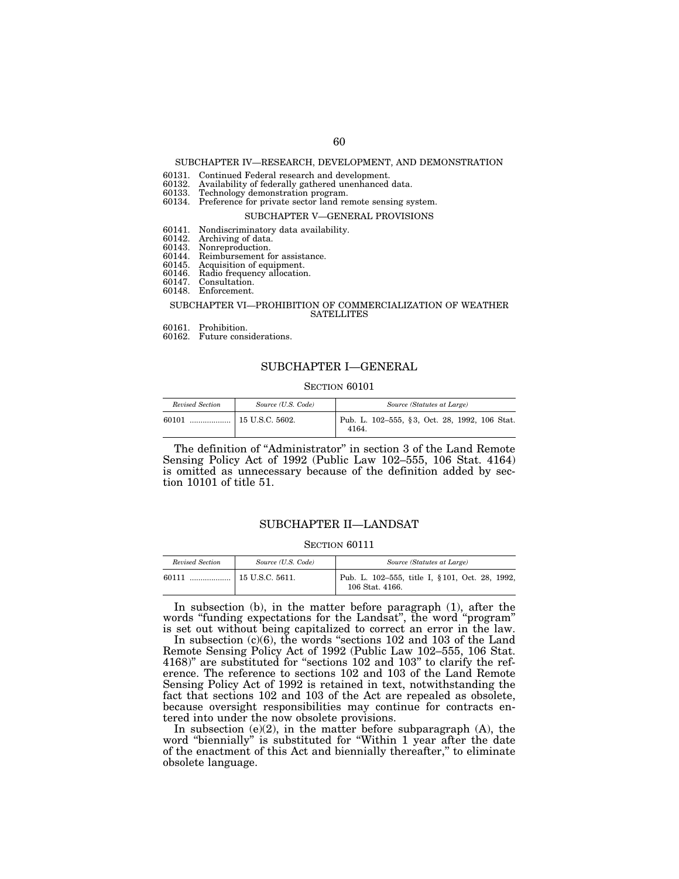#### SUBCHAPTER IV—RESEARCH, DEVELOPMENT, AND DEMONSTRATION

- 60131. Continued Federal research and development.
- 60132. Availability of federally gathered unenhanced data.
- 60133. Technology demonstration program. 60134. Preference for private sector land remote sensing system.

#### SUBCHAPTER V—GENERAL PROVISIONS

- 60141. Nondiscriminatory data availability.
- 60142. Archiving of data.<br>60143. Nonreproduction.
- 60143. Nonreproduction.
- 60144. Reimbursement for assistance.<br>60145. Acquisition of equipment.
- 60145. Acquisition of equipment. 60146. Radio frequency allocation.
- 60147. Consultation.
- 60148. Enforcement.

#### SUBCHAPTER VI—PROHIBITION OF COMMERCIALIZATION OF WEATHER **SATELLITES**

- 60161. Prohibition.
- 60162. Future considerations.

## SUBCHAPTER I—GENERAL

#### SECTION 60101

| Revised Section | Source (U.S. Code) | Source (Statutes at Large)                             |
|-----------------|--------------------|--------------------------------------------------------|
| 60101           | 15 U.S.C. 5602.    | Pub. L. 102–555, §3, Oct. 28, 1992, 106 Stat.<br>4164. |

The definition of ''Administrator'' in section 3 of the Land Remote Sensing Policy Act of 1992 (Public Law 102–555, 106 Stat. 4164) is omitted as unnecessary because of the definition added by section 10101 of title 51.

## SUBCHAPTER II—LANDSAT

#### SECTION 60111

| Revised Section | Source (U.S. Code) | Source (Statutes at Large)                                         |
|-----------------|--------------------|--------------------------------------------------------------------|
| 60111           |                    | Pub. L. 102-555, title I, § 101, Oct. 28, 1992,<br>106 Stat. 4166. |

In subsection (b), in the matter before paragraph (1), after the words "funding expectations for the Landsat", the word "program" is set out without being capitalized to correct an error in the law.

In subsection  $(c)(6)$ , the words "sections 102 and 103 of the Land Remote Sensing Policy Act of 1992 (Public Law 102–555, 106 Stat. 4168)'' are substituted for ''sections 102 and 103'' to clarify the reference. The reference to sections 102 and 103 of the Land Remote Sensing Policy Act of 1992 is retained in text, notwithstanding the fact that sections 102 and 103 of the Act are repealed as obsolete, because oversight responsibilities may continue for contracts entered into under the now obsolete provisions.

In subsection (e)(2), in the matter before subparagraph  $(A)$ , the word "biennially" is substituted for "Within 1 year after the date of the enactment of this Act and biennially thereafter,'' to eliminate obsolete language.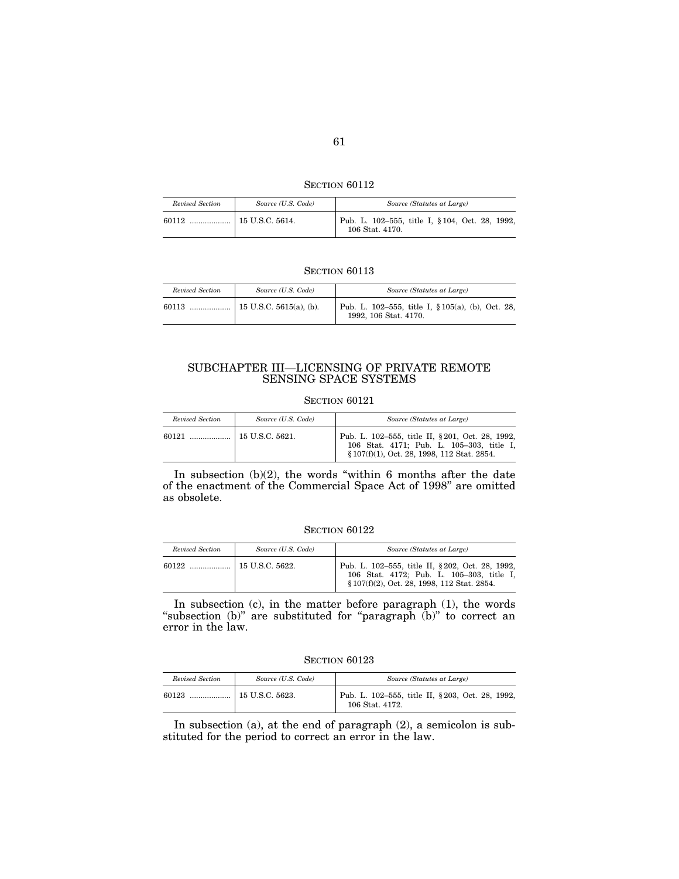**SECTION 60112** 

| Revised Section | Source (U.S. Code) | Source (Statutes at Large)                                         |
|-----------------|--------------------|--------------------------------------------------------------------|
| 60112           |                    | Pub. L. 102-555, title I, § 104, Oct. 28, 1992,<br>106 Stat. 4170. |

| Revised Section | Source (U.S. Code) | Source (Statutes at Large)                                                     |
|-----------------|--------------------|--------------------------------------------------------------------------------|
| 60113           |                    | Pub. L. 102–555, title I, $\S 105(a)$ , (b), Oct. 28,<br>1992, 106 Stat. 4170. |

## SUBCHAPTER III—LICENSING OF PRIVATE REMOTE SENSING SPACE SYSTEMS

#### SECTION 60121

| Revised Section | Source (U.S. Code) | Source (Statutes at Large)                                                                                                                   |
|-----------------|--------------------|----------------------------------------------------------------------------------------------------------------------------------------------|
|                 |                    | Pub. L. 102-555, title II, § 201, Oct. 28, 1992,<br>106 Stat. 4171; Pub. L. 105-303, title I,<br>§ 107(f)(1), Oct. 28, 1998, 112 Stat. 2854. |

In subsection  $(b)(2)$ , the words "within 6 months after the date of the enactment of the Commercial Space Act of 1998'' are omitted as obsolete.

#### SECTION 60122

| Revised Section | Source (U.S. Code)    | Source (Statutes at Large)                                                                                                                   |
|-----------------|-----------------------|----------------------------------------------------------------------------------------------------------------------------------------------|
|                 | $\pm$ 15 U.S.C. 5622. | Pub. L. 102-555, title II, § 202, Oct. 28, 1992,<br>106 Stat. 4172; Pub. L. 105-303, title I,<br>§ 107(f)(2), Oct. 28, 1998, 112 Stat. 2854. |

In subsection (c), in the matter before paragraph (1), the words "subsection (b)" are substituted for "paragraph (b)" to correct an error in the law.

SECTION 60123

| Revised Section | Source (U.S. Code) | Source (Statutes at Large)                                         |
|-----------------|--------------------|--------------------------------------------------------------------|
| 60123<br>       | 15 U.S.C. 5623.    | Pub. L. 102-555, title II, §203, Oct. 28, 1992,<br>106 Stat. 4172. |

In subsection (a), at the end of paragraph (2), a semicolon is substituted for the period to correct an error in the law.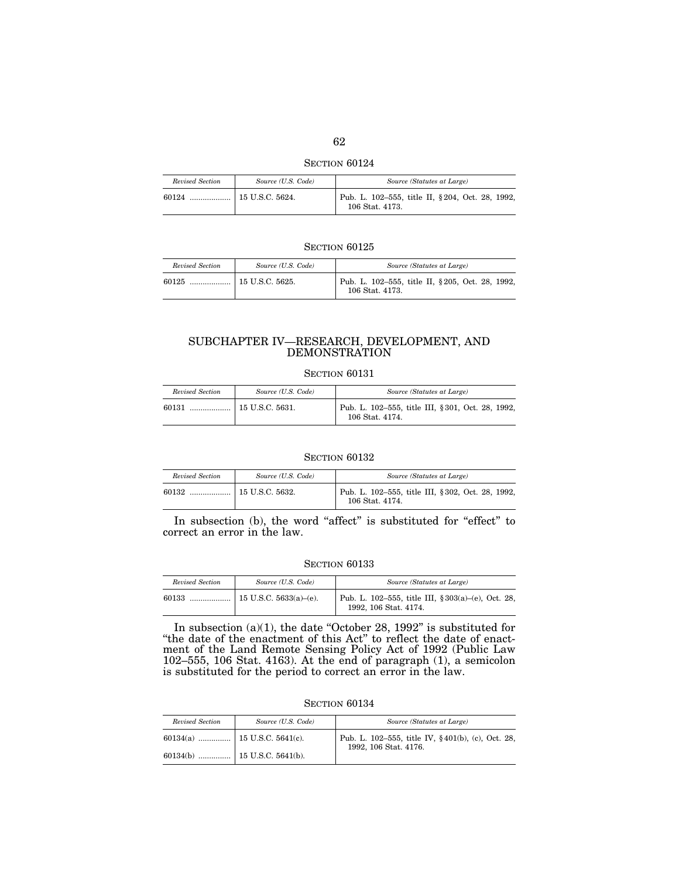SECTION 60124

| Revised Section | Source (U.S. Code) | Source (Statutes at Large)                                         |
|-----------------|--------------------|--------------------------------------------------------------------|
|                 |                    | Pub. L. 102-555, title II, §204, Oct. 28, 1992,<br>106 Stat. 4173. |

| Revised Section                     | Source (U.S. Code) | Source (Statutes at Large)                                          |
|-------------------------------------|--------------------|---------------------------------------------------------------------|
| $60125$ , , $\vert$ 15 U.S.C. 5625. |                    | Pub. L. 102–555, title II, § 205, Oct. 28, 1992,<br>106 Stat. 4173. |

## SUBCHAPTER IV—RESEARCH, DEVELOPMENT, AND DEMONSTRATION

## SECTION 60131

| Revised Section | Source (U.S. Code) | Source (Statutes at Large)                                           |
|-----------------|--------------------|----------------------------------------------------------------------|
| 60131           | 15 U.S.C. 5631.    | Pub. L. 102–555, title III, § 301, Oct. 28, 1992,<br>106 Stat. 4174. |

#### SECTION 60132

| Revised Section | Source (U.S. Code) | Source (Statutes at Large)                                           |
|-----------------|--------------------|----------------------------------------------------------------------|
|                 |                    | Pub. L. 102-555, title III, § 302, Oct. 28, 1992,<br>106 Stat. 4174. |

In subsection (b), the word "affect" is substituted for "effect" to correct an error in the law.

## SECTION 60133

| Revised Section | Source (U.S. Code) | Source (Statutes at Large)                                                      |
|-----------------|--------------------|---------------------------------------------------------------------------------|
| 60133           |                    | Pub. L. 102–555, title III, $\S 303(a)$ –(e), Oct. 28,<br>1992, 106 Stat. 4174. |

In subsection  $(a)(1)$ , the date "October 28, 1992" is substituted for ''the date of the enactment of this Act'' to reflect the date of enactment of the Land Remote Sensing Policy Act of 1992 (Public Law 102–555, 106 Stat. 4163). At the end of paragraph (1), a semicolon is substituted for the period to correct an error in the law.

| Revised Section | Source (U.S. Code) | Source (Statutes at Large)                                                 |
|-----------------|--------------------|----------------------------------------------------------------------------|
|                 |                    | Pub. L. 102-555, title IV, §401(b), (c), Oct. 28,<br>1992, 106 Stat. 4176. |
|                 |                    |                                                                            |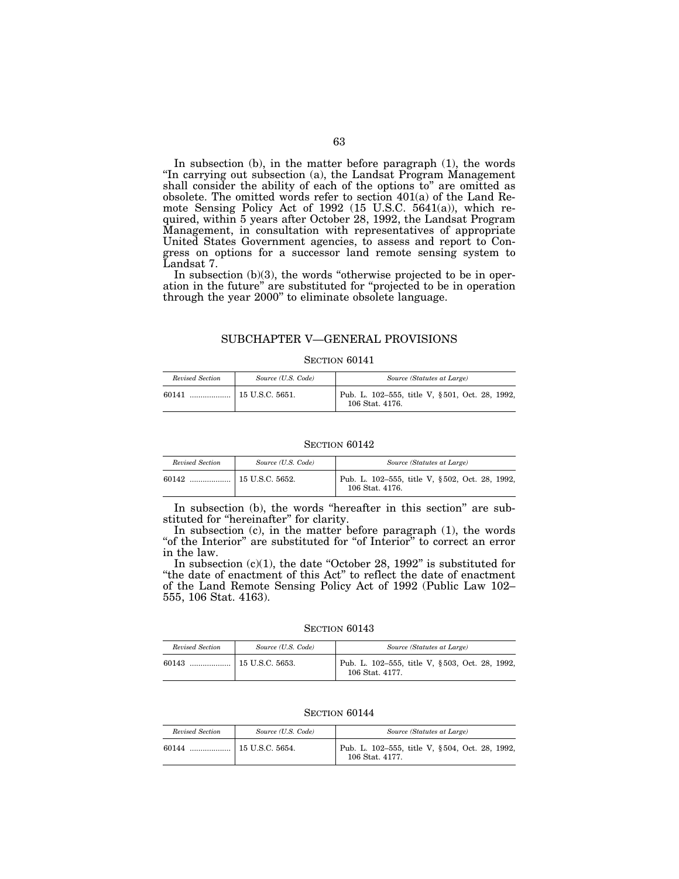In subsection (b), in the matter before paragraph (1), the words "In carrying out subsection (a), the Landsat Program Management shall consider the ability of each of the options to'' are omitted as obsolete. The omitted words refer to section 401(a) of the Land Remote Sensing Policy Act of 1992 (15 U.S.C. 5641(a)), which required, within 5 years after October 28, 1992, the Landsat Program Management, in consultation with representatives of appropriate United States Government agencies, to assess and report to Congress on options for a successor land remote sensing system to Landsat 7.

In subsection  $(b)(3)$ , the words "otherwise projected to be in operation in the future'' are substituted for ''projected to be in operation through the year 2000'' to eliminate obsolete language.

## SUBCHAPTER V—GENERAL PROVISIONS

#### SECTION 60141

| Revised Section | Source (U.S. Code) | Source (Statutes at Large)                                        |
|-----------------|--------------------|-------------------------------------------------------------------|
| 60141           |                    | Pub. L. 102-555, title V, §501, Oct. 28, 1992,<br>106 Stat. 4176. |

#### SECTION 60142

| Revised Section | Source (U.S. Code) | Source (Statutes at Large)                                        |
|-----------------|--------------------|-------------------------------------------------------------------|
|                 |                    | Pub. L. 102-555, title V, §502, Oct. 28, 1992,<br>106 Stat. 4176. |

In subsection (b), the words "hereafter in this section" are substituted for "hereinafter" for clarity.

In subsection (c), in the matter before paragraph (1), the words "of the Interior" are substituted for "of Interior" to correct an error in the law.

In subsection  $(c)(1)$ , the date "October 28, 1992" is substituted for ''the date of enactment of this Act'' to reflect the date of enactment of the Land Remote Sensing Policy Act of 1992 (Public Law 102– 555, 106 Stat. 4163).

SECTION 60143

| Revised Section | Source (U.S. Code) | Source (Statutes at Large)                                        |
|-----------------|--------------------|-------------------------------------------------------------------|
| 60143           |                    | Pub. L. 102–555, title V, §503, Oct. 28, 1992,<br>106 Stat. 4177. |

| Revised Section | Source (U.S. Code) | Source (Statutes at Large)                                        |
|-----------------|--------------------|-------------------------------------------------------------------|
|                 |                    | Pub. L. 102-555, title V, §504, Oct. 28, 1992,<br>106 Stat. 4177. |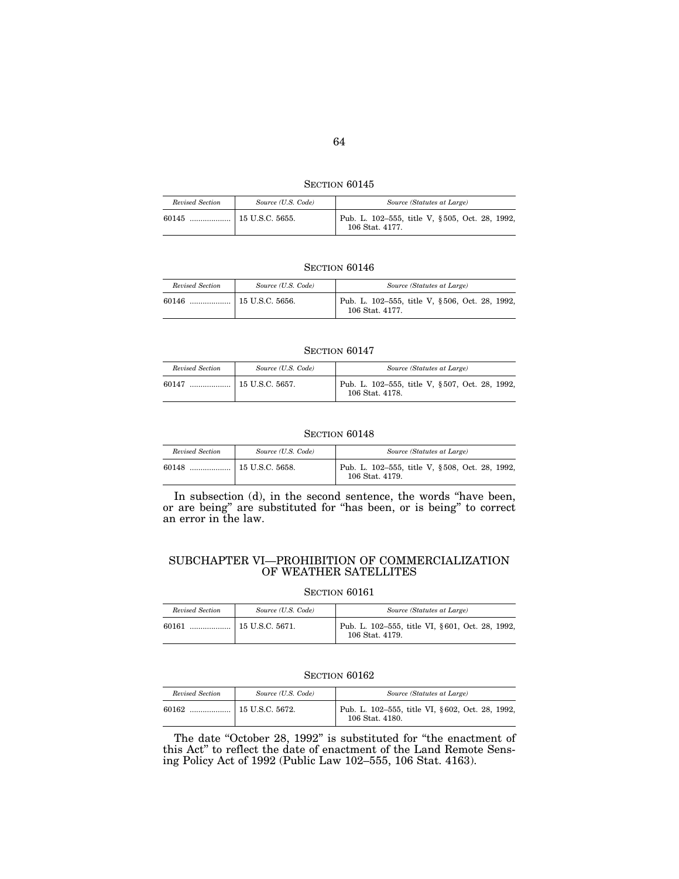| SECTION 60145 |  |
|---------------|--|
|               |  |

| Revised Section | Source (U.S. Code) | Source (Statutes at Large)                                        |
|-----------------|--------------------|-------------------------------------------------------------------|
|                 |                    | Pub. L. 102-555, title V, §505, Oct. 28, 1992,<br>106 Stat. 4177. |

| Revised Section | Source (U.S. Code) | Source (Statutes at Large)                                        |
|-----------------|--------------------|-------------------------------------------------------------------|
|                 |                    | Pub. L. 102–555, title V, §506, Oct. 28, 1992,<br>106 Stat. 4177. |

#### **SECTION 60147**

| Revised Section | Source (U.S. Code) | Source (Statutes at Large)                                        |
|-----------------|--------------------|-------------------------------------------------------------------|
| 60147           |                    | Pub. L. 102-555, title V, §507, Oct. 28, 1992,<br>106 Stat. 4178. |

## SECTION 60148

| Revised Section | Source (U.S. Code) | Source (Statutes at Large)                                        |
|-----------------|--------------------|-------------------------------------------------------------------|
| 60148           |                    | Pub. L. 102-555, title V, §508, Oct. 28, 1992,<br>106 Stat. 4179. |

In subsection (d), in the second sentence, the words ''have been, or are being'' are substituted for ''has been, or is being'' to correct an error in the law.

## SUBCHAPTER VI—PROHIBITION OF COMMERCIALIZATION OF WEATHER SATELLITES

## SECTION 60161

| Revised Section | Source (U.S. Code) | Source (Statutes at Large)                                         |
|-----------------|--------------------|--------------------------------------------------------------------|
| 60161           |                    | Pub. L. 102-555, title VI, §601, Oct. 28, 1992,<br>106 Stat. 4179. |

## SECTION 60162

| Revised Section | Source (U.S. Code)      | Source (Statutes at Large)                                         |
|-----------------|-------------------------|--------------------------------------------------------------------|
| 60162           | $\vert$ 15 U.S.C. 5672. | Pub. L. 102-555, title VI, §602, Oct. 28, 1992,<br>106 Stat. 4180. |

The date "October 28, 1992" is substituted for "the enactment of this Act'' to reflect the date of enactment of the Land Remote Sensing Policy Act of 1992 (Public Law 102–555, 106 Stat. 4163).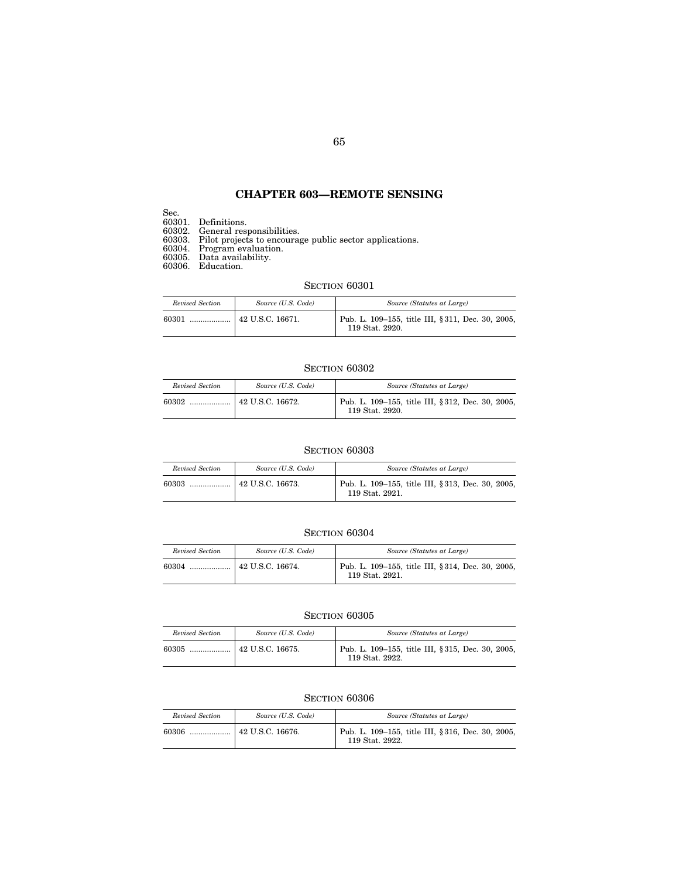## **CHAPTER 603—REMOTE SENSING**

Sec.

60301. Definitions.

60302. General responsibilities.

60303. Pilot projects to encourage public sector applications.

60304. Program evaluation.

60305. Data availability.

60306. Education.

## SECTION  $60301$

| Revised Section | Source (U.S. Code)       | Source (Statutes at Large)                                          |
|-----------------|--------------------------|---------------------------------------------------------------------|
| 60301<br>       | $\vert$ 42 U.S.C. 16671. | Pub. L. 109-155, title III, §311, Dec. 30, 2005,<br>119 Stat. 2920. |

## SECTION  $60302$

| Revised Section | Source (U.S. Code) | Source (Statutes at Large)                                          |
|-----------------|--------------------|---------------------------------------------------------------------|
|                 |                    | Pub. L. 109-155, title III, §312, Dec. 30, 2005,<br>119 Stat. 2920. |

## SECTION  $60303\,$

| Revised Section | Source (U.S. Code) | Source (Statutes at Large)                                           |
|-----------------|--------------------|----------------------------------------------------------------------|
|                 |                    | Pub. L. 109–155, title III, § 313, Dec. 30, 2005,<br>119 Stat. 2921. |

#### SECTION  $60304\,$

| Revised Section | Source (U.S. Code) | Source (Statutes at Large)                                          |
|-----------------|--------------------|---------------------------------------------------------------------|
| 60304           |                    | Pub. L. 109-155, title III, §314, Dec. 30, 2005,<br>119 Stat. 2921. |

#### SECTION  $60305$

| Revised Section | Source (U.S. Code)       | Source (Statutes at Large)                                          |
|-----------------|--------------------------|---------------------------------------------------------------------|
| 60305<br>       | $\vert$ 42 U.S.C. 16675. | Pub. L. 109-155, title III, §315, Dec. 30, 2005,<br>119 Stat. 2922. |

| Revised Section | Source (U.S. Code) | Source (Statutes at Large)                                          |
|-----------------|--------------------|---------------------------------------------------------------------|
| 60306           |                    | Pub. L. 109-155, title III, §316, Dec. 30, 2005,<br>119 Stat. 2922. |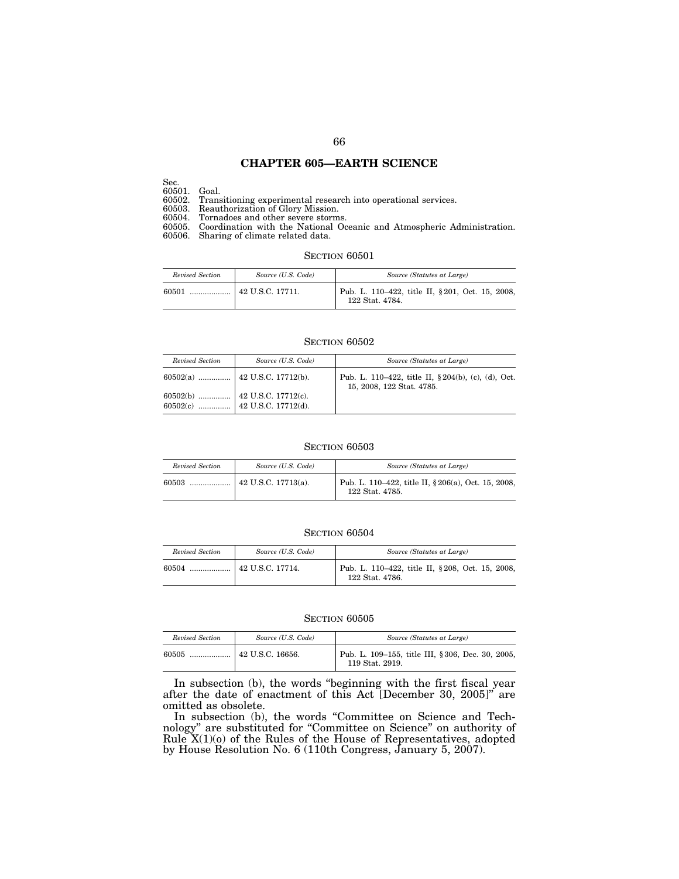## **CHAPTER 605—EARTH SCIENCE**

Sec.

60501. Goal. 60502. Transitioning experimental research into operational services.

60503. Reauthorization of Glory Mission.

60504. Tornadoes and other severe storms.

60505. Coordination with the National Oceanic and Atmospheric Administration. 60506. Sharing of climate related data.

#### SECTION  $60501\,$

| Revised Section | Source (U.S. Code) | Source (Statutes at Large)                                          |
|-----------------|--------------------|---------------------------------------------------------------------|
| 60501           |                    | Pub. L. 110–422, title II, § 201, Oct. 15, 2008,<br>122 Stat. 4784. |

#### SECTION  $60502\,$

| Revised Section | Source (U.S. Code) | Source (Statutes at Large)                                                      |
|-----------------|--------------------|---------------------------------------------------------------------------------|
|                 |                    | Pub. L. 110–422, title II, §204(b), (c), (d), Oct.<br>15, 2008, 122 Stat. 4785. |
|                 |                    |                                                                                 |

## SECTION 60503

| Revised Section | Source (U.S. Code)          | Source (Statutes at Large)                                             |
|-----------------|-----------------------------|------------------------------------------------------------------------|
| 60503           | $\vert$ 42 U.S.C. 17713(a). | Pub. L. 110–422, title II, § 206(a), Oct. 15, 2008,<br>122 Stat. 4785. |

#### SECTION 60504

| Revised Section | Source (U.S. Code) | Source (Statutes at Large)                                         |
|-----------------|--------------------|--------------------------------------------------------------------|
| 60504           |                    | Pub. L. 110-422, title II, §208, Oct. 15, 2008,<br>122 Stat. 4786. |

#### SECTION 60505

| Revised Section | Source (U.S. Code)       | Source (Statutes at Large)                                           |
|-----------------|--------------------------|----------------------------------------------------------------------|
| 60505           | $\vert$ 42 U.S.C. 16656. | Pub. L. 109–155, title III, § 306, Dec. 30, 2005,<br>119 Stat. 2919. |

In subsection (b), the words ''beginning with the first fiscal year after the date of enactment of this Act [December 30, 2005]'' are omitted as obsolete.

In subsection (b), the words "Committee on Science and Technology'' are substituted for ''Committee on Science'' on authority of Rule X(1)(o) of the Rules of the House of Representatives, adopted by House Resolution No. 6 (110th Congress, January 5, 2007).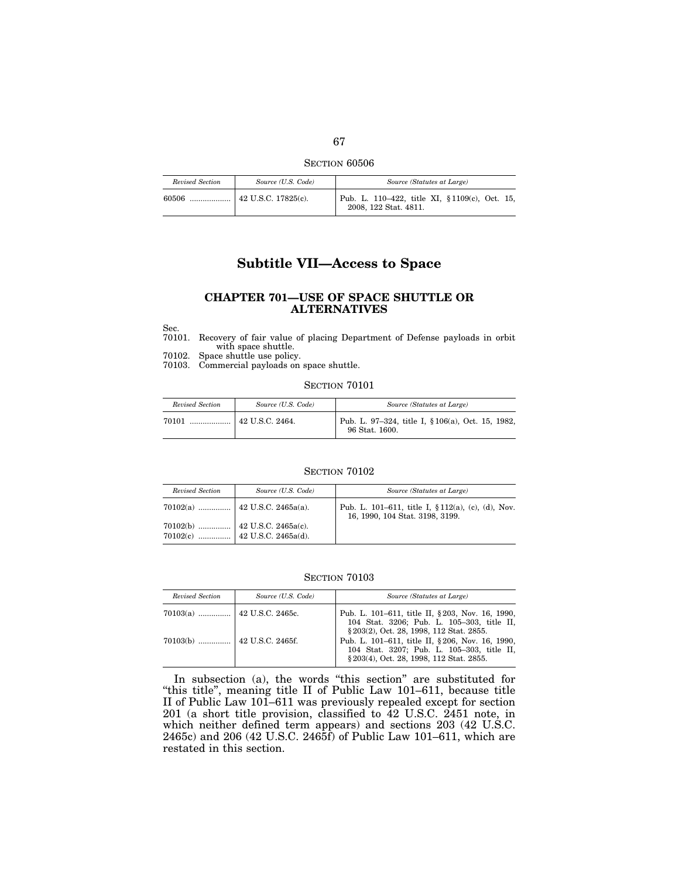SECTION 60506

| Revised Section | Source (U.S. Code)          | Source (Statutes at Large)                                              |
|-----------------|-----------------------------|-------------------------------------------------------------------------|
| 60506           | $\vert$ 42 U.S.C. 17825(c). | Pub. L. 110–422, title XI, § 1109(c), Oct. 15,<br>2008, 122 Stat. 4811. |

# **Subtitle VII—Access to Space**

## **CHAPTER 701—USE OF SPACE SHUTTLE OR ALTERNATIVES**

Sec.

70101. Recovery of fair value of placing Department of Defense payloads in orbit with space shuttle.

70102. Space shuttle use policy.

70103. Commercial payloads on space shuttle.

SECTION 70101

| Revised Section | Source (U.S. Code)           | Source (Statutes at Large)                                          |
|-----------------|------------------------------|---------------------------------------------------------------------|
| 70101           | $\ldots$ $ $ 42 U.S.C. 2464. | Pub. L. 97-324, title I, § 106(a), Oct. 15, 1982,<br>96 Stat. 1600. |

#### SECTION  $70102$

| Revised Section | Source (U.S. Code)                                             | Source (Statutes at Large)                                                                |
|-----------------|----------------------------------------------------------------|-------------------------------------------------------------------------------------------|
|                 |                                                                | Pub. L. 101–611, title I, $\S 112(a)$ , (c), (d), Nov.<br>16, 1990, 104 Stat. 3198, 3199. |
|                 | 70102(b)  42 U.S.C. 2465a(c).<br>70102(c)  42 U.S.C. 2465a(d). |                                                                                           |

## SECTION 70103

| Revised Section | Source (U.S. Code) | Source (Statutes at Large)                                                                                                                |
|-----------------|--------------------|-------------------------------------------------------------------------------------------------------------------------------------------|
|                 |                    | Pub. L. 101-611, title II, §203, Nov. 16, 1990,<br>104 Stat. 3206; Pub. L. 105-303, title II,<br>§ 203(2), Oct. 28, 1998, 112 Stat. 2855. |
|                 |                    | Pub. L. 101-611, title II, §206, Nov. 16, 1990,<br>104 Stat. 3207; Pub. L. 105-303, title II,<br>§ 203(4), Oct. 28, 1998, 112 Stat. 2855. |

In subsection (a), the words ''this section'' are substituted for ''this title'', meaning title II of Public Law 101–611, because title II of Public Law 101–611 was previously repealed except for section 201 (a short title provision, classified to 42 U.S.C. 2451 note, in which neither defined term appears) and sections 203 (42 U.S.C. 2465c) and 206 (42 U.S.C. 2465f) of Public Law 101–611, which are restated in this section.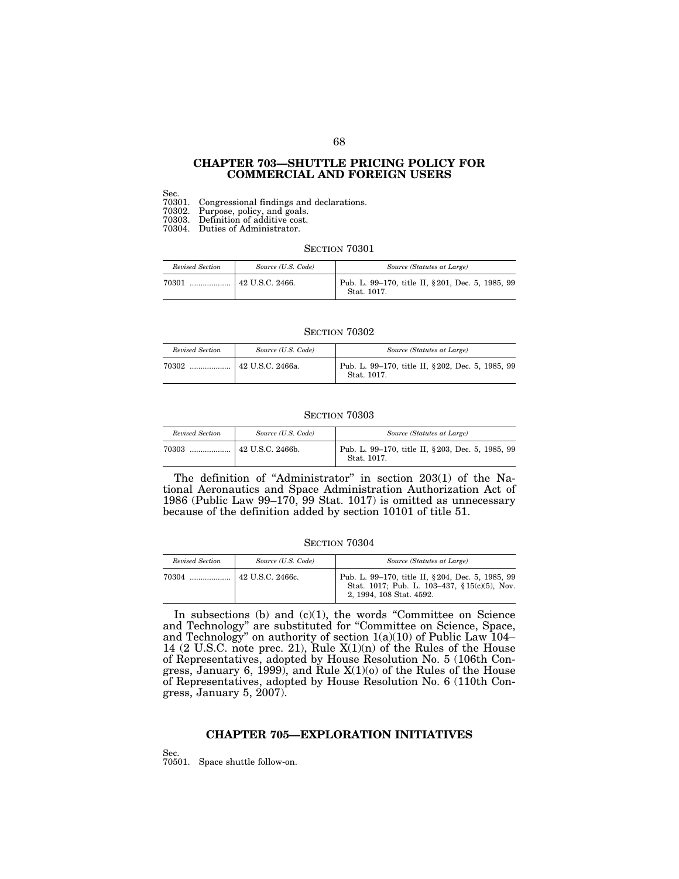## **CHAPTER 703—SHUTTLE PRICING POLICY FOR COMMERCIAL AND FOREIGN USERS**

Sec.

70301. Congressional findings and declarations.

70302. Purpose, policy, and goals.

70303. Definition of additive cost.

70304. Duties of Administrator.

#### SECTION 70301

| Revised Section | Source (U.S. Code) | Source (Statutes at Large)                                       |
|-----------------|--------------------|------------------------------------------------------------------|
| 70301<br>       | 42 U.S.C. 2466.    | Pub. L. 99-170, title II, § 201, Dec. 5, 1985, 99<br>Stat. 1017. |

#### SECTION 70302

| Revised Section | Source (U.S. Code)            | Source (Statutes at Large)                                       |
|-----------------|-------------------------------|------------------------------------------------------------------|
| 70302           | <sup>1</sup> 42 U.S.C. 2466a. | Pub. L. 99–170, title II, § 202, Dec. 5, 1985, 99<br>Stat. 1017. |

#### SECTION 70303

| Revised Section | Source (U.S. Code)       | Source (Statutes at Large)                                       |
|-----------------|--------------------------|------------------------------------------------------------------|
| 70303           | $\vert$ 42 U.S.C. 2466b. | Pub. L. 99–170, title II, § 203, Dec. 5, 1985, 99<br>Stat. 1017. |

The definition of "Administrator" in section 203(1) of the National Aeronautics and Space Administration Authorization Act of 1986 (Public Law 99–170, 99 Stat. 1017) is omitted as unnecessary because of the definition added by section 10101 of title 51.

## SECTION 70304

| Revised Section | Source (U.S. Code) | Source (Statutes at Large)                                                                                                    |
|-----------------|--------------------|-------------------------------------------------------------------------------------------------------------------------------|
| 70304           | 42 U.S.C. 2466c.   | Pub. L. 99–170, title II, § 204, Dec. 5, 1985, 99<br>Stat. 1017; Pub. L. 103-437, §15(c)(5), Nov.<br>2, 1994, 108 Stat. 4592. |

In subsections  $(b)$  and  $(c)(1)$ , the words "Committee on Science" and Technology'' are substituted for ''Committee on Science, Space, and Technology'' on authority of section 1(a)(10) of Public Law 104– 14 (2 U.S.C. note prec. 21), Rule  $X(1)(n)$  of the Rules of the House of Representatives, adopted by House Resolution No. 5 (106th Congress, January 6, 1999), and Rule X(1)(o) of the Rules of the House of Representatives, adopted by House Resolution No. 6 (110th Congress, January 5, 2007).

## **CHAPTER 705—EXPLORATION INITIATIVES**

Sec. 70501. Space shuttle follow-on.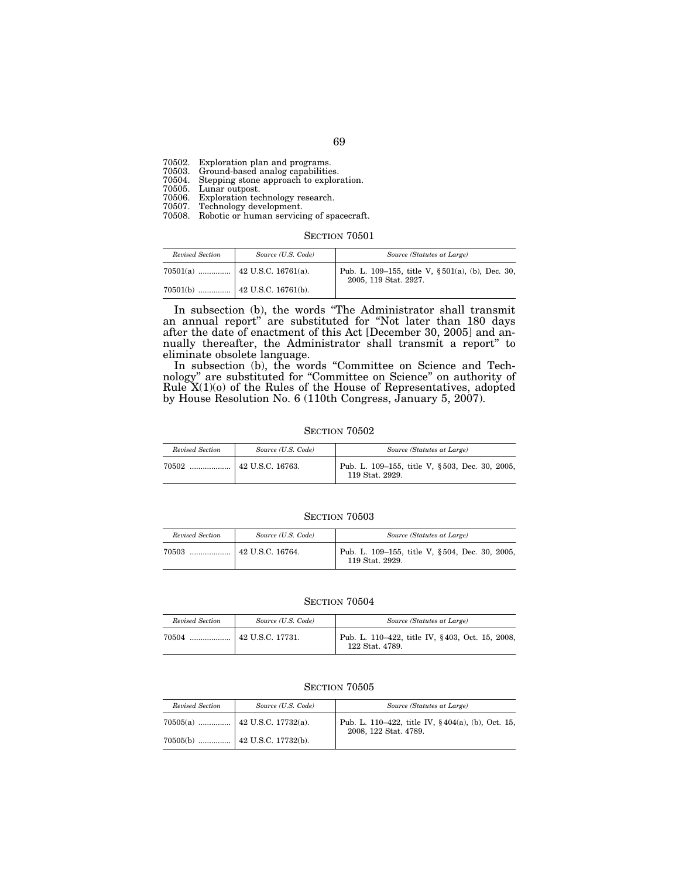70502. Exploration plan and programs. 70503. Ground-based analog capabilities. 70504. Stepping stone approach to exploration. 70505. Lunar outpost. 70506. Exploration technology research. 70507. Technology development. 70508. Robotic or human servicing of spacecraft.

SECTION 70501

| Revised Section | Source (U.S. Code) | Source (Statutes at Large)                                                |
|-----------------|--------------------|---------------------------------------------------------------------------|
|                 |                    | Pub. L. 109-155, title V, §501(a), (b), Dec. 30,<br>2005, 119 Stat. 2927. |
|                 |                    |                                                                           |

In subsection (b), the words ''The Administrator shall transmit an annual report'' are substituted for ''Not later than 180 days after the date of enactment of this Act [December 30, 2005] and annually thereafter, the Administrator shall transmit a report'' to eliminate obsolete language.

In subsection (b), the words ''Committee on Science and Technology'' are substituted for ''Committee on Science'' on authority of Rule  $X(1)(o)$  of the Rules of the House of Representatives, adopted by House Resolution No. 6 (110th Congress, January 5, 2007).

**SECTION 70502** 

| Revised Section | Source (U.S. Code) | Source (Statutes at Large)                                        |
|-----------------|--------------------|-------------------------------------------------------------------|
| $70502$         | $42$ U.S.C. 16763. | Pub. L. 109-155, title V, §503, Dec. 30, 2005,<br>119 Stat. 2929. |

SECTION  $70503$ 

| Revised Section | Source (U.S. Code) | Source (Statutes at Large)                                        |
|-----------------|--------------------|-------------------------------------------------------------------|
|                 |                    | Pub. L. 109–155, title V, §504, Dec. 30, 2005,<br>119 Stat. 2929. |

## **SECTION 70504**

| Revised Section | Source (U.S. Code)     | Source (Statutes at Large)                                         |
|-----------------|------------------------|--------------------------------------------------------------------|
| 70504<br>.      | $\pm$ 42 U.S.C. 17731. | Pub. L. 110–422, title IV, §403, Oct. 15, 2008,<br>122 Stat. 4789. |

| Revised Section | Source (U.S. Code)              | Source (Statutes at Large)                                                 |
|-----------------|---------------------------------|----------------------------------------------------------------------------|
|                 | 70505(a)    42 U.S.C. 17732(a). | Pub. L. 110–422, title IV, §404(a), (b), Oct. 15,<br>2008, 122 Stat. 4789. |
|                 |                                 |                                                                            |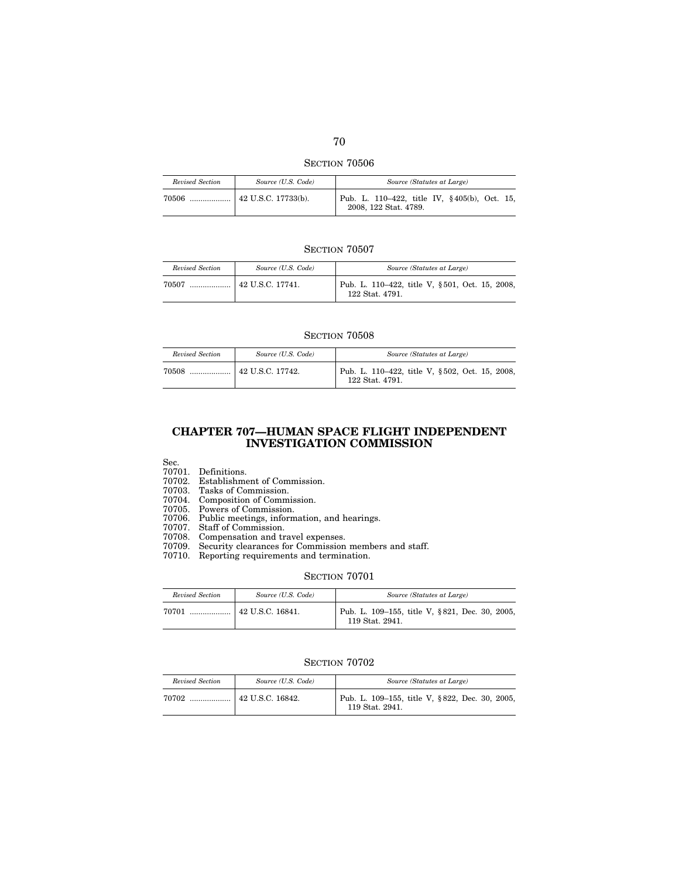SECTION  $70506\,$ 

| Revised Section | Source (U.S. Code)          | Source (Statutes at Large)                                            |
|-----------------|-----------------------------|-----------------------------------------------------------------------|
| 70506           | $\vert$ 42 U.S.C. 17733(b). | Pub. L. 110–422, title IV, §405(b), Oct. 15,<br>2008, 122 Stat. 4789. |

| Revised Section | Source (U.S. Code)            | Source (Statutes at Large)                                        |
|-----------------|-------------------------------|-------------------------------------------------------------------|
| 70507           | $\ldots$ $ $ 42 U.S.C. 17741. | Pub. L. 110–422, title V, §501, Oct. 15, 2008,<br>122 Stat. 4791. |

#### SECTION 70508

| Revised Section | Source (U.S. Code) | Source (Statutes at Large)                                        |
|-----------------|--------------------|-------------------------------------------------------------------|
|                 |                    | Pub. L. 110–422, title V, §502, Oct. 15, 2008,<br>122 Stat. 4791. |

## **CHAPTER 707—HUMAN SPACE FLIGHT INDEPENDENT INVESTIGATION COMMISSION**

Sec.

70701. Definitions.

70702. Establishment of Commission.

70703. Tasks of Commission.

70704. Composition of Commission.

70705. Powers of Commission.

70706. Public meetings, information, and hearings.

70707. Staff of Commission.

70708. Compensation and travel expenses.

70709. Security clearances for Commission members and staff.

70710. Reporting requirements and termination.

### **SECTION 70701**

| Revised Section | Source (U.S. Code) | Source (Statutes at Large)                                        |
|-----------------|--------------------|-------------------------------------------------------------------|
| 70701           |                    | Pub. L. 109-155, title V, §821, Dec. 30, 2005,<br>119 Stat. 2941. |

| Revised Section | Source (U.S. Code) | Source (Statutes at Large)                                        |
|-----------------|--------------------|-------------------------------------------------------------------|
| 70702           |                    | Pub. L. 109-155, title V, §822, Dec. 30, 2005,<br>119 Stat. 2941. |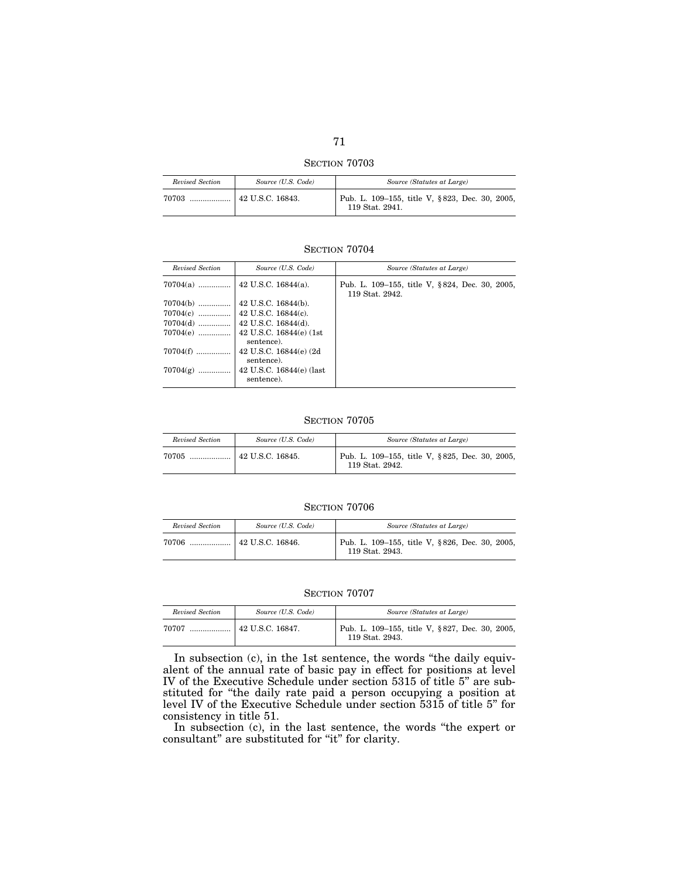SECTION  $70703\,$ 

| Revised Section | Source (U.S. Code)       | Source (Statutes at Large)                                        |
|-----------------|--------------------------|-------------------------------------------------------------------|
| 70703<br>       | $\vert$ 42 U.S.C. 16843. | Pub. L. 109–155, title V, §823, Dec. 30, 2005,<br>119 Stat. 2941. |

| Revised Section | Source (U.S. Code)                     | Source (Statutes at Large)                                        |
|-----------------|----------------------------------------|-------------------------------------------------------------------|
|                 |                                        | Pub. L. 109–155, title V, §824, Dec. 30, 2005,<br>119 Stat. 2942. |
| $70704(b)$      | 42 U.S.C. 16844(b).                    |                                                                   |
|                 |                                        |                                                                   |
|                 |                                        |                                                                   |
| $70704(e)$      | 42 U.S.C. 16844(e) (1st<br>sentence).  |                                                                   |
| $70704(f)$      | 42 U.S.C. 16844(e) (2d<br>sentence).   |                                                                   |
| $70704(g)$      | 42 U.S.C. 16844(e) (last<br>sentence). |                                                                   |

## SECTION 70705

| Revised Section | Source (U.S. Code) | Source (Statutes at Large)                                        |
|-----------------|--------------------|-------------------------------------------------------------------|
| 70705           |                    | Pub. L. 109–155, title V, §825, Dec. 30, 2005,<br>119 Stat. 2942. |

## SECTION 70706

| Revised Section | Source (U.S. Code)     | Source (Statutes at Large)                                        |
|-----------------|------------------------|-------------------------------------------------------------------|
| 70706           | $\pm$ 42 U.S.C. 16846. | Pub. L. 109–155, title V, §826, Dec. 30, 2005,<br>119 Stat. 2943. |

## SECTION 70707

| Revised Section | Source (U.S. Code)                        | Source (Statutes at Large)                                        |
|-----------------|-------------------------------------------|-------------------------------------------------------------------|
| 70707           | $\lceil 42 \text{ U.S.C. } 16847. \rceil$ | Pub. L. 109-155, title V, §827, Dec. 30, 2005,<br>119 Stat. 2943. |

In subsection (c), in the 1st sentence, the words ''the daily equivalent of the annual rate of basic pay in effect for positions at level IV of the Executive Schedule under section 5315 of title 5'' are substituted for ''the daily rate paid a person occupying a position at level IV of the Executive Schedule under section 5315 of title 5'' for consistency in title 51.

In subsection (c), in the last sentence, the words ''the expert or consultant'' are substituted for ''it'' for clarity.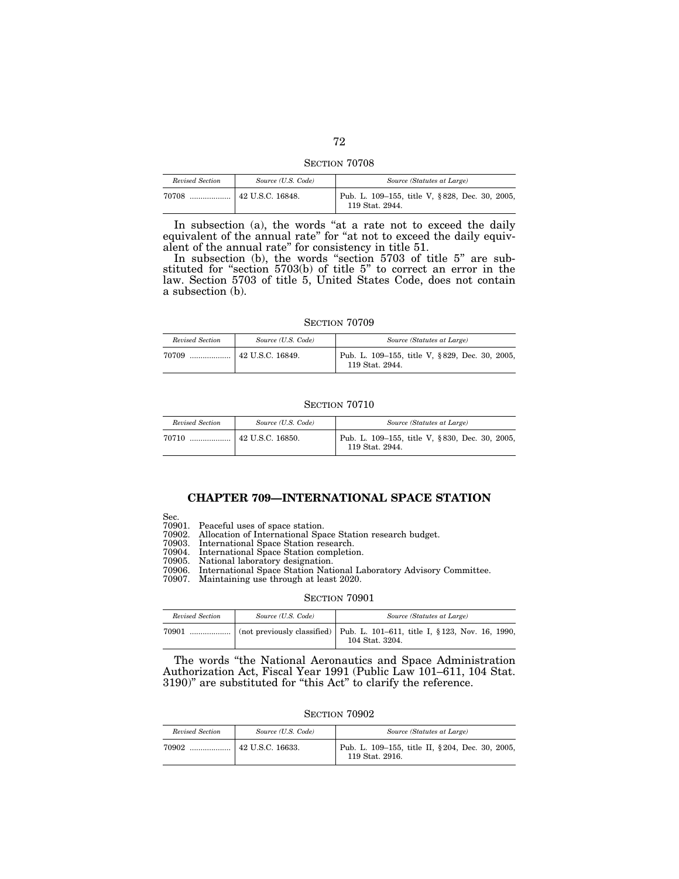SECTION 70708

| Revised Section | Source (U.S. Code) | Source (Statutes at Large)                                        |
|-----------------|--------------------|-------------------------------------------------------------------|
|                 |                    | Pub. L. 109-155, title V, §828, Dec. 30, 2005,<br>119 Stat. 2944. |

In subsection (a), the words "at a rate not to exceed the daily equivalent of the annual rate" for "at not to exceed the daily equivalent of the annual rate'' for consistency in title 51.

In subsection (b), the words "section 5703 of title 5" are substituted for ''section 5703(b) of title 5'' to correct an error in the law. Section 5703 of title 5, United States Code, does not contain a subsection (b).

SECTION 70709

| Revised Section | Source (U.S. Code) | Source (Statutes at Large)                                        |
|-----------------|--------------------|-------------------------------------------------------------------|
| 70709<br>       | 42 U.S.C. 16849.   | Pub. L. 109–155, title V, §829, Dec. 30, 2005,<br>119 Stat. 2944. |

#### SECTION 70710

| Revised Section | Source (U.S. Code)       | Source (Statutes at Large)                                        |
|-----------------|--------------------------|-------------------------------------------------------------------|
| 70710           | $\vert$ 42 U.S.C. 16850. | Pub. L. 109–155, title V, §830, Dec. 30, 2005,<br>119 Stat. 2944. |

# **CHAPTER 709—INTERNATIONAL SPACE STATION**

Sec.

70901. Peaceful uses of space station.

70902. Allocation of International Space Station research budget.

70903. International Space Station research.

70904. International Space Station completion.

National laboratory designation.

International Space Station National Laboratory Advisory Committee. 70907. Maintaining use through at least 2020.

#### SECTION 70901

| Revised Section | Source (U.S. Code) | Source (Statutes at Large)                                                                     |
|-----------------|--------------------|------------------------------------------------------------------------------------------------|
| 70901           |                    | (not previously classified) Pub. L. 101–611, title I, § 123, Nov. 16, 1990,<br>104 Stat. 3204. |

The words ''the National Aeronautics and Space Administration Authorization Act, Fiscal Year 1991 (Public Law 101–611, 104 Stat. 3190)'' are substituted for ''this Act'' to clarify the reference.

SECTION 70902

| Revised Section | Source (U.S. Code) | Source (Statutes at Large)                                          |
|-----------------|--------------------|---------------------------------------------------------------------|
|                 |                    | Pub. L. 109–155, title II, § 204, Dec. 30, 2005,<br>119 Stat. 2916. |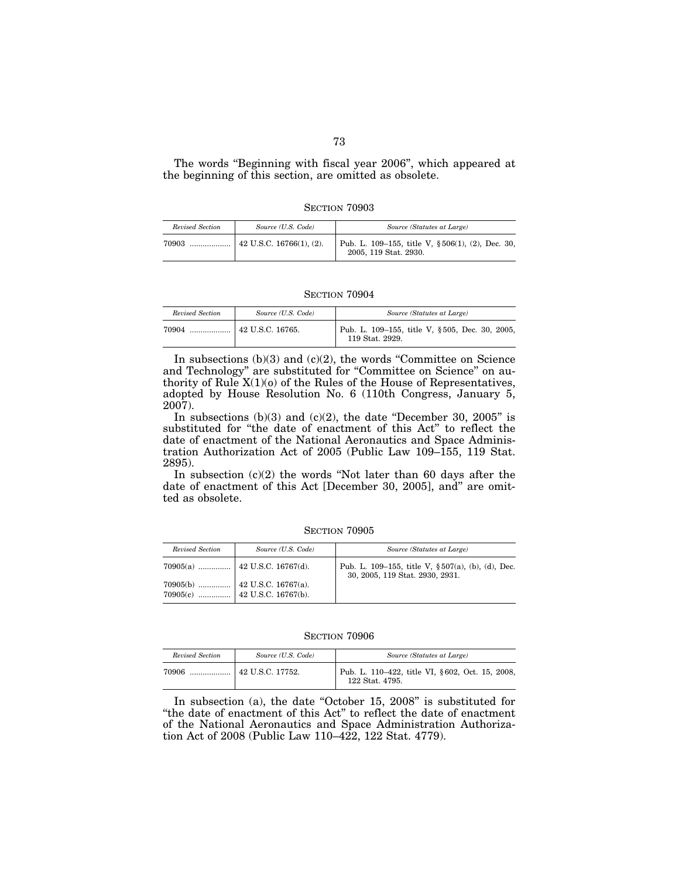The words ''Beginning with fiscal year 2006'', which appeared at the beginning of this section, are omitted as obsolete.

SECTION 70903

| Revised Section | Source (U.S. Code) | Source (Statutes at Large)                                                     |
|-----------------|--------------------|--------------------------------------------------------------------------------|
|                 |                    | Pub. L. 109–155, title V, $\S 506(1)$ , (2), Dec. 30,<br>2005, 119 Stat. 2930. |

SECTION 70904

| Revised Section | Source (U.S. Code) | Source (Statutes at Large)                                        |
|-----------------|--------------------|-------------------------------------------------------------------|
|                 |                    | Pub. L. 109-155, title V, §505, Dec. 30, 2005,<br>119 Stat. 2929. |

In subsections  $(b)(3)$  and  $(c)(2)$ , the words "Committee on Science and Technology" are substituted for "Committee on Science" on authority of Rule  $X(1)(o)$  of the Rules of the House of Representatives, adopted by House Resolution No. 6 (110th Congress, January 5, 2007).

In subsections  $(b)(3)$  and  $(c)(2)$ , the date "December 30, 2005" is substituted for ''the date of enactment of this Act'' to reflect the date of enactment of the National Aeronautics and Space Administration Authorization Act of 2005 (Public Law 109–155, 119 Stat. 2895).

In subsection (c)(2) the words ''Not later than 60 days after the date of enactment of this Act [December 30, 2005], and'' are omitted as obsolete.

SECTION 70905

| Revised Section | Source (U.S. Code)              | Source (Statutes at Large)                                                                |
|-----------------|---------------------------------|-------------------------------------------------------------------------------------------|
|                 | 70905(a)    42 U.S.C. 16767(d). | Pub. L. 109–155, title V, $\S 507(a)$ , (b), (d), Dec.<br>30, 2005, 119 Stat. 2930, 2931. |
|                 |                                 |                                                                                           |

SECTION 70906

| Revised Section | Source (U.S. Code)            | Source (Statutes at Large)                                         |
|-----------------|-------------------------------|--------------------------------------------------------------------|
| 70906           | <sup>1</sup> 42 U.S.C. 17752. | Pub. L. 110–422, title VI, §602, Oct. 15, 2008,<br>122 Stat. 4795. |

In subsection (a), the date "October 15, 2008" is substituted for ''the date of enactment of this Act'' to reflect the date of enactment of the National Aeronautics and Space Administration Authorization Act of 2008 (Public Law 110–422, 122 Stat. 4779).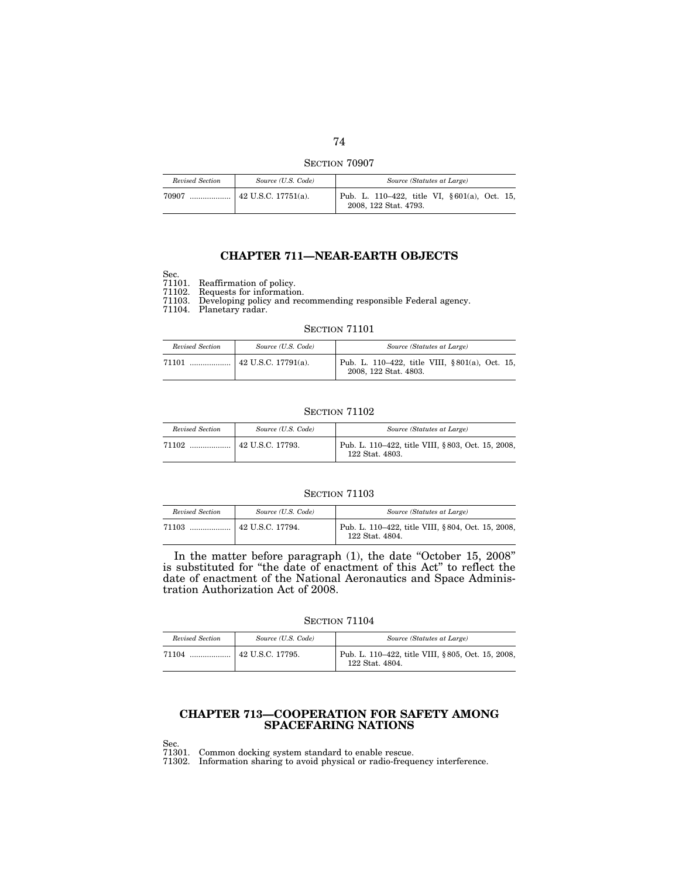SECTION 70907

| Revised Section | Source (U.S. Code)               | Source (Statutes at Large)                                            |
|-----------------|----------------------------------|-----------------------------------------------------------------------|
| 70907           | $\ldots$ $ $ 42 U.S.C. 17751(a). | Pub. L. 110–422, title VI, §601(a), Oct. 15,<br>2008, 122 Stat. 4793. |

# **CHAPTER 711—NEAR-EARTH OBJECTS**

Sec. 71101. Reaffirmation of policy.

71102. Requests for information.

71103. Developing policy and recommending responsible Federal agency.

71104. Planetary radar.

### **SECTION 71101**

| Revised Section | Source (U.S. Code) | Source (Statutes at Large)                                              |
|-----------------|--------------------|-------------------------------------------------------------------------|
|                 |                    | Pub. L. 110–422, title VIII, §801(a), Oct. 15,<br>2008, 122 Stat. 4803. |

### **SECTION 71102**

| Revised Section | Source (U.S. Code) | Source (Statutes at Large)                                           |
|-----------------|--------------------|----------------------------------------------------------------------|
| 71102           | 42 U.S.C. 17793.   | Pub. L. 110–422, title VIII, §803, Oct. 15, 2008,<br>122 Stat. 4803. |

### SECTION  $71103\,$

| Revised Section | Source (U.S. Code)     | Source (Statutes at Large)                                           |
|-----------------|------------------------|----------------------------------------------------------------------|
| 71103           | $\pm$ 42 U.S.C. 17794. | Pub. L. 110–422, title VIII, §804, Oct. 15, 2008,<br>122 Stat. 4804. |

In the matter before paragraph (1), the date ''October 15, 2008'' is substituted for ''the date of enactment of this Act'' to reflect the date of enactment of the National Aeronautics and Space Administration Authorization Act of 2008.

**SECTION 71104** 

| Revised Section | Source (U.S. Code)       | Source (Statutes at Large)                                           |
|-----------------|--------------------------|----------------------------------------------------------------------|
|                 | $\vert$ 42 U.S.C. 17795. | Pub. L. 110–422, title VIII, §805, Oct. 15, 2008,<br>122 Stat. 4804. |

## **CHAPTER 713—COOPERATION FOR SAFETY AMONG SPACEFARING NATIONS**

71301. Common docking system standard to enable rescue.

71302. Information sharing to avoid physical or radio-frequency interference.

Sec.